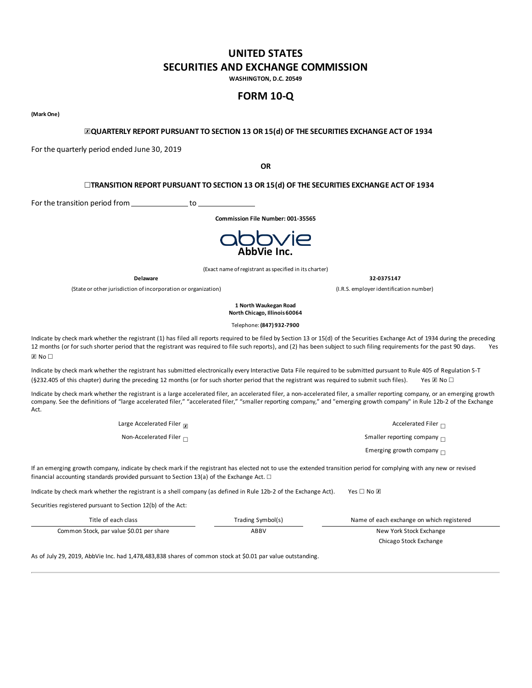## **UNITED STATES SECURITIES AND EXCHANGE COMMISSION**

**WASHINGTON, D.C. 20549**

## **FORM 10-Q**

**(MarkOne)**

## ☒**QUARTERLY REPORT PURSUANT TO SECTION 13 OR 15(d) OF THE SECURITIES EXCHANGE ACT OF 1934**

For the quarterly period ended June 30, 2019

**OR**

## ☐**TRANSITION REPORT PURSUANT TO SECTION 13 OR 15(d) OF THE SECURITIES EXCHANGE ACT OF 1934**

For the transition period from to to

**Commission File Number: 001-35565**



(Exact name ofregistrant asspecified in its charter)

(State or other jurisdiction of incorporation or organization) (I.R.S. employer identification number)

**Delaware 32-0375147**

**1 North Waukegan Road North Chicago, Illinois 60064**

Telephone: **(847) 932-7900**

Indicate by check mark whether the registrant (1) has filed all reports required to be filed by Section 13 or 15(d) of the Securities Exchange Act of 1934 during the preceding 12 months (or for such shorter period that the registrant was required to file such reports), and (2) has been subject to such filing requirements for the past 90 days. Yes  $\overline{x}$  No  $\Box$ 

Indicate by check mark whether the registrant has submitted electronically every Interactive Data File required to be submitted pursuant to Rule 405 of Regulation S-T (§232.405 of this chapter) during the preceding 12 months (or for such shorter period that the registrant was required to submit such files). Yes  $\boxtimes$  No  $\Box$ 

Indicate by check mark whether the registrant is a large accelerated filer, an accelerated filer, a mon-accelerated filer, a smaller reporting company, or an emerging growth company. See the definitions of "large accelerated filer," "accelerated filer," "smaller reporting company," and "emerging growth company" in Rule 12b-2 of the Exchange Act.

> Large Accelerated Filer  $\overline{x}$ Accelerated Filer  $\Box$ Non-Accelerated Filer  $□$ Smaller reporting company  $\Box$ Emerging growth company  $\Box$

If an emerging growth company, indicate by check mark if the registrant has elected not to use the extended transition period for complying with any new or revised financial accounting standards provided pursuant to Section 13(a) of the Exchange Act.  $\Box$ 

Indicate by check mark whether the registrant is a shell company (as defined in Rule 12b-2 of the Exchange Act). Yes □ No ⊠

Securities registered pursuant to Section 12(b) of the Act:

| Title of each class                      | Trading Symbol(s) | Name of each exchange on which registered |
|------------------------------------------|-------------------|-------------------------------------------|
| Common Stock, par value \$0.01 per share | ABBV              | New York Stock Exchange                   |
|                                          |                   | Chicago Stock Exchange                    |

As of July 29, 2019, AbbVie Inc. had 1,478,483,838 shares of common stock at \$0.01 par value outstanding.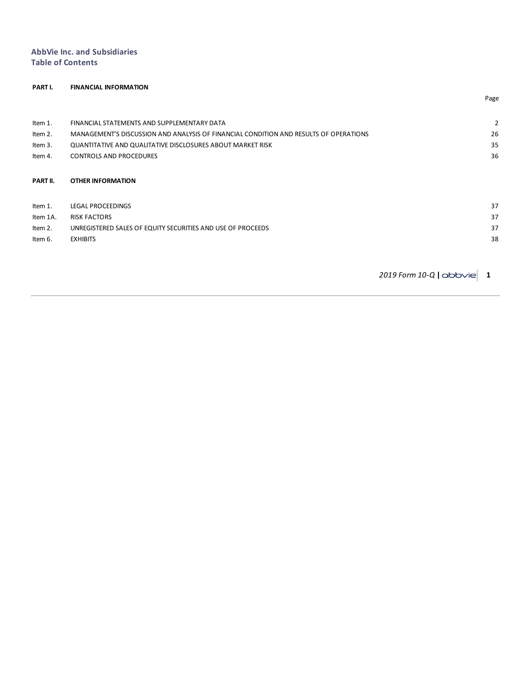## **AbbVie Inc. and Subsidiaries Table of Contents**

# **PART I. FINANCIAL INFORMATION** Page Item 1. FINANCIAL STATEMENTS AND [SUPPLEMENTARY](#page-2-0) DATA [2](#page-2-0) Item 2. [MANAGEMENT'S](#page-26-0) DISCUSSION AND ANALYSIS OF FINANCIAL CONDITION AND RESULTS OF OPERATIONS Item 3. [QUANTITATIVE](#page-37-0) AND QUALITATIVE DISCLOSURES ABOUT MARKET RISK [35](#page-37-0) Item 4. CONTROLS AND [PROCEDURES](#page-37-0) [36](#page-37-0) **[PART](#page-38-0) II. OTHER [INFORMATION](#page-38-0) Item 1.** LEGAL [PROCEEDINGS](#page-39-0) [37](#page-39-0) Item 1A. RISK [FACTORS](#page-39-0) [37](#page-39-0) Item 2. [UNREGISTERED](#page-39-0) SALES OF EQUITY SECURITIES AND USE OF PROCEEDS **[37](#page-39-0)** and 37 and 37 and 37 and 37 and 37 and 37 and 37 and 37 and 37 and 37 and 37 and 37 and 37 and 37 and 37 and 37 and 37 and 37 and 37 and 37 and 37 an Item 6. [EXHIBITS](#page-40-0) [38](#page-40-0)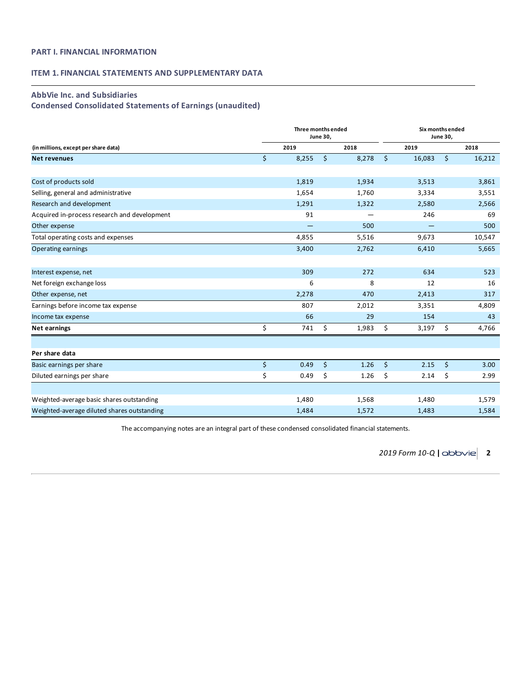## <span id="page-2-0"></span>**PART I. FINANCIAL INFORMATION**

## **ITEM 1. FINANCIAL STATEMENTS AND SUPPLEMENTARY DATA**

## **AbbVie Inc. and Subsidiaries**

**Condensed Consolidated Statements of Earnings (unaudited)**

|                                              |         | Three months ended<br><b>June 30,</b> |             | Six months ended<br><b>June 30,</b> |        |         |        |  |
|----------------------------------------------|---------|---------------------------------------|-------------|-------------------------------------|--------|---------|--------|--|
| (in millions, except per share data)         |         | 2019                                  | 2018        |                                     | 2019   |         | 2018   |  |
| <b>Net revenues</b>                          | $\zeta$ | 8,255                                 | \$<br>8,278 | $\mathsf{S}$                        | 16,083 | $\zeta$ | 16,212 |  |
|                                              |         |                                       |             |                                     |        |         |        |  |
| Cost of products sold                        |         | 1,819                                 | 1,934       |                                     | 3,513  |         | 3,861  |  |
| Selling, general and administrative          |         | 1,654                                 | 1,760       |                                     | 3,334  |         | 3,551  |  |
| Research and development                     |         | 1,291                                 | 1,322       |                                     | 2,580  |         | 2,566  |  |
| Acquired in-process research and development |         | 91                                    |             |                                     | 246    |         | 69     |  |
| Other expense                                |         |                                       | 500         |                                     |        |         | 500    |  |
| Total operating costs and expenses           |         | 4,855                                 | 5,516       |                                     | 9,673  |         | 10,547 |  |
| Operating earnings                           |         | 3,400                                 | 2,762       |                                     | 6,410  |         | 5,665  |  |
|                                              |         |                                       |             |                                     |        |         |        |  |
| Interest expense, net                        |         | 309                                   | 272         |                                     | 634    |         | 523    |  |
| Net foreign exchange loss                    |         | 6                                     | 8           |                                     | 12     |         | 16     |  |
| Other expense, net                           |         | 2,278                                 | 470         |                                     | 2,413  |         | 317    |  |
| Earnings before income tax expense           |         | 807                                   | 2,012       |                                     | 3,351  |         | 4,809  |  |
| Income tax expense                           |         | 66                                    | 29          |                                     | 154    |         | 43     |  |
| Net earnings                                 | \$      | 741                                   | \$<br>1,983 | \$                                  | 3,197  | \$      | 4,766  |  |
|                                              |         |                                       |             |                                     |        |         |        |  |
| Per share data                               |         |                                       |             |                                     |        |         |        |  |
| Basic earnings per share                     | \$      | 0.49                                  | \$<br>1.26  | \$                                  | 2.15   | \$      | 3.00   |  |
| Diluted earnings per share                   | \$      | 0.49                                  | \$<br>1.26  | \$                                  | 2.14   | \$      | 2.99   |  |
|                                              |         |                                       |             |                                     |        |         |        |  |
| Weighted-average basic shares outstanding    |         | 1,480                                 | 1,568       |                                     | 1,480  |         | 1,579  |  |
| Weighted-average diluted shares outstanding  |         | 1,484                                 | 1,572       |                                     | 1,483  |         | 1,584  |  |

The accompanying notes are an integral part of these condensed consolidated financial statements.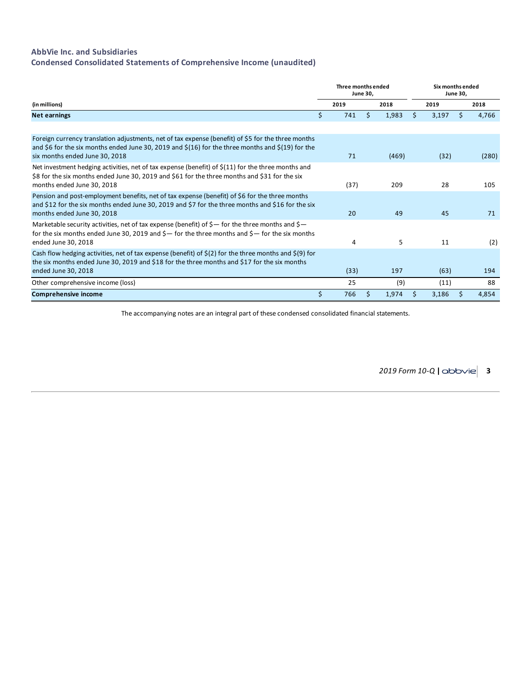## **AbbVie Inc. and Subsidiaries**

**Condensed Consolidated Statements of Comprehensive Income (unaudited)**

|                                                                                                                                                                                                                                                           | Three months ended | June 30, |       |      | Six months ended |    |       |
|-----------------------------------------------------------------------------------------------------------------------------------------------------------------------------------------------------------------------------------------------------------|--------------------|----------|-------|------|------------------|----|-------|
| (in millions)                                                                                                                                                                                                                                             | 2019               |          | 2018  | 2019 |                  |    | 2018  |
| <b>Net earnings</b>                                                                                                                                                                                                                                       | \$<br>741          | Ŝ.       | 1,983 | S    | 3,197            | \$ | 4,766 |
| Foreign currency translation adjustments, net of tax expense (benefit) of \$5 for the three months<br>and \$6 for the six months ended June 30, 2019 and $\frac{2}{16}$ for the three months and $\frac{2}{19}$ for the<br>six months ended June 30, 2018 | 71                 |          | (469) |      | (32)             |    | (280) |
| Net investment hedging activities, net of tax expense (benefit) of $\zeta(11)$ for the three months and<br>\$8 for the six months ended June 30, 2019 and \$61 for the three months and \$31 for the six<br>months ended June 30, 2018                    | (37)               |          | 209   |      | 28               |    | 105   |
| Pension and post-employment benefits, net of tax expense (benefit) of \$6 for the three months<br>and \$12 for the six months ended June 30, 2019 and \$7 for the three months and \$16 for the six<br>months ended June 30, 2018                         | 20                 |          | 49    |      | 45               |    | 71    |
| Marketable security activities, net of tax expense (benefit) of $\zeta$ — for the three months and $\zeta$ —<br>for the six months ended June 30, 2019 and $\zeta$ — for the three months and $\zeta$ — for the six months<br>ended June 30, 2018         | 4                  |          | 5     |      | 11               |    | (2)   |
| Cash flow hedging activities, net of tax expense (benefit) of $\zeta(2)$ for the three months and $\zeta(9)$ for<br>the six months ended June 30, 2019 and \$18 for the three months and \$17 for the six months<br>ended June 30, 2018                   | (33)               |          | 197   |      | (63)             |    | 194   |
| Other comprehensive income (loss)                                                                                                                                                                                                                         | 25                 |          | (9)   |      | (11)             |    | 88    |
| <b>Comprehensive income</b>                                                                                                                                                                                                                               | \$<br>766          |          | 1,974 |      | 3,186            |    | 4,854 |

The accompanying notes are an integral part of these condensed consolidated financial statements.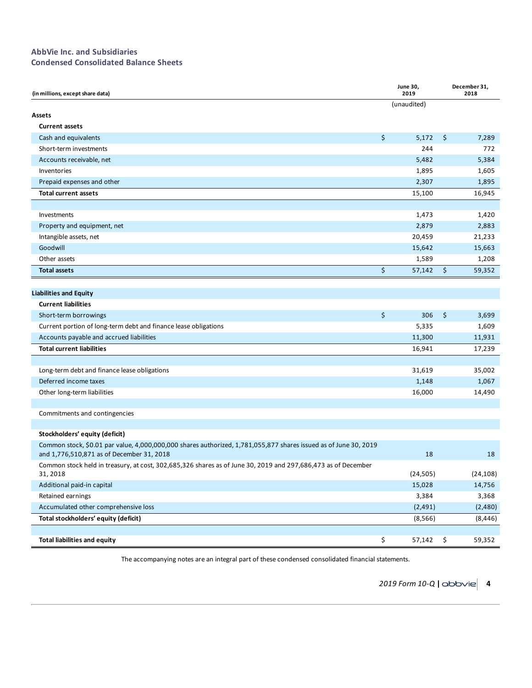## **AbbVie Inc. and Subsidiaries Condensed Consolidated Balance Sheets**

| (in millions, except share data)                                                                                                                              | <b>June 30,</b><br>2019 | December 31,<br>2018 |  |  |
|---------------------------------------------------------------------------------------------------------------------------------------------------------------|-------------------------|----------------------|--|--|
|                                                                                                                                                               | (unaudited)             |                      |  |  |
| Assets                                                                                                                                                        |                         |                      |  |  |
| <b>Current assets</b>                                                                                                                                         |                         |                      |  |  |
| Cash and equivalents                                                                                                                                          | \$<br>5,172             | \$<br>7,289          |  |  |
| Short-term investments                                                                                                                                        | 244                     | 772                  |  |  |
| Accounts receivable, net                                                                                                                                      | 5,482                   | 5,384                |  |  |
| Inventories                                                                                                                                                   | 1,895                   | 1,605                |  |  |
| Prepaid expenses and other                                                                                                                                    | 2,307                   | 1,895                |  |  |
| <b>Total current assets</b>                                                                                                                                   | 15,100                  | 16,945               |  |  |
|                                                                                                                                                               |                         |                      |  |  |
| Investments                                                                                                                                                   | 1,473                   | 1,420                |  |  |
| Property and equipment, net                                                                                                                                   | 2,879                   | 2,883                |  |  |
| Intangible assets, net                                                                                                                                        | 20,459                  | 21,233               |  |  |
| Goodwill                                                                                                                                                      | 15,642                  | 15,663               |  |  |
| Other assets                                                                                                                                                  | 1,589                   | 1,208                |  |  |
| <b>Total assets</b>                                                                                                                                           | \$<br>57,142            | \$<br>59,352         |  |  |
|                                                                                                                                                               |                         |                      |  |  |
| <b>Liabilities and Equity</b>                                                                                                                                 |                         |                      |  |  |
| <b>Current liabilities</b>                                                                                                                                    |                         |                      |  |  |
| Short-term borrowings                                                                                                                                         | \$<br>306               | \$<br>3,699          |  |  |
| Current portion of long-term debt and finance lease obligations                                                                                               | 5,335                   | 1,609                |  |  |
| Accounts payable and accrued liabilities                                                                                                                      | 11,300                  | 11,931               |  |  |
| <b>Total current liabilities</b>                                                                                                                              | 16,941                  | 17,239               |  |  |
|                                                                                                                                                               |                         |                      |  |  |
| Long-term debt and finance lease obligations                                                                                                                  | 31,619                  | 35,002               |  |  |
| Deferred income taxes                                                                                                                                         | 1,148                   | 1,067                |  |  |
| Other long-term liabilities                                                                                                                                   | 16,000                  | 14,490               |  |  |
|                                                                                                                                                               |                         |                      |  |  |
| Commitments and contingencies                                                                                                                                 |                         |                      |  |  |
|                                                                                                                                                               |                         |                      |  |  |
| Stockholders' equity (deficit)                                                                                                                                |                         |                      |  |  |
| Common stock, \$0.01 par value, 4,000,000,000 shares authorized, 1,781,055,877 shares issued as of June 30, 2019<br>and 1,776,510,871 as of December 31, 2018 | 18                      | 18                   |  |  |
| Common stock held in treasury, at cost, 302,685,326 shares as of June 30, 2019 and 297,686,473 as of December<br>31, 2018                                     | (24, 505)               | (24, 108)            |  |  |
| Additional paid-in capital                                                                                                                                    | 15,028                  | 14,756               |  |  |
| Retained earnings                                                                                                                                             | 3,384                   | 3,368                |  |  |
| Accumulated other comprehensive loss                                                                                                                          | (2, 491)                | (2,480)              |  |  |
| Total stockholders' equity (deficit)                                                                                                                          | (8, 566)                | (8, 446)             |  |  |
|                                                                                                                                                               |                         |                      |  |  |
| <b>Total liabilities and equity</b>                                                                                                                           | \$<br>57,142            | \$<br>59,352         |  |  |

The accompanying notes are an integral part of these condensed consolidated financial statements.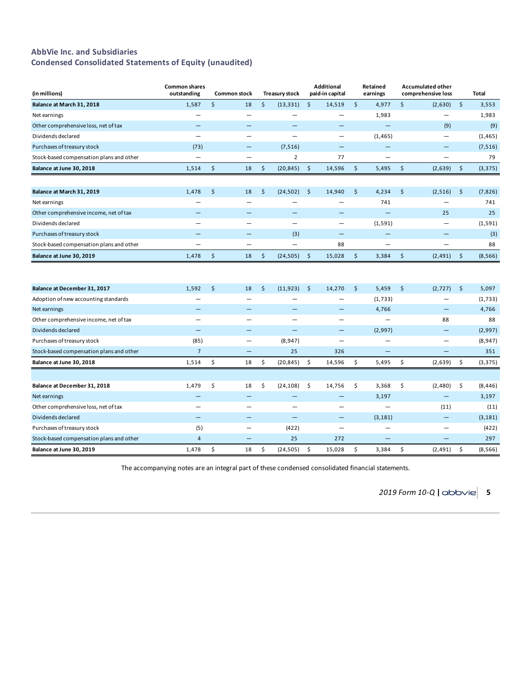## **AbbVie Inc. and Subsidiaries Condensed Consolidated Statements of Equity (unaudited)**

| (in millions)                            | <b>Common shares</b><br>outstanding | <b>Common stock</b>      | <b>Treasury stock</b>    |               | <b>Additional</b><br>paid-in capital |         | Retained<br>earnings     | <b>Accumulated other</b><br>comprehensive loss |         | Total    |
|------------------------------------------|-------------------------------------|--------------------------|--------------------------|---------------|--------------------------------------|---------|--------------------------|------------------------------------------------|---------|----------|
| Balance at March 31, 2018                | 1,587                               | \$<br>18                 | \$<br>(13, 331)          | \$            | 14,519                               | \$      | 4,977                    | \$<br>(2,630)                                  | $\zeta$ | 3,553    |
| Net earnings                             |                                     |                          |                          |               | —                                    |         | 1,983                    | -                                              |         | 1,983    |
| Other comprehensive loss, net of tax     |                                     |                          |                          |               |                                      |         |                          | (9)                                            |         | (9)      |
| Dividends declared                       | $\overline{\phantom{0}}$            | -                        |                          |               | $\overline{\phantom{0}}$             |         | (1, 465)                 | $\overline{\phantom{0}}$                       |         | (1, 465) |
| Purchases of treasury stock              | (73)                                |                          | (7, 516)                 |               |                                      |         |                          |                                                |         | (7, 516) |
| Stock-based compensation plans and other | $\overline{\phantom{0}}$            | $\overline{\phantom{0}}$ | $\overline{2}$           |               | 77                                   |         |                          | $\overline{\phantom{0}}$                       |         | 79       |
| Balance at June 30, 2018                 | 1,514                               | \$<br>18                 | \$<br>(20, 845)          | $\zeta$       | 14,596                               | $\zeta$ | 5,495                    | \$<br>(2,639)                                  | $\zeta$ | (3, 375) |
| Balance at March 31, 2019                | 1,478                               | \$<br>18                 | \$<br>(24, 502)          | \$            | 14,940                               | \$      | 4,234                    | \$<br>(2, 516)                                 | \$      | (7, 826) |
| Net earnings                             |                                     |                          |                          |               |                                      |         | 741                      |                                                |         | 741      |
| Other comprehensive income, net of tax   |                                     |                          |                          |               |                                      |         |                          | 25                                             |         | 25       |
| Dividends declared                       | -                                   | -                        | —                        |               | $\overline{\phantom{0}}$             |         | (1, 591)                 | -                                              |         | (1, 591) |
| Purchases of treasury stock              |                                     |                          | (3)                      |               | —                                    |         |                          |                                                |         | (3)      |
| Stock-based compensation plans and other | —                                   | —                        | $\overline{\phantom{0}}$ |               | 88                                   |         | $\overline{\phantom{0}}$ | $\overline{\phantom{0}}$                       |         | 88       |
| Balance at June 30, 2019                 | 1,478                               | \$<br>18                 | \$<br>(24, 505)          | $\frac{1}{2}$ | 15,028                               | \$      | 3,384                    | \$<br>(2, 491)                                 | $\zeta$ | (8, 566) |
|                                          |                                     |                          |                          |               |                                      |         |                          |                                                |         |          |
| Balance at December 31, 2017             | 1,592                               | \$<br>18                 | \$<br>(11, 923)          | $\zeta$       | 14,270                               | \$      | 5,459                    | \$<br>(2,727)                                  | \$      | 5,097    |
| Adoption of new accounting standards     |                                     |                          |                          |               |                                      |         | (1,733)                  |                                                |         | (1,733)  |
| Net earnings                             |                                     | -                        |                          |               | —                                    |         | 4,766                    | —                                              |         | 4,766    |
| Other comprehensive income, net of tax   | -                                   |                          |                          |               | ▃                                    |         |                          | 88                                             |         | 88       |
| Dividends declared                       | $\qquad \qquad -$                   | -                        | -                        |               | -                                    |         | (2,997)                  | —                                              |         | (2,997)  |
| Purchases of treasury stock              | (85)                                | $\overline{\phantom{0}}$ | (8,947)                  |               | $\overline{\phantom{0}}$             |         |                          | —                                              |         | (8,947)  |
| Stock-based compensation plans and other | $\overline{7}$                      |                          | 25                       |               | 326                                  |         |                          | -                                              |         | 351      |
| Balance at June 30, 2018                 | 1,514                               | \$<br>18                 | \$<br>(20, 845)          | \$            | 14,596                               | \$      | 5,495                    | \$<br>(2,639)                                  | \$      | (3, 375) |
|                                          |                                     |                          |                          |               |                                      |         |                          |                                                |         |          |
| Balance at December 31, 2018             | 1,479                               | \$<br>18                 | \$<br>(24, 108)          | \$            | 14,756                               | \$      | 3,368                    | \$<br>(2,480)                                  | \$      | (8, 446) |
| Net earnings                             | $\equiv$                            |                          |                          |               | —                                    |         | 3,197                    | $\overline{\phantom{0}}$                       |         | 3,197    |
| Other comprehensive loss, net of tax     |                                     | $\overline{\phantom{0}}$ |                          |               | Ξ.                                   |         |                          | (11)                                           |         | (11)     |
| Dividends declared                       | $\overline{\phantom{0}}$            |                          | $\overline{\phantom{0}}$ |               | —                                    |         | (3, 181)                 | -                                              |         | (3, 181) |
| Purchases of treasury stock              | (5)                                 | $\overline{\phantom{0}}$ | (422)                    |               | —                                    |         | $\overline{\phantom{0}}$ | -                                              |         | (422)    |
| Stock-based compensation plans and other | $\overline{4}$                      | -                        | 25                       |               | 272                                  |         |                          |                                                |         | 297      |
| Balance at June 30, 2019                 | 1,478                               | \$<br>18                 | \$<br>(24, 505)          | \$            | 15,028                               | \$      | 3,384                    | \$<br>(2, 491)                                 | \$      | (8, 566) |

The accompanying notes are an integral part of these condensed consolidated financial statements.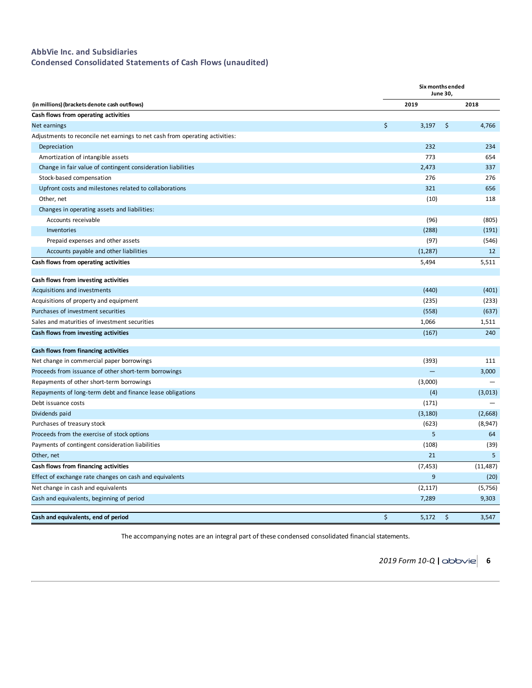## **AbbVie Inc. and Subsidiaries**

**Condensed Consolidated Statements of Cash Flows (unaudited)**

|                                                                              | Six months ended<br><b>June 30,</b> |    |           |  |  |  |  |
|------------------------------------------------------------------------------|-------------------------------------|----|-----------|--|--|--|--|
| (in millions) (brackets denote cash outflows)                                | 2019                                |    | 2018      |  |  |  |  |
| Cash flows from operating activities                                         |                                     |    |           |  |  |  |  |
| Net earnings                                                                 | \$<br>3,197                         | \$ | 4,766     |  |  |  |  |
| Adjustments to reconcile net earnings to net cash from operating activities: |                                     |    |           |  |  |  |  |
| Depreciation                                                                 | 232                                 |    | 234       |  |  |  |  |
| Amortization of intangible assets                                            | 773                                 |    | 654       |  |  |  |  |
| Change in fair value of contingent consideration liabilities                 | 2,473                               |    | 337       |  |  |  |  |
| Stock-based compensation                                                     | 276                                 |    | 276       |  |  |  |  |
| Upfront costs and milestones related to collaborations                       | 321                                 |    | 656       |  |  |  |  |
| Other, net                                                                   | (10)                                |    | 118       |  |  |  |  |
| Changes in operating assets and liabilities:                                 |                                     |    |           |  |  |  |  |
| Accounts receivable                                                          | (96)                                |    | (805)     |  |  |  |  |
| Inventories                                                                  | (288)                               |    | (191)     |  |  |  |  |
| Prepaid expenses and other assets                                            | (97)                                |    | (546)     |  |  |  |  |
| Accounts payable and other liabilities                                       | (1, 287)                            |    | 12        |  |  |  |  |
| Cash flows from operating activities                                         | 5,494                               |    | 5,511     |  |  |  |  |
| Cash flows from investing activities                                         |                                     |    |           |  |  |  |  |
| Acquisitions and investments                                                 | (440)                               |    | (401)     |  |  |  |  |
| Acquisitions of property and equipment                                       | (235)                               |    | (233)     |  |  |  |  |
| Purchases of investment securities                                           | (558)                               |    | (637)     |  |  |  |  |
| Sales and maturities of investment securities                                | 1,066                               |    | 1,511     |  |  |  |  |
| Cash flows from investing activities                                         | (167)                               |    | 240       |  |  |  |  |
| Cash flows from financing activities                                         |                                     |    |           |  |  |  |  |
| Net change in commercial paper borrowings                                    | (393)                               |    | 111       |  |  |  |  |
| Proceeds from issuance of other short-term borrowings                        |                                     |    | 3,000     |  |  |  |  |
| Repayments of other short-term borrowings                                    | (3,000)                             |    |           |  |  |  |  |
| Repayments of long-term debt and finance lease obligations                   | (4)                                 |    | (3,013)   |  |  |  |  |
| Debt issuance costs                                                          | (171)                               |    |           |  |  |  |  |
| Dividends paid                                                               | (3, 180)                            |    | (2,668)   |  |  |  |  |
| Purchases of treasury stock                                                  | (623)                               |    | (8, 947)  |  |  |  |  |
| Proceeds from the exercise of stock options                                  | 5                                   |    | 64        |  |  |  |  |
| Payments of contingent consideration liabilities                             | (108)                               |    | (39)      |  |  |  |  |
| Other, net                                                                   | 21                                  |    | 5         |  |  |  |  |
| Cash flows from financing activities                                         | (7, 453)                            |    | (11, 487) |  |  |  |  |
| Effect of exchange rate changes on cash and equivalents                      | 9                                   |    | (20)      |  |  |  |  |
| Net change in cash and equivalents                                           | (2, 117)                            |    | (5,756)   |  |  |  |  |
| Cash and equivalents, beginning of period                                    | 7,289                               |    | 9,303     |  |  |  |  |
| Cash and equivalents, end of period                                          | \$<br>5,172                         | \$ | 3,547     |  |  |  |  |

The accompanying notes are an integral part of these condensed consolidated financial statements.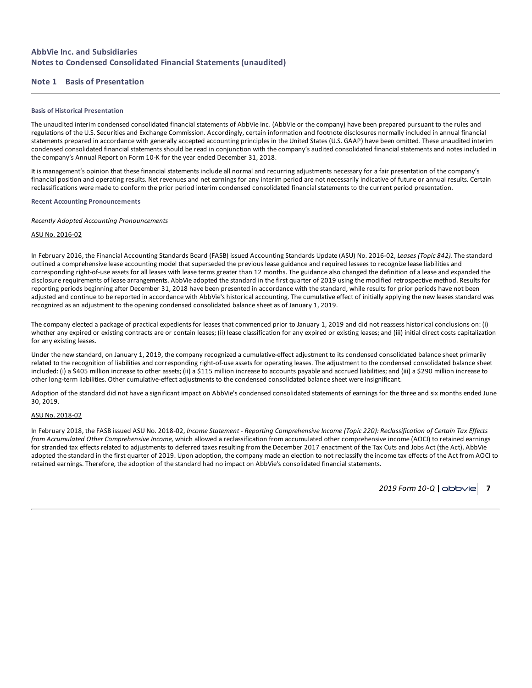## **AbbVie Inc. and Subsidiaries Notes to Condensed Consolidated Financial Statements (unaudited)**

## **Note 1 Basis of Presentation**

### **Basis of Historical Presentation**

The unaudited interim condensed consolidated financial statements of AbbVie Inc. (AbbVie or the company) have been prepared pursuant to the rules and regulations of the U.S. Securities and Exchange Commission. Accordingly, certain information and footnote disclosures normally included in annual financial statements prepared in accordance with generally accepted accounting principles in the United States (U.S. GAAP) have been omitted. These unaudited interim condensed consolidated financial statements should be read in conjunction with the company's audited consolidated financial statements and notes included in the company's Annual Report on Form 10-K for the year ended December 31, 2018.

It is management's opinion that these financial statements include all normal and recurring adjustments necessary for a fair presentation of the company's financial position and operating results. Net revenues and net earnings for any interim period are not necessarily indicative of future or annual results. Certain reclassifications were made to conform the prior period interim condensed consolidated financial statements to the current period presentation.

## **Recent Accounting Pronouncements**

*Recently Adopted Accounting Pronouncements*

## ASU No. 2016-02

In February 2016, the Financial Accounting Standards Board (FASB) issued Accounting Standards Update (ASU) No. 2016-02, *Leases (Topic 842)*. The standard outlined a comprehensive lease accounting model that superseded the previous lease guidance and required lessees to recognize lease liabilities and corresponding right-of-use assets for all leases with lease terms greater than 12 months. The guidance also changed the definition of a lease and expanded the disclosure requirements of lease arrangements. AbbVie adopted the standard in the first quarter of 2019 using the modified retrospective method. Results for reporting periods beginning after December 31, 2018 have been presented in accordance with the standard, while results for prior periods have not been adjusted and continue to be reported in accordance with AbbVie's historical accounting. The cumulative effect of initially applying the new leases standard was recognized as an adjustment to the opening condensed consolidated balance sheet as of January 1, 2019.

The company elected a package of practical expedients for leases that commenced prior to January 1, 2019 and did not reassess historical conclusions on: (i) whether any expired or existing contracts are or contain leases; (ii) lease classification for any expired or existing leases; and (iii) initial direct costs capitalization for any existing leases.

Under the new standard, on January 1, 2019, the company recognized a cumulative-effect adjustment to its condensed consolidated balance sheet primarily related to the recognition of liabilities and corresponding right-of-use assets for operating leases. The adjustment to the condensed consolidated balance sheet included: (i) a \$405 million increase to other assets; (ii) a \$115 million increase to accounts payable and accrued liabilities; and (iii) a \$290 million increase to other long-term liabilities. Other cumulative-effect adjustments to the condensed consolidated balance sheet were insignificant.

Adoption of the standard did not have a significant impact on AbbVie's condensed consolidated statements of earnings for the three and six months ended June 30, 2019.

## ASU No. 2018-02

In February 2018, the FASB issued ASU No. 2018-02, Income Statement - Reporting Comprehensive Income (Topic 220): Reclassification of Certain Tax Effects *from Accumulated Other Comprehensive Income,* which allowed a reclassification from accumulated other comprehensive income (AOCI) to retained earnings for stranded tax effects related to adjustments to deferred taxes resulting from the December 2017 enactment of the Tax Cuts and Jobs Act (the Act). AbbVie adopted the standard in the first quarter of 2019. Upon adoption, the company made an election to not reclassify the income tax effects of the Act from AOCI to retained earnings. Therefore, the adoption of the standard had no impact on AbbVie's consolidated financial statements.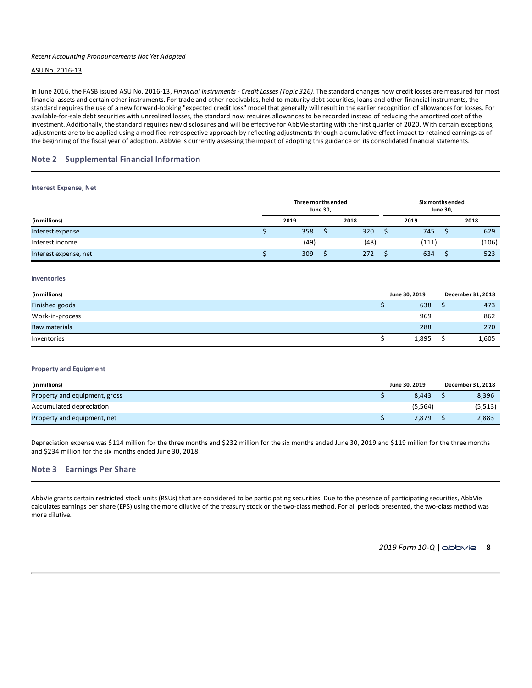## *Recent Accounting Pronouncements Not Yet Adopted*

## ASU No. 2016-13

In June 2016, the FASB issued ASU No. 2016-13, *Financial Instruments - Credit Losses (Topic 326)*. The standard changes how credit losses are measured for most financial assets and certain other instruments. For trade and other receivables, held-to-maturity debt securities, loans and other financial instruments, the standard requires the use of a new forward-looking "expected credit loss" model that generally will result in the earlier recognition of allowances for losses. For available-for-sale debt securities with unrealized losses, the standard now requires allowances to be recorded instead of reducing the amortized cost of the investment. Additionally, the standard requires new disclosures and will be effective for AbbVie starting with the first quarter of 2020. With certain exceptions, adjustments are to be applied using a modified-retrospective approach by reflecting adjustments through a cumulative-effect impact to retained earnings as of the beginning of the fiscal year of adoption. AbbVie is currently assessing the impact of adopting this guidance on its consolidated financial statements.

## **Note 2 Supplemental Financial Information**

#### **Interest Expense, Net**

|                       |      | Three months ended | <b>June 30,</b> |      | Six months ended<br>June 30, |  |       |  |  |
|-----------------------|------|--------------------|-----------------|------|------------------------------|--|-------|--|--|
| (in millions)         | 2019 |                    |                 | 2018 | 2019                         |  | 2018  |  |  |
| Interest expense      |      | 358                |                 | 320  | 745                          |  | 629   |  |  |
| Interest income       |      | (49)               |                 | (48) | (111)                        |  | (106) |  |  |
| Interest expense, net |      | 309                |                 | 272  | 634                          |  | 523   |  |  |

#### **Inventories**

| (in millions)   | June 30, 2019 | December 31, 2018 |       |  |
|-----------------|---------------|-------------------|-------|--|
| Finished goods  | 638           |                   | 473   |  |
| Work-in-process | 969           |                   | 862   |  |
| Raw materials   | 288           |                   | 270   |  |
| Inventories     | 1,895         |                   | 1,605 |  |

## **Property and Equipment**

| (in millions)                 | June 30, 2019 | December 31, 2018 |          |  |
|-------------------------------|---------------|-------------------|----------|--|
| Property and equipment, gross | 8.443         |                   | 8,396    |  |
| Accumulated depreciation      | (5, 564)      |                   | (5, 513) |  |
| Property and equipment, net   | 2.879         |                   | 2,883    |  |

Depreciation expense was \$114 million for the three months and \$232 million for the six months ended June 30, 2019 and \$119 million for the three months and \$234 million for the six months ended June 30, 2018.

## **Note 3 Earnings Per Share**

AbbVie grants certain restricted stock units (RSUs) that are considered to be participating securities. Due to the presence of participating securities, AbbVie calculates earnings per share (EPS) using the more dilutive of the treasury stock or the two-class method. For all periods presented, the two-class method was more dilutive.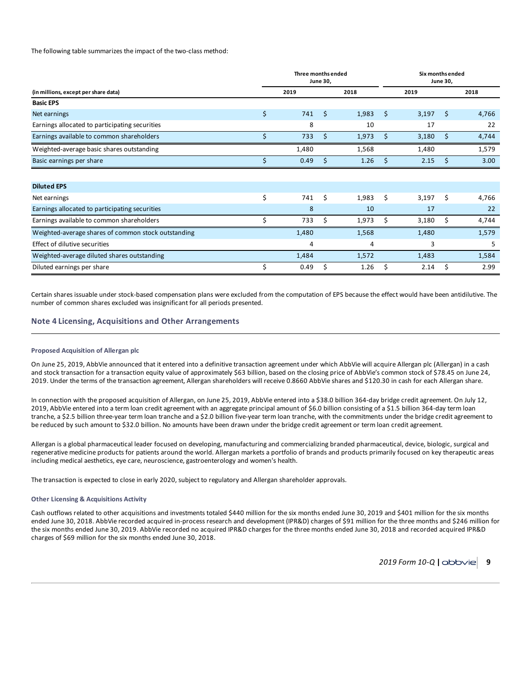### The following table summarizes the impact of the two-class method:

|                                                     |    | Three months ended | <b>June 30,</b> |       |    | Six months ended<br><b>June 30,</b> |    |       |  |  |
|-----------------------------------------------------|----|--------------------|-----------------|-------|----|-------------------------------------|----|-------|--|--|
| (in millions, except per share data)                |    | 2019               |                 | 2018  |    | 2019                                |    | 2018  |  |  |
| <b>Basic EPS</b>                                    |    |                    |                 |       |    |                                     |    |       |  |  |
| Net earnings                                        | \$ | 741                | Ś               | 1,983 | \$ | 3,197                               | \$ | 4,766 |  |  |
| Earnings allocated to participating securities      |    | 8                  |                 | 10    |    | 17                                  |    | 22    |  |  |
| Earnings available to common shareholders           | Ś  | 733                | \$              | 1,973 | \$ | 3,180                               | \$ | 4,744 |  |  |
| Weighted-average basic shares outstanding           |    | 1,480              |                 | 1,568 |    | 1,480                               |    | 1,579 |  |  |
| Basic earnings per share                            |    | 0.49               | S               | 1.26  | Ś. | 2.15                                | Ś  | 3.00  |  |  |
|                                                     |    |                    |                 |       |    |                                     |    |       |  |  |
| <b>Diluted EPS</b>                                  |    |                    |                 |       |    |                                     |    |       |  |  |
| Net earnings                                        | \$ | 741                | Ś               | 1,983 | Ś. | 3,197                               | Ś  | 4,766 |  |  |
| Earnings allocated to participating securities      |    | 8                  |                 | 10    |    | 17                                  |    | 22    |  |  |
| Earnings available to common shareholders           | Ś  | 733                | Ś               | 1,973 | \$ | 3,180                               | \$ | 4,744 |  |  |
| Weighted-average shares of common stock outstanding |    | 1,480              |                 | 1,568 |    | 1,480                               |    | 1,579 |  |  |
| Effect of dilutive securities                       |    | 4                  |                 | 4     |    | 3                                   |    | 5     |  |  |
| Weighted-average diluted shares outstanding         |    | 1,484              |                 | 1,572 |    | 1,483                               |    | 1,584 |  |  |
| Diluted earnings per share                          | Ś  | 0.49               | Ś               | 1.26  | \$ | 2.14                                | \$ | 2.99  |  |  |

Certain shares issuable under stock-based compensation plans were excluded from the computation of EPS because the effect would have been antidilutive. The number of common shares excluded was insignificant for all periods presented.

## **Note 4 Licensing, Acquisitions and Other Arrangements**

#### **Proposed Acquisition of Allergan plc**

On June 25, 2019, AbbVie announced that it entered into a definitive transaction agreement under which AbbVie will acquire Allergan plc (Allergan) in a cash and stock transaction for a transaction equity value of approximately \$63 billion, based on the closing price of AbbVie's common stock of \$78.45 on June 24, 2019. Under the terms of the transaction agreement, Allergan shareholders will receive 0.8660 AbbVie shares and \$120.30 in cash for each Allergan share.

In connection with the proposed acquisition of Allergan, on June 25, 2019, AbbVie entered into a \$38.0 billion 364-day bridge credit agreement. On July 12, 2019, AbbVie entered into a term loan credit agreement with an aggregate principal amount of \$6.0 billion consisting of a \$1.5 billion 364-day term loan tranche, a \$2.5 billion three-year term loan tranche and a \$2.0 billion five-year term loan tranche, with the commitments under the bridge credit agreement to be reduced by such amount to \$32.0 billion. No amounts have been drawn under the bridge credit agreement or term loan credit agreement.

Allergan is a global pharmaceutical leader focused on developing, manufacturing and commercializing branded pharmaceutical, device, biologic, surgical and regenerative medicine products for patients around the world. Allergan markets a portfolio of brands and products primarily focused on key therapeutic areas including medical aesthetics, eye care, neuroscience, gastroenterology and women's health.

The transaction is expected to close in early 2020, subject to regulatory and Allergan shareholder approvals.

#### **Other Licensing & Acquisitions Activity**

Cash outflows related to other acquisitions and investments totaled \$440 million for the six months ended June 30, 2019 and \$401 million for the six months ended June 30, 2018. AbbVie recorded acquired in-process research and development (IPR&D) charges of \$91 million for the three months and \$246 million for the six months ended June 30, 2019. AbbVie recorded no acquired IPR&D charges for the three months ended June 30, 2018 and recorded acquired IPR&D charges of \$69 million for the six months ended June 30, 2018.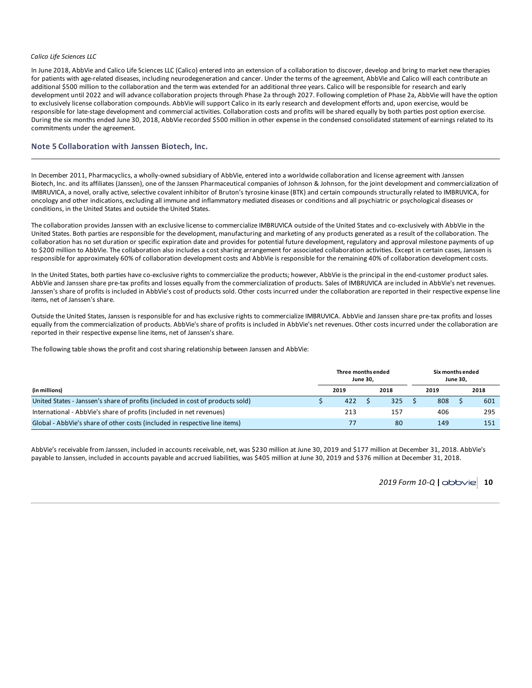## *Calico Life Sciences LLC*

In June 2018, AbbVie and Calico Life Sciences LLC (Calico) entered into an extension of a collaboration to discover, develop and bring to market new therapies for patients with age-related diseases, including neurodegeneration and cancer. Under the terms of the agreement, AbbVie and Calico will each contribute an additional \$500 million to the collaboration and the term was extended for an additional three years. Calico will be responsible for research and early development until 2022 and will advance collaboration projects through Phase 2a through 2027. Following completion of Phase 2a, AbbVie will have the option to exclusively license collaboration compounds. AbbVie will support Calico in its early research and development efforts and, upon exercise, would be responsible for late-stage development and commercial activities. Collaboration costs and profits will be shared equally by both parties post option exercise. During the six months ended June 30, 2018, AbbVie recorded \$500 million in other expense in the condensed consolidated statement of earnings related to its commitments under the agreement.

## **Note 5 Collaboration with Janssen Biotech, Inc.**

In December 2011, Pharmacyclics, a wholly-owned subsidiary of AbbVie, entered into a worldwide collaboration and license agreement with Janssen Biotech, Inc. and its affiliates (Janssen), one of the Janssen Pharmaceutical companies of Johnson & Johnson, for the joint development and commercialization of IMBRUVICA, a novel, orally active, selective covalent inhibitor of Bruton's tyrosine kinase (BTK) and certain compounds structurally related to IMBRUVICA, for oncology and other indications, excluding all immune and inflammatory mediated diseases or conditions and all psychiatric or psychological diseases or conditions, in the United States and outside the United States.

The collaboration provides Janssen with an exclusive license to commercialize IMBRUVICA outside of the United States and co-exclusively with AbbVie in the United States. Both parties are responsible for the development, manufacturing and marketing of any products generated as a result of the collaboration. The collaboration has no set duration or specific expiration date and provides for potential future development, regulatory and approval milestone payments of up to \$200 million to AbbVie. The collaboration also includes a cost sharing arrangement for associated collaboration activities. Except in certain cases, Janssen is responsible for approximately 60% of collaboration development costs and AbbVie is responsible for the remaining 40% of collaboration development costs.

In the United States, both parties have co-exclusive rights to commercialize the products; however, AbbVie is the principal in the end-customer product sales. AbbVie and Janssen share pre-tax profits and losses equally from the commercialization of products. Sales of IMBRUVICA are included in AbbVie's net revenues. Janssen's share of profits is included in AbbVie's cost of products sold. Other costs incurred under the collaboration are reported in their respective expense line items, net of Janssen's share.

Outside the United States, Janssen is responsible for and has exclusive rights to commercialize IMBRUVICA. AbbVie and Janssen share pre-tax profits and losses equally from the commercialization of products. AbbVie's share of profits is included in AbbVie's net revenues. Other costs incurred under the collaboration are reported in their respective expense line items, net of Janssen's share.

The following table shows the profit and cost sharing relationship between Janssen and AbbVie:

|                                                                                | Three months ended<br><b>June 30.</b> |     |  |     | Six months ended<br><b>June 30.</b> |      |     |
|--------------------------------------------------------------------------------|---------------------------------------|-----|--|-----|-------------------------------------|------|-----|
| (in millions)                                                                  | 2019<br>2018                          |     |  |     | 2019                                | 2018 |     |
| United States - Janssen's share of profits (included in cost of products sold) |                                       | 422 |  | 325 | 808                                 |      | 601 |
| International - AbbVie's share of profits (included in net revenues)           |                                       | 213 |  | 157 | 406                                 |      | 295 |
| Global - AbbVie's share of other costs (included in respective line items)     |                                       |     |  | 80  | 149                                 |      | 151 |

AbbVie's receivable from Janssen, included in accounts receivable, net, was \$230 million at June 30, 2019 and \$177 million at December 31, 2018. AbbVie's payable to Janssen, included in accounts payable and accrued liabilities, was \$405 million at June 30, 2019 and \$376 million at December 31, 2018.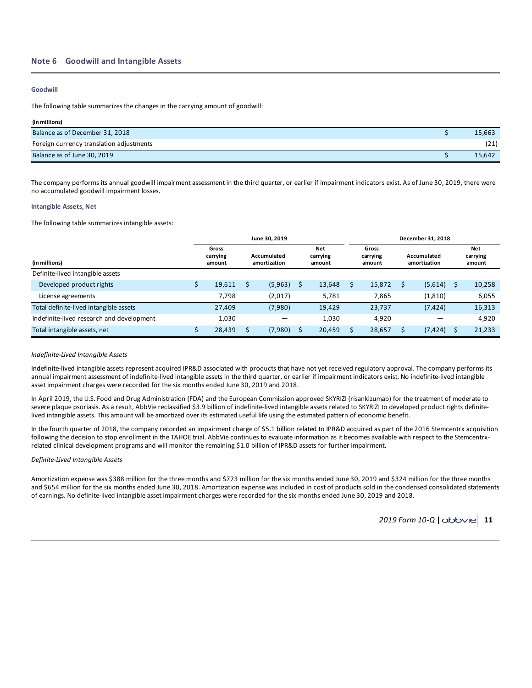## **Note 6 Goodwill and Intangible Assets**

## **Goodwill**

The following table summarizes the changes in the carrying amount of goodwill:

| (in millions)                            |        |
|------------------------------------------|--------|
| Balance as of December 31, 2018          | 15,663 |
| Foreign currency translation adjustments | (21)   |
| Balance as of June 30, 2019              | 15.642 |

The company performs its annual goodwill impairment assessment in the third quarter, or earlier if impairment indicators exist. As of June 30, 2019, there were no accumulated goodwill impairment losses.

## **Intangible Assets, Net**

The following table summarizes intangible assets:

|                                           |                             | June 30, 2019                                            |  |        | December 31, 2018 |                             |                             |          |     |                                  |  |  |  |
|-------------------------------------------|-----------------------------|----------------------------------------------------------|--|--------|-------------------|-----------------------------|-----------------------------|----------|-----|----------------------------------|--|--|--|
| (in millions)                             | Gross<br>carrying<br>amount | Net<br>Accumulated<br>carrying<br>amortization<br>amount |  |        |                   | Gross<br>carrying<br>amount | Accumulated<br>amortization |          |     | <b>Net</b><br>carrying<br>amount |  |  |  |
| Definite-lived intangible assets          |                             |                                                          |  |        |                   |                             |                             |          |     |                                  |  |  |  |
| Developed product rights                  | 19,611                      | (5,963)                                                  |  | 13,648 |                   | 15,872                      |                             | (5,614)  | - S | 10,258                           |  |  |  |
| License agreements                        | 7.798                       | (2,017)                                                  |  | 5.781  |                   | 7.865                       |                             | (1, 810) |     | 6,055                            |  |  |  |
| Total definite-lived intangible assets    | 27,409                      | (7,980)                                                  |  | 19.429 |                   | 23,737                      |                             | (7, 424) |     | 16,313                           |  |  |  |
| Indefinite-lived research and development | 1.030                       |                                                          |  | 1.030  |                   | 4.920                       |                             |          |     | 4,920                            |  |  |  |
| Total intangible assets, net              | 28,439                      | (7,980)                                                  |  | 20,459 |                   | 28,657                      |                             | (7, 424) |     | 21,233                           |  |  |  |

## *Indefinite-Lived Intangible Assets*

Indefinite-lived intangible assets represent acquired IPR&D associated with products that have not yet received regulatory approval. The company performs its annual impairment assessment of indefinite-lived intangible assets in the third quarter, or earlier if impairment indicators exist. No indefinite-lived intangible asset impairment charges were recorded for the six months ended June 30, 2019 and 2018.

In April 2019, the U.S. Food and Drug Administration (FDA) and the European Commission approved SKYRIZI (risankizumab) for the treatment of moderate to severe plaque psoriasis. As a result, AbbVie reclassified \$3.9 billion of indefinite-lived intangible assets related to SKYRIZI to developed product rights definitelived intangible assets. This amount will be amortized over its estimated useful life using the estimated pattern of economic benefit.

In the fourth quarter of 2018, the company recorded an impairment charge of \$5.1 billion related to IPR&D acquired as part of the 2016 Stemcentrx acquisition following the decision to stop enrollment in the TAHOE trial. AbbVie continues to evaluate information as it becomes available with respect to the Stemcentrxrelated clinical development programs and will monitor the remaining \$1.0 billion of IPR&D assets for further impairment.

## *Definite-Lived Intangible Assets*

Amortization expense was \$388 million for the three months and \$773 million for the six months ended June 30, 2019 and \$324 million for the three months and \$654 million for the six months ended June 30, 2018. Amortization expense was included in cost of products sold in the condensed consolidated statements of earnings. No definite-lived intangible asset impairment charges were recorded for the six months ended June 30, 2019 and 2018.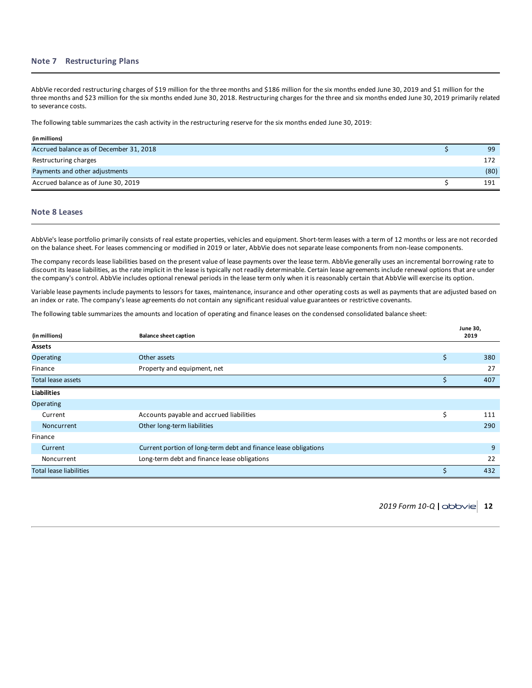## **Note 7 Restructuring Plans**

AbbVie recorded restructuring charges of \$19 million for the three months and \$186 million for the six months ended June 30, 2019 and \$1 million for the three months and \$23 million for the six months ended June 30, 2018. Restructuring charges for the three and six months ended June 30, 2019 primarily related to severance costs.

The following table summarizes the cash activity in the restructuring reserve for the six months ended June 30, 2019:

| (in millions)                           |      |
|-----------------------------------------|------|
| Accrued balance as of December 31, 2018 | 99   |
| Restructuring charges                   | 172  |
| Payments and other adjustments          | (80) |
| Accrued balance as of June 30, 2019     | 191  |

### **Note 8 Leases**

AbbVie's lease portfolio primarily consists of real estate properties, vehicles and equipment. Short-term leases with a term of 12 months or less are not recorded on the balance sheet. For leases commencing or modified in 2019 or later, AbbVie does not separate lease components from non-lease components.

The company records lease liabilities based on the present value of lease payments over the lease term. AbbVie generally uses an incremental borrowing rate to discount its lease liabilities, as the rate implicit in the lease is typically not readily determinable. Certain lease agreements include renewal options that are under the company's control. AbbVie includes optional renewal periods in the lease term only when it is reasonably certain that AbbVie will exercise its option.

Variable lease payments include payments to lessors for taxes, maintenance, insurance and other operating costs as well as payments that are adjusted based on an index or rate. The company's lease agreements do not contain any significant residual value guarantees or restrictive covenants.

The following table summarizes the amounts and location of operating and finance leases on the condensed consolidated balance sheet:

| (in millions)<br><b>Balance sheet caption</b> |                                                                 |    |                |  |
|-----------------------------------------------|-----------------------------------------------------------------|----|----------------|--|
| <b>Assets</b>                                 |                                                                 |    |                |  |
| Operating                                     | Other assets                                                    | \$ | 380            |  |
| Finance                                       | Property and equipment, net                                     |    | 27             |  |
| <b>Total lease assets</b>                     |                                                                 | \$ | 407            |  |
| <b>Liabilities</b>                            |                                                                 |    |                |  |
| Operating                                     |                                                                 |    |                |  |
| Current                                       | Accounts payable and accrued liabilities                        | \$ | 111            |  |
| Noncurrent                                    | Other long-term liabilities                                     |    | 290            |  |
| Finance                                       |                                                                 |    |                |  |
| Current                                       | Current portion of long-term debt and finance lease obligations |    | $\overline{9}$ |  |
| Noncurrent                                    | Long-term debt and finance lease obligations                    |    | 22             |  |
| <b>Total lease liabilities</b>                |                                                                 | \$ | 432            |  |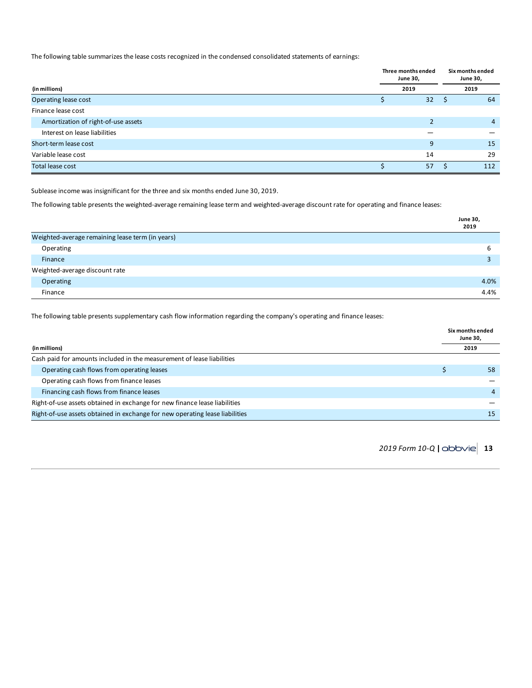The following table summarizes the lease costs recognized in the condensed consolidated statements of earnings:

|                                     | Three months ended<br><b>June 30,</b> |  | Six months ended<br><b>June 30,</b> |
|-------------------------------------|---------------------------------------|--|-------------------------------------|
| (in millions)                       | 2019                                  |  | 2019                                |
| Operating lease cost                | 32                                    |  | 64                                  |
| Finance lease cost                  |                                       |  |                                     |
| Amortization of right-of-use assets |                                       |  | 4                                   |
| Interest on lease liabilities       |                                       |  |                                     |
| Short-term lease cost               | 9                                     |  | 15                                  |
| Variable lease cost                 | 14                                    |  | 29                                  |
| <b>Total lease cost</b>             | 57                                    |  | 112                                 |

Sublease income was insignificant for the three and six months ended June 30, 2019.

The following table presents the weighted-average remaining lease term and weighted-average discount rate for operating and finance leases:

|                                                  | <b>June 30,</b><br>2019 |
|--------------------------------------------------|-------------------------|
| Weighted-average remaining lease term (in years) |                         |
| Operating                                        | ь                       |
| Finance                                          |                         |
| Weighted-average discount rate                   |                         |
| Operating                                        | 4.0%                    |
| Finance                                          | 4.4%                    |

The following table presents supplementary cash flow information regarding the company's operating and finance leases:

| (in millions)                                                                |  | 2019           |  |  |
|------------------------------------------------------------------------------|--|----------------|--|--|
| Cash paid for amounts included in the measurement of lease liabilities       |  |                |  |  |
| Operating cash flows from operating leases                                   |  | 58             |  |  |
| Operating cash flows from finance leases                                     |  |                |  |  |
| Financing cash flows from finance leases                                     |  | $\overline{4}$ |  |  |
| Right-of-use assets obtained in exchange for new finance lease liabilities   |  |                |  |  |
| Right-of-use assets obtained in exchange for new operating lease liabilities |  | 15             |  |  |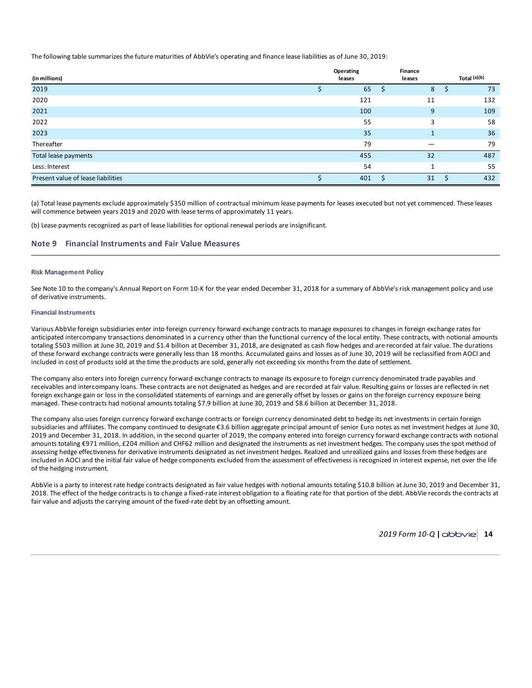The following table summarizes the future maturities of AbbVie's operating and finance lease liabilities as of June 30, 2019:

| (in millions)                      | Operating<br>leases | <b>Finance</b><br>leases | Total $(a)(b)$ |
|------------------------------------|---------------------|--------------------------|----------------|
| 2019                               | 65                  | 8                        | 73             |
| 2020                               | 121                 | 11                       | 132            |
| 2021                               | 100                 | 9                        | 109            |
| 2022                               | 55                  | 3                        | 58             |
| 2023                               | 35                  | 1                        | 36             |
| Thereafter                         | 79                  |                          | 79             |
| Total lease payments               | 455                 | 32                       | 487            |
| Less: Interest                     | 54                  | 1                        | 55             |
| Present value of lease liabilities | 401                 | 31                       | 432            |

(a) Total lease payments exclude approximately \$350 million of contractual minimum lease payments for leases executed but not yet commenced. These leases will commence between years 2019 and 2020 with lease terms of approximately 11 years.

(b) Lease payments recognized as part of lease liabilities for optional renewal periods are insignificant.

## **Note 9 Financial Instruments and Fair Value Measures**

#### **Risk Management Policy**

See Note 10 to the company's Annual Report on Form 10-K for the year ended December 31, 2018 for a summary of AbbVie's risk management policy and use of derivative instruments.

### **Financial Instruments**

Various AbbVie foreign subsidiaries enter into foreign currency forward exchange contracts to manage exposures to changes in foreign exchange rates for anticipated intercompany transactions denominated in a currency other than the functional currency of the local entity. These contracts, with notional amounts totaling \$503 million at June 30, 2019 and \$1.4 billion at December 31, 2018, are designated as cash flow hedges and are recorded at fair value. The durations of these forward exchange contracts were generally less than 18 months. Accumulated gains and losses as of June 30, 2019 will be reclassified from AOCI and included in cost of products sold at the time the products are sold, generally not exceeding six months from the date of settlement.

The company also enters into foreign currency forward exchange contracts to manage its exposure to foreign currency denominated trade payables and receivables and intercompany loans. These contracts are not designated as hedges and are recorded at fair value. Resulting gains or losses are reflected in net foreign exchange gain or loss in the consolidated statements of earnings and are generally offset by losses or gains on the foreign currency exposure being managed. These contracts had notional amounts totaling \$7.9 billion at June 30, 2019 and \$8.6 billion at December 31, 2018.

The company also uses foreign currency forward exchange contracts or foreign currency denominated debt to hedge its net investments in certain foreign subsidiaries and affiliates. The company continued to designate €3.6 billion aggregate principal amount of senior Euro notes as net investment hedges at June 30, 2019 and December 31, 2018. In addition, in the second quarter of 2019, the company entered into foreign currency forward exchange contracts with notional amounts totaling €971 million, £204 million and CHF62 million and designated the instruments as net investment hedges. The company uses the spot method of assessing hedge effectiveness for derivative instruments designated as net investment hedges. Realized and unrealized gains and losses from these hedges are included in AOCI and the initial fair value of hedge components excluded from the assessment of effectiveness is recognized in interest expense, net over the life of the hedging instrument.

AbbVie is a party to interest rate hedge contracts designated as fair value hedges with notional amounts totaling \$10.8 billion at June 30, 2019 and December 31, 2018. The effect of the hedge contracts is to change a fixed-rate interest obligation to a floating rate for that portion of the debt. AbbVie records the contracts at fair value and adjusts the carrying amount of the fixed-rate debt by an offsetting amount.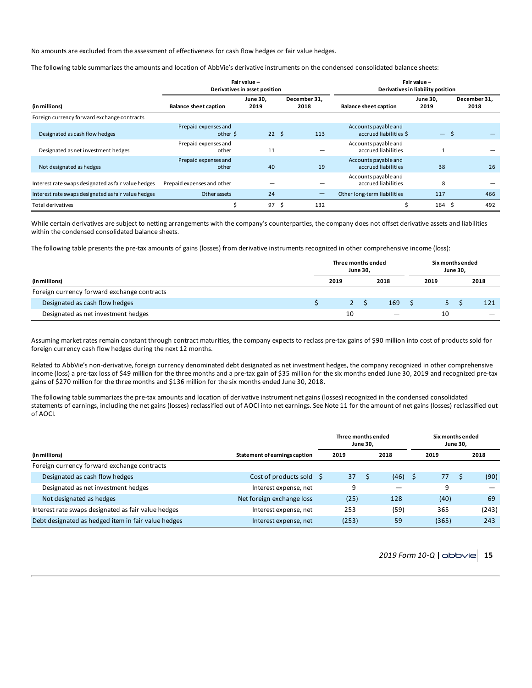No amounts are excluded from the assessment of effectiveness for cash flow hedges or fair value hedges.

The following table summarizes the amounts and location of AbbVie's derivative instruments on the condensed consolidated balance sheets:

|                                                     | Fair value -<br>Derivatives in asset position                                   |                 |                              |                  |                                                | Fair value -<br>Derivatives in liability position |    |     |  |  |  |  |  |
|-----------------------------------------------------|---------------------------------------------------------------------------------|-----------------|------------------------------|------------------|------------------------------------------------|---------------------------------------------------|----|-----|--|--|--|--|--|
| (in millions)                                       | December 31,<br><b>June 30,</b><br><b>Balance sheet caption</b><br>2019<br>2018 |                 | <b>Balance sheet caption</b> | June 30,<br>2019 |                                                | December 31,<br>2018                              |    |     |  |  |  |  |  |
| Foreign currency forward exchange contracts         |                                                                                 |                 |                              |                  |                                                |                                                   |    |     |  |  |  |  |  |
| Designated as cash flow hedges                      | Prepaid expenses and<br>other $\frac{1}{2}$                                     | 22 <sup>5</sup> |                              | 113              | Accounts payable and<br>accrued liabilities \$ | $ -$                                              |    |     |  |  |  |  |  |
| Designated as net investment hedges                 | Prepaid expenses and<br>other                                                   | 11              |                              |                  | Accounts payable and<br>accrued liabilities    | $\mathbf{1}$                                      |    |     |  |  |  |  |  |
| Not designated as hedges                            | Prepaid expenses and<br>other                                                   | 40              |                              | 19               | Accounts payable and<br>accrued liabilities    | 38                                                |    | 26  |  |  |  |  |  |
| Interest rate swaps designated as fair value hedges | Prepaid expenses and other                                                      |                 |                              |                  | Accounts payable and<br>accrued liabilities    | 8                                                 |    |     |  |  |  |  |  |
| Interest rate swaps designated as fair value hedges | Other assets                                                                    | 24              |                              | —                | Other long-term liabilities                    | 117                                               |    | 466 |  |  |  |  |  |
| Total derivatives                                   | Ś                                                                               | 97              | -S                           | 132              |                                                | 164                                               | -S | 492 |  |  |  |  |  |

While certain derivatives are subject to netting arrangements with the company's counterparties, the company does not offset derivative assets and liabilities within the condensed consolidated balance sheets.

The following table presents the pre-tax amounts of gains (losses) from derivative instruments recognized in other comprehensive income (loss):

| Three months ended<br>June 30, |    |      |      |      |      |                                     |
|--------------------------------|----|------|------|------|------|-------------------------------------|
|                                |    |      | 2018 | 2019 | 2018 |                                     |
|                                |    |      |      |      |      |                                     |
|                                |    |      | 169  |      |      | 121                                 |
|                                | 10 |      |      | 10   |      |                                     |
|                                |    | 2019 |      |      |      | Six months ended<br><b>June 30,</b> |

Assuming market rates remain constant through contract maturities, the company expects to reclass pre-tax gains of \$90 million into cost of products sold for foreign currency cash flow hedges during the next 12 months.

Related to AbbVie's non-derivative, foreign currency denominated debt designated as net investment hedges, the company recognized in other comprehensive income (loss) a pre-tax loss of \$49 million for the three months and a pre-tax gain of \$35 million for the six months ended June 30, 2019 and recognized pre-tax gains of \$270 million for the three months and \$136 million for the six months ended June 30, 2018.

The following table summarizes the pre-tax amounts and location of derivative instrument net gains (losses) recognized in the condensed consolidated statements of earnings, including the net gains (losses) reclassified out of AOCI into net earnings. See Note 11 for the amount of net gains (losses) reclassified out of AOCI.

|                                                     |                               | Three months ended<br><b>June 30.</b> |  |      |      | Six months ended<br><b>June 30.</b> |  |       |
|-----------------------------------------------------|-------------------------------|---------------------------------------|--|------|------|-------------------------------------|--|-------|
| (in millions)                                       | Statement of earnings caption | 2019<br>2018                          |  |      | 2019 |                                     |  | 2018  |
| Foreign currency forward exchange contracts         |                               |                                       |  |      |      |                                     |  |       |
| Designated as cash flow hedges                      | Cost of products sold         | 37                                    |  | (46) | S    | 77                                  |  | (90)  |
| Designated as net investment hedges                 | Interest expense, net         | 9                                     |  |      |      | 9                                   |  |       |
| Not designated as hedges                            | Net foreign exchange loss     | (25)                                  |  | 128  |      | (40)                                |  | 69    |
| Interest rate swaps designated as fair value hedges | Interest expense, net         | 253                                   |  | (59) |      | 365                                 |  | (243) |
| Debt designated as hedged item in fair value hedges | Interest expense, net         | (253)                                 |  | 59   |      | (365)                               |  | 243   |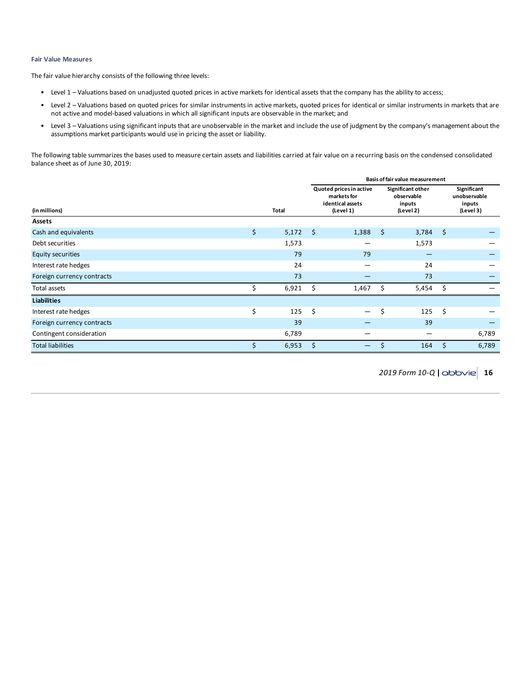## **Fair Value Measures**

The fair value hierarchy consists of the following three levels:

- Level 1 Valuations based on unadjusted quoted prices in active markets for identical assets that the company has the ability to access;
- Level 2 Valuations based on quoted prices for similar instruments in active markets, quoted prices for identical or similar instruments in markets that are not active and model-based valuations in which all significant inputs are observable in the market; and
- Level 3 Valuations using significant inputs that are unobservable in the market and include the use of judgment by the company's management about the assumptions market participants would use in pricing the asset or liability.

The following table summarizes the bases used to measure certain assets and liabilities carried at fair value on a recurring basis on the condensed consolidated balance sheet as of June 30, 2019:

|                            |    |              | Basis of fair value measurement |                                                                         |                                                        |       |      |                                                    |  |  |  |
|----------------------------|----|--------------|---------------------------------|-------------------------------------------------------------------------|--------------------------------------------------------|-------|------|----------------------------------------------------|--|--|--|
| (in millions)              |    | <b>Total</b> |                                 | Quoted prices in active<br>markets for<br>identical assets<br>(Level 1) | Significant other<br>observable<br>inputs<br>(Level 2) |       |      | Significant<br>unobservable<br>inputs<br>(Level 3) |  |  |  |
| Assets                     |    |              |                                 |                                                                         |                                                        |       |      |                                                    |  |  |  |
| Cash and equivalents       | \$ | 5,172        | $\zeta$                         | 1,388                                                                   | \$                                                     | 3,784 | - \$ |                                                    |  |  |  |
| Debt securities            |    | 1,573        |                                 |                                                                         |                                                        | 1,573 |      |                                                    |  |  |  |
| <b>Equity securities</b>   |    | 79           |                                 | 79                                                                      |                                                        | -     |      |                                                    |  |  |  |
| Interest rate hedges       |    | 24           |                                 | -                                                                       |                                                        | 24    |      |                                                    |  |  |  |
| Foreign currency contracts |    | 73           |                                 |                                                                         |                                                        | 73    |      |                                                    |  |  |  |
| Total assets               | Ś  | 6,921        | S                               | 1,467                                                                   | Ŝ.                                                     | 5,454 | - \$ |                                                    |  |  |  |
| <b>Liabilities</b>         |    |              |                                 |                                                                         |                                                        |       |      |                                                    |  |  |  |
| Interest rate hedges       | \$ | 125          | \$                              | $\overline{\phantom{m}}$                                                | \$                                                     | 125   | -\$  |                                                    |  |  |  |
| Foreign currency contracts |    | 39           |                                 |                                                                         |                                                        | 39    |      |                                                    |  |  |  |
| Contingent consideration   |    | 6,789        |                                 |                                                                         |                                                        |       |      | 6,789                                              |  |  |  |
| <b>Total liabilities</b>   | \$ | 6,953        | Ś.                              | —                                                                       | \$                                                     | 164   | \$   | 6,789                                              |  |  |  |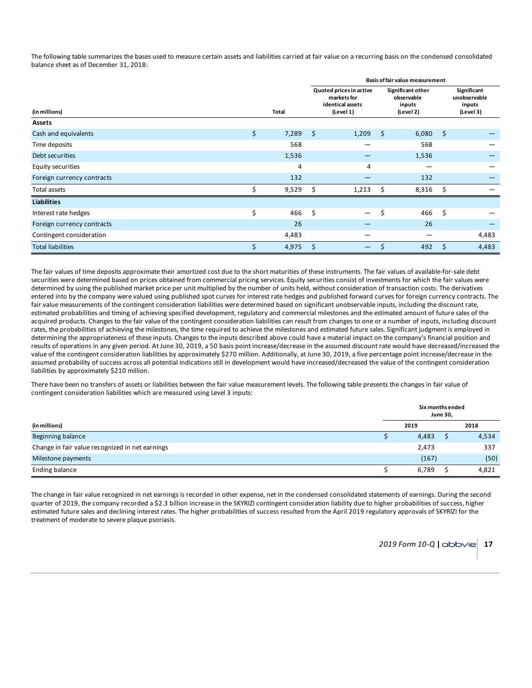The following table summarizes the bases used to measure certain assets and liabilities carried at fair value on a recurring basis on the condensed consolidated balance sheet as of December 31, 2018:

|                            |    |       | Basis of fair value measurement |                                                                         |                                                        |       |      |                                                    |  |  |  |  |
|----------------------------|----|-------|---------------------------------|-------------------------------------------------------------------------|--------------------------------------------------------|-------|------|----------------------------------------------------|--|--|--|--|
| (in millions)              |    | Total |                                 | Quoted prices in active<br>markets for<br>identical assets<br>(Level 1) | Significant other<br>observable<br>inputs<br>(Level 2) |       |      | Significant<br>unobservable<br>inputs<br>(Level 3) |  |  |  |  |
| Assets                     |    |       |                                 |                                                                         |                                                        |       |      |                                                    |  |  |  |  |
| Cash and equivalents       | \$ | 7,289 | \$                              | 1,209                                                                   | \$                                                     | 6,080 | - \$ |                                                    |  |  |  |  |
| Time deposits              |    | 568   |                                 |                                                                         |                                                        | 568   |      |                                                    |  |  |  |  |
| Debt securities            |    | 1,536 |                                 |                                                                         |                                                        | 1,536 |      |                                                    |  |  |  |  |
| Equity securities          |    | 4     |                                 | 4                                                                       |                                                        |       |      |                                                    |  |  |  |  |
| Foreign currency contracts |    | 132   |                                 |                                                                         |                                                        | 132   |      |                                                    |  |  |  |  |
| Total assets               | Ś  | 9,529 | Ś.                              | 1,213                                                                   | Ś                                                      | 8,316 | - \$ |                                                    |  |  |  |  |
| <b>Liabilities</b>         |    |       |                                 |                                                                         |                                                        |       |      |                                                    |  |  |  |  |
| Interest rate hedges       | \$ | 466   | \$                              | $\overline{\phantom{0}}$                                                | \$                                                     | 466   | Ŝ.   |                                                    |  |  |  |  |
| Foreign currency contracts |    | 26    |                                 | _                                                                       |                                                        | 26    |      | _                                                  |  |  |  |  |
| Contingent consideration   |    | 4,483 |                                 |                                                                         |                                                        |       |      | 4,483                                              |  |  |  |  |
| <b>Total liabilities</b>   | Ś. | 4,975 | Ś                               | —                                                                       | \$                                                     | 492   | \$   | 4,483                                              |  |  |  |  |

The fair values of time deposits approximate their amortized cost due to the short maturities of these instruments. The fair values of available-for-sale debt securities were determined based on prices obtained from commercial pricing services. Equity securities consist of investments for which the fair values were determined by using the published market price per unit multiplied by the number of units held, without consideration of transaction costs. The derivatives entered into by the company were valued using published spot curves for interest rate hedges and published forward curves for foreign currency contracts. The fair value measurements of the contingent consideration liabilities were determined based on significant unobservable inputs, including the discount rate, estimated probabilities and timing of achieving specified development, regulatory and commercial milestones and the estimated amount of future sales of the acquired products. Changes to the fair value of the contingent consideration liabilities can result from changes to one or a number of inputs, including discount rates, the probabilities of achieving the milestones, the time required to achieve the milestones and estimated future sales. Significant judgment is employed in determining the appropriateness of these inputs. Changes to the inputs described above could have a material impact on the company's financial position and results of operations in any given period. At June 30, 2019, a 50 basis point increase/decrease in the assumed discount rate would have decreased/increased the value of the contingent consideration liabilities by approximately \$270 million. Additionally, at June 30, 2019, a five percentage point increase/decrease in the assumed probability of success across all potential indications still in development would have increased/decreased the value of the contingent consideration liabilities by approximately \$210 million.

There have been no transfers of assets or liabilities between the fair value measurement levels. The following table presents the changes in fair value of contingent consideration liabilities which are measured using Level 3 inputs:

|                                                 |  | <b>June 30,</b> | Six months ended |       |  |  |
|-------------------------------------------------|--|-----------------|------------------|-------|--|--|
| (in millions)                                   |  | 2019            |                  | 2018  |  |  |
| Beginning balance                               |  | 4,483           |                  | 4,534 |  |  |
| Change in fair value recognized in net earnings |  | 2,473           |                  | 337   |  |  |
| Milestone payments                              |  | (167)           |                  | (50)  |  |  |
| <b>Ending balance</b>                           |  | 6,789           |                  | 4,821 |  |  |

The change in fair value recognized in net earnings is recorded in other expense, net in the condensed consolidated statements of earnings. During the second quarter of 2019, the company recorded a \$2.3 billion increase in the SKYRIZI contingent consideration liability due to higher probabilities of success, higher estimated future sales and declining interest rates. The higher probabilities of success resulted from the April 2019 regulatory approvals of SKYRIZI for the treatment of moderate to severe plaque psoriasis.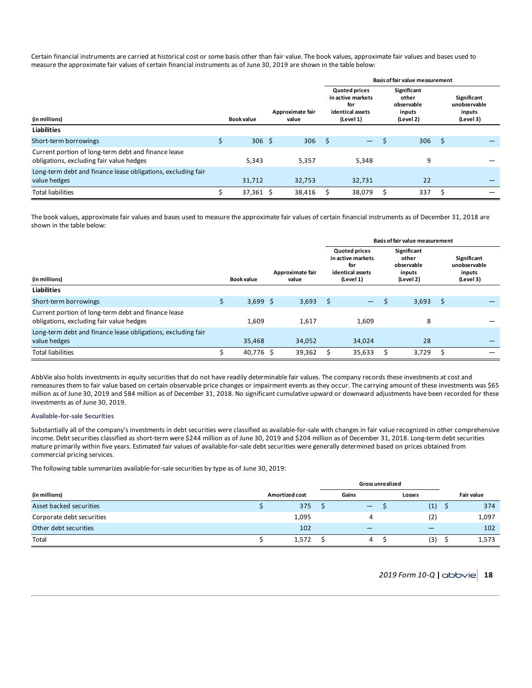Certain financial instruments are carried at historical cost or some basis other than fair value. The book values, approximate fair values and bases used to measure the approximate fair values of certain financial instruments as of June 30, 2019 are shown in the table below:

|                                                                                                 |   |                   |                           | <b>Basis of fair value measurement</b> |                                                                                                                           |  |     |                   |  |  |                                                    |  |
|-------------------------------------------------------------------------------------------------|---|-------------------|---------------------------|----------------------------------------|---------------------------------------------------------------------------------------------------------------------------|--|-----|-------------------|--|--|----------------------------------------------------|--|
| (in millions)                                                                                   |   | <b>Book value</b> | Approximate fair<br>value |                                        | <b>Quoted prices</b><br>Significant<br>other<br>for<br>observable<br>identical assets<br>inputs<br>(Level 1)<br>(Level 2) |  |     | in active markets |  |  | Significant<br>unobservable<br>inputs<br>(Level 3) |  |
| <b>Liabilities</b>                                                                              |   |                   |                           |                                        |                                                                                                                           |  |     |                   |  |  |                                                    |  |
| Short-term borrowings                                                                           | Ś | 306 <sup>5</sup>  | 306                       | S                                      | ╼                                                                                                                         |  | 306 | \$                |  |  |                                                    |  |
| Current portion of long-term debt and finance lease<br>obligations, excluding fair value hedges |   | 5,343             | 5,357                     |                                        | 5,348                                                                                                                     |  | 9   |                   |  |  |                                                    |  |
| Long-term debt and finance lease obligations, excluding fair<br>value hedges                    |   | 31.712            | 32.753                    |                                        | 32.731                                                                                                                    |  | 22  |                   |  |  |                                                    |  |
| <b>Total liabilities</b>                                                                        |   | $37,361$ \$       | 38,416                    |                                        | 38,079                                                                                                                    |  | 337 | S                 |  |  |                                                    |  |

The book values, approximate fair values and bases used to measure the approximate fair values of certain financial instruments as of December 31, 2018 are shown in the table below:

|                                                                                                 |                   |                           | Basis of fair value measurement                                                                                                                |                          |    |                                                    |    |  |  |  |  |
|-------------------------------------------------------------------------------------------------|-------------------|---------------------------|------------------------------------------------------------------------------------------------------------------------------------------------|--------------------------|----|----------------------------------------------------|----|--|--|--|--|
| (in millions)                                                                                   | <b>Book value</b> | Approximate fair<br>value | <b>Quoted prices</b><br>Significant<br>in active markets<br>other<br>observable<br>for<br>identical assets<br>inputs<br>(Level 1)<br>(Level 2) |                          |    | Significant<br>unobservable<br>inputs<br>(Level 3) |    |  |  |  |  |
| <b>Liabilities</b>                                                                              |                   |                           |                                                                                                                                                |                          |    |                                                    |    |  |  |  |  |
| Short-term borrowings                                                                           | \$<br>$3,699$ \$  | 3,693                     | \$                                                                                                                                             | $\overline{\phantom{0}}$ | \$ | 3,693                                              | \$ |  |  |  |  |
| Current portion of long-term debt and finance lease<br>obligations, excluding fair value hedges | 1.609             | 1.617                     |                                                                                                                                                | 1.609                    |    | 8                                                  |    |  |  |  |  |
| Long-term debt and finance lease obligations, excluding fair<br>value hedges                    | 35.468            | 34,052                    |                                                                                                                                                | 34,024                   |    | 28                                                 |    |  |  |  |  |
| <b>Total liabilities</b>                                                                        | 40,776 \$         | 39,362                    |                                                                                                                                                | 35,633                   |    | 3,729                                              |    |  |  |  |  |

AbbVie also holds investments in equity securities that do not have readily determinable fair values. The company records these investments at cost and remeasures them to fair value based on certain observable price changes or impairment events as they occur. The carrying amount of these investments was \$65 million as of June 30, 2019 and \$84 million as of December 31, 2018. No significant cumulative upward or downward adjustments have been recorded for these investments as of June 30, 2019.

## **Available-for-sale Securities**

Substantially all of the company's investments in debt securities were classified as available-for-sale with changes in fair value recognized in other comprehensive income. Debt securities classified as short-term were \$244 million as of June 30, 2019 and \$204 million as of December 31, 2018. Long-term debt securities mature primarily within five years. Estimated fair values of available-for-sale debt securities were generally determined based on prices obtained from commercial pricing services.

The following table summarizes available-for-sale securities by type as of June 30, 2019:

|                           |                       | <b>Gross unrealized</b> |        |     |  |                   |
|---------------------------|-----------------------|-------------------------|--------|-----|--|-------------------|
| (in millions)             | <b>Amortized cost</b> | Gains                   | Losses |     |  | <b>Fair value</b> |
| Asset backed securities   | 375                   | $\qquad \qquad -$       |        | (1) |  | 374               |
| Corporate debt securities | 1,095                 | 4                       |        | (2) |  | 1,097             |
| Other debt securities     | 102                   |                         |        |     |  | 102               |
| Total                     | 1,572                 | 4                       |        | (3) |  | 1,573             |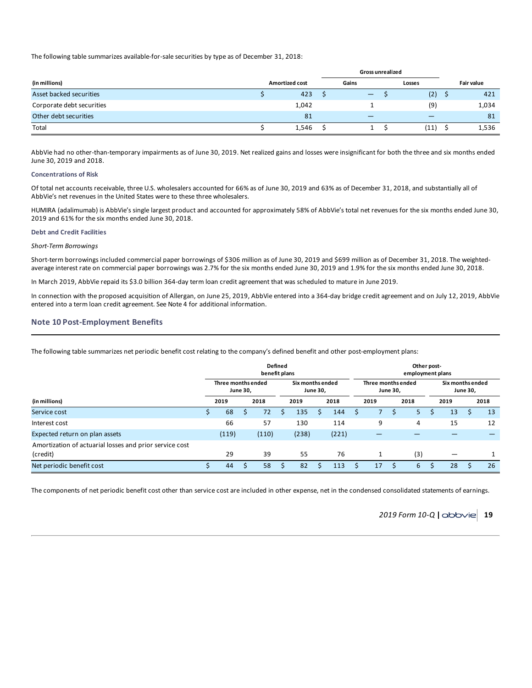The following table summarizes available-for-sale securities by type as of December 31, 2018:

|                           |                       | Gross unrealized               |        |                   |
|---------------------------|-----------------------|--------------------------------|--------|-------------------|
| (in millions)             | <b>Amortized cost</b> | Gains                          | Losses | <b>Fair value</b> |
| Asset backed securities   | 423                   | $\qquad \qquad \longleftarrow$ | (2)    | 421               |
| Corporate debt securities | 1,042                 |                                | (9)    | 1,034             |
| Other debt securities     | 81                    | —                              |        | 81                |
| Total                     | 1,546                 |                                | (11)   | 1,536             |

AbbVie had no other-than-temporary impairments as of June 30, 2019. Net realized gains and losses were insignificant for both the three and six months ended June 30, 2019 and 2018.

#### **Concentrations of Risk**

Of total net accounts receivable, three U.S. wholesalers accounted for 66% as of June 30, 2019 and 63% as of December 31, 2018, and substantially all of AbbVie's net revenues in the United States were to these three wholesalers.

HUMIRA (adalimumab) is AbbVie's single largest product and accounted for approximately 58% of AbbVie's total net revenues for the six months ended June 30, 2019 and 61% for the six months ended June 30, 2018.

#### **Debt and Credit Facilities**

*Short-Term Borrowings*

Short-term borrowings included commercial paper borrowings of \$306 million as of June 30, 2019 and \$699 million as of December 31, 2018. The weightedaverage interest rate on commercial paper borrowings was 2.7% for the six months ended June 30, 2019 and 1.9% for the six months ended June 30, 2018.

In March 2019, AbbVie repaid its \$3.0 billion 364-day term loan credit agreement that was scheduled to mature in June 2019.

In connection with the proposed acquisition of Allergan, on June 25, 2019, AbbVie entered into a 364-day bridge credit agreement and on July 12, 2019, AbbVie entered into a term loan credit agreement. See Note 4 for additional information.

## **Note 10 Post-Employment Benefits**

The following table summarizes net periodic benefit cost relating to the company's defined benefit and other post-employment plans:

|                                                                     | <b>Defined</b><br>benefit plans |                    |          |       |  |       |                                     |       |                    |      | Other post-<br>employment plans |      |  |      |                                     |      |  |  |  |  |
|---------------------------------------------------------------------|---------------------------------|--------------------|----------|-------|--|-------|-------------------------------------|-------|--------------------|------|---------------------------------|------|--|------|-------------------------------------|------|--|--|--|--|
|                                                                     |                                 | Three months ended | June 30, |       |  |       | Six months ended<br><b>June 30,</b> |       | Three months ended |      | <b>June 30,</b>                 |      |  |      | Six months ended<br><b>June 30,</b> |      |  |  |  |  |
| (in millions)                                                       |                                 | 2019               |          | 2018  |  | 2019  |                                     | 2018  |                    | 2019 |                                 | 2018 |  | 2019 |                                     | 2018 |  |  |  |  |
| Service cost                                                        | د                               | 68                 |          | 72    |  | 135   |                                     | 144   |                    |      |                                 | 5    |  | 13   |                                     | 13   |  |  |  |  |
| Interest cost                                                       |                                 | 66                 |          | 57    |  | 130   |                                     | 114   |                    | 9    |                                 | 4    |  | 15   |                                     | 12   |  |  |  |  |
| Expected return on plan assets                                      |                                 | (119)              |          | (110) |  | (238) |                                     | (221) |                    |      |                                 |      |  |      |                                     |      |  |  |  |  |
| Amortization of actuarial losses and prior service cost<br>(credit) |                                 | 29                 |          | 39    |  | 55    |                                     | 76    |                    |      |                                 | (3)  |  |      |                                     |      |  |  |  |  |
| Net periodic benefit cost                                           |                                 | 44                 |          | 58    |  | 82    |                                     | 113   |                    | 17   | S                               | 6    |  | 28   |                                     | 26   |  |  |  |  |

The components of net periodic benefit cost other than service cost are included in other expense, net in the condensed consolidated statements of earnings.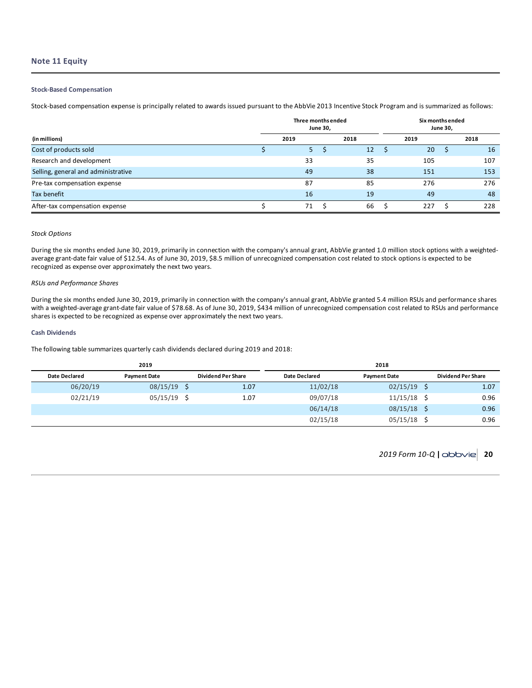## **Note 11 Equity**

## **Stock-Based Compensation**

Stock-based compensation expense is principally related to awards issued pursuant to the AbbVie 2013 Incentive Stock Program and is summarized as follows:

|                                     | Three months ended<br><b>June 30,</b> | Six months ended<br>June 30, |  |      |      |     |  |  |
|-------------------------------------|---------------------------------------|------------------------------|--|------|------|-----|--|--|
| (in millions)                       | 2019                                  | 2018                         |  | 2019 | 2018 |     |  |  |
| Cost of products sold               | 5 <sup>1</sup>                        | 12                           |  | 20   |      | 16  |  |  |
| Research and development            | 33                                    | 35                           |  | 105  |      | 107 |  |  |
| Selling, general and administrative | 49                                    | 38                           |  | 151  |      | 153 |  |  |
| Pre-tax compensation expense        | 87                                    | 85                           |  | 276  |      | 276 |  |  |
| Tax benefit                         | 16                                    | 19                           |  | 49   |      | 48  |  |  |
| After-tax compensation expense      | 71                                    | 66                           |  | 227  |      | 228 |  |  |

## *Stock Options*

During the six months ended June 30, 2019, primarily in connection with the company's annual grant, AbbVie granted 1.0 million stock options with a weightedaverage grant-date fair value of \$12.54. As of June 30, 2019, \$8.5 million of unrecognized compensation cost related to stock options is expected to be recognized as expense over approximately the next two years.

## *RSUs and Performance Shares*

During the six months ended June 30, 2019, primarily in connection with the company's annual grant, AbbVie granted 5.4 million RSUs and performance shares with a weighted-average grant-date fair value of \$78.68. As of June 30, 2019, \$434 million of unrecognized compensation cost related to RSUs and performance shares is expected to be recognized as expense over approximately the next two years.

### **Cash Dividends**

The following table summarizes quarterly cash dividends declared during 2019 and 2018:

|                      | 2019                |                           | 2018          |                     |  |                           |  |  |  |  |  |  |
|----------------------|---------------------|---------------------------|---------------|---------------------|--|---------------------------|--|--|--|--|--|--|
| <b>Date Declared</b> | <b>Payment Date</b> | <b>Dividend Per Share</b> | Date Declared | <b>Payment Date</b> |  | <b>Dividend Per Share</b> |  |  |  |  |  |  |
| 06/20/19             | $08/15/19$ \$       | 1.07                      | 11/02/18      | 02/15/19            |  | 1.07                      |  |  |  |  |  |  |
| 02/21/19             | $05/15/19$ \$       | 1.07                      | 09/07/18      | 11/15/18            |  | 0.96                      |  |  |  |  |  |  |
|                      |                     |                           | 06/14/18      | 08/15/18            |  | 0.96                      |  |  |  |  |  |  |
|                      |                     |                           | 02/15/18      | 05/15/18            |  | 0.96                      |  |  |  |  |  |  |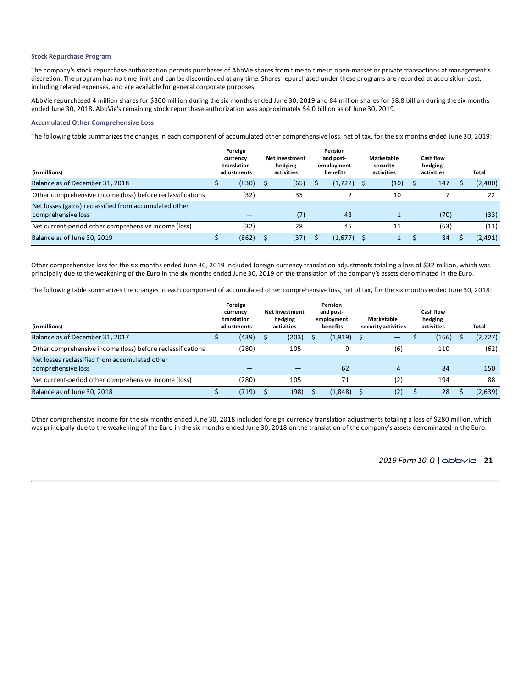## **Stock Repurchase Program**

The company's stock repurchase authorization permits purchases of AbbVie shares from time to time in open-market or private transactions at management's discretion. The program has no time limit and can be discontinued at any time. Shares repurchased under these programs are recorded at acquisition cost, including related expenses, and are available for general corporate purposes.

AbbVie repurchased 4 million shares for \$300 million during the six months ended June 30, 2019 and 84 million shares for \$8.8 billion during the six months ended June 30, 2018. AbbVie's remaining stock repurchase authorization was approximately \$4.0 billion as of June 30, 2019.

## **Accumulated Other Comprehensive Loss**

The following table summarizes the changes in each component of accumulated other comprehensive loss, net of tax, for the six months ended June 30, 2019:

| (in millions)                                                                | Foreign<br>currency<br>translation<br>adiustments | <b>Net investment</b><br>hedging<br>activities | Pension<br>and post-<br>employment<br>benefits | Marketable<br>security<br>activities | Cash flow<br>hedging<br>activities |      | Total   |
|------------------------------------------------------------------------------|---------------------------------------------------|------------------------------------------------|------------------------------------------------|--------------------------------------|------------------------------------|------|---------|
| Balance as of December 31, 2018                                              | (830)                                             | (65)                                           | (1,722)                                        | (10)                                 |                                    | 147  | (2,480) |
| Other comprehensive income (loss) before reclassifications                   | (32)                                              | 35                                             |                                                | 10                                   |                                    |      | 22      |
| Net losses (gains) reclassified from accumulated other<br>comprehensive loss |                                                   | (7)                                            | 43                                             |                                      |                                    | (70) | (33)    |
| Net current-period other comprehensive income (loss)                         | (32)                                              | 28                                             | 45                                             | 11                                   |                                    | (63) | (11)    |
| Balance as of June 30, 2019                                                  | (862)                                             | (37)                                           | (1,677)                                        |                                      |                                    | 84   | (2,491) |

Other comprehensive loss for the six months ended June 30, 2019 included foreign currency translation adjustments totaling a loss of \$32 million, which was principally due to the weakening of the Euro in the six months ended June 30, 2019 on the translation of the company's assets denominated in the Euro.

The following table summarizes the changes in each component of accumulated other comprehensive loss, net of tax, for the six months ended June 30, 2018:

| (in millions)                                                        | Foreign<br>currency<br>translation<br>adiustments | <b>Net investment</b><br>hedging<br>activities | Pension<br>and post-<br>employment<br>benefits | Marketable<br>security activities | Cash flow<br>hedging<br>activities | Total   |
|----------------------------------------------------------------------|---------------------------------------------------|------------------------------------------------|------------------------------------------------|-----------------------------------|------------------------------------|---------|
| Balance as of December 31, 2017                                      | (439)                                             | (203)                                          | (1,919)                                        |                                   | (166)                              | (2,727) |
| Other comprehensive income (loss) before reclassifications           | (280)                                             | 105                                            | 9                                              | (6)                               | 110                                | (62)    |
| Net losses reclassified from accumulated other<br>comprehensive loss |                                                   |                                                | 62                                             | 4                                 | 84                                 | 150     |
| Net current-period other comprehensive income (loss)                 | (280)                                             | 105                                            | 71                                             | (2)                               | 194                                | 88      |
| Balance as of June 30, 2018                                          | (719)                                             | (98)                                           | (1,848)                                        | (2)                               | 28                                 | (2,639) |

Other comprehensive income for the six months ended June 30, 2018 included foreign currency translation adjustments totaling a loss of \$280 million, which was principally due to the weakening of the Euro in the six months ended June 30, 2018 on the translation of the company's assets denominated in the Euro.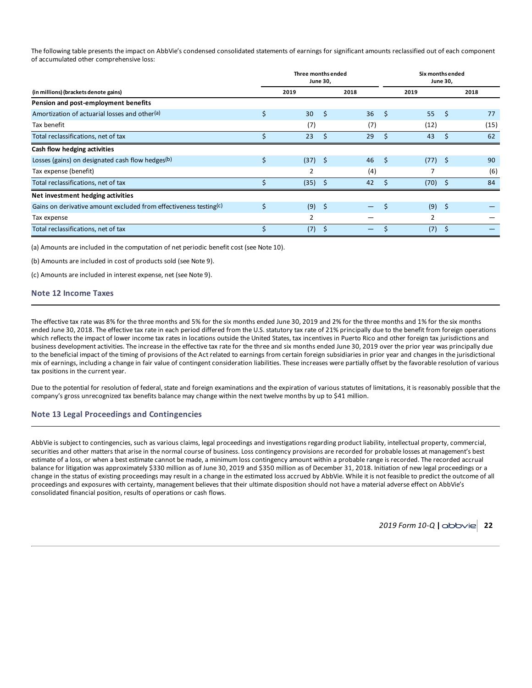The following table presents the impact on AbbVie's condensed consolidated statements of earnings for significant amounts reclassified out of each component of accumulated other comprehensive loss:

|                                                                   | Three months ended<br>June 30, |              | Six months ended<br><b>June 30,</b> |    |      |      |      |
|-------------------------------------------------------------------|--------------------------------|--------------|-------------------------------------|----|------|------|------|
| (in millions) (brackets denote gains)                             | 2019                           |              | 2018                                |    | 2019 |      | 2018 |
| Pension and post-employment benefits                              |                                |              |                                     |    |      |      |      |
| Amortization of actuarial losses and other(a)                     | \$<br>30                       | - Ś          | 36                                  | Ŝ. | 55   | - \$ | 77   |
| Tax benefit                                                       | (7)                            |              | (7)                                 |    | (12) |      | (15) |
| Total reclassifications, net of tax                               | 23                             | <sup>S</sup> | 29                                  | Ŝ. | 43   | Ŝ.   | 62   |
| Cash flow hedging activities                                      |                                |              |                                     |    |      |      |      |
| Losses (gains) on designated cash flow hedges(b)                  | \$<br>(37)                     | - \$         | 46                                  | \$ | (77) | - \$ | 90   |
| Tax expense (benefit)                                             | 2                              |              | (4)                                 |    |      |      | (6)  |
| Total reclassifications, net of tax                               | (35)                           | - \$         | 42                                  | Ŝ. | (70) | - \$ | 84   |
| Net investment hedging activities                                 |                                |              |                                     |    |      |      |      |
| Gains on derivative amount excluded from effectiveness testing(c) | \$<br>(9)                      | - \$         |                                     | \$ | (9)  | -\$  |      |
| Tax expense                                                       | 2                              |              |                                     |    | 2    |      |      |
| Total reclassifications, net of tax                               | (7)                            | - \$         |                                     |    | (7)  | S    |      |

(a) Amounts are included in the computation of net periodic benefit cost (see Note 10).

(b) Amounts are included in cost of products sold (see Note 9).

(c) Amounts are included in interest expense, net (see Note 9).

## **Note 12 Income Taxes**

The effective tax rate was 8% for the three months and 5% for the six months ended June 30, 2019 and 2% for the three months and 1% for the six months ended June 30, 2018. The effective tax rate in each period differed from the U.S. statutory tax rate of 21% principally due to the benefit from foreign operations which reflects the impact of lower income tax rates in locations outside the United States, tax incentives in Puerto Rico and other foreign tax jurisdictions and business development activities. The increase in the effective tax rate for the three and six months ended June 30, 2019 over the prior year was principally due to the beneficial impact of the timing of provisions of the Act related to earnings from certain foreign subsidiaries in prior year and changes in the jurisdictional mix of earnings, including a change in fair value of contingent consideration liabilities. These increases were partially offset by the favorable resolution of various tax positions in the current year.

Due to the potential for resolution of federal, state and foreign examinations and the expiration of various statutes of limitations, it is reasonably possible that the company's gross unrecognized tax benefits balance may change within the next twelve months by up to \$41 million.

## **Note 13 Legal Proceedings and Contingencies**

AbbVie is subject to contingencies, such as various claims, legal proceedings and investigations regarding product liability, intellectual property, commercial, securities and other matters that arise in the normal course of business. Loss contingency provisions are recorded for probable losses at management's best estimate of a loss, or when a best estimate cannot be made, a minimum loss contingency amount within a probable range is recorded. The recorded accrual balance for litigation was approximately \$330 million as of June 30, 2019 and \$350 million as of December 31, 2018. Initiation of new legal proceedings or a change in the status of existing proceedings may result in a change in the estimated loss accrued by AbbVie. While it is not feasible to predict the outcome of all proceedings and exposures with certainty, management believes that their ultimate disposition should not have a material adverse effect on AbbVie's consolidated financial position, results of operations or cash flows.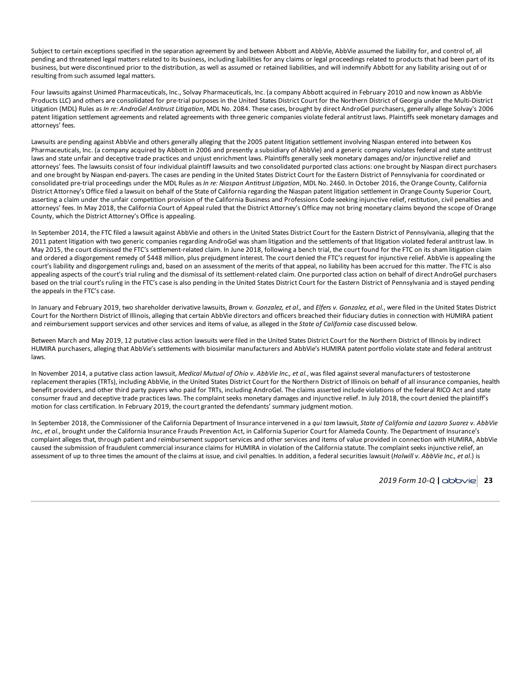Subject to certain exceptions specified in the separation agreement by and between Abbott and AbbVie, AbbVie assumed the liability for, and control of, all pending and threatened legal matters related to its business, including liabilities for any claims or legal proceedings related to products that had been part of its business, but were discontinued prior to the distribution, as well as assumed or retained liabilities, and will indemnify Abbott for any liability arising out of or resulting from such assumed legal matters.

Four lawsuits against Unimed Pharmaceuticals, Inc., Solvay Pharmaceuticals, Inc. (a company Abbott acquired in February 2010 and now known as AbbVie Products LLC) and others are consolidated for pre-trial purposes in the United States District Court for the Northern District of Georgia under the Multi-District Litigation (MDL) Rules as *In re: AndroGel Antitrust Litigation*, MDL No. 2084. These cases, brought by direct AndroGel purchasers, generally allege Solvay's 2006 patent litigation settlement agreements and related agreements with three generic companies violate federal antitrust laws. Plaintiffs seek monetary damages and attorneys' fees.

Lawsuits are pending against AbbVie and others generally alleging that the 2005 patent litigation settlement involving Niaspan entered into between Kos Pharmaceuticals, Inc. (a company acquired by Abbott in 2006 and presently a subsidiary of AbbVie) and a generic company violates federal and state antitrust laws and state unfair and deceptive trade practices and unjust enrichment laws. Plaintiffs generally seek monetary damages and/or injunctive relief and attorneys' fees. The lawsuits consist of four individual plaintiff lawsuits and two consolidated purported class actions: one brought by Niaspan direct purchasers and one brought by Niaspan end-payers. The cases are pending in the United States District Court for the Eastern District of Pennsylvania for coordinated or consolidated pre-trial proceedings under the MDL Rules as *In re: Niaspan Antitrust Litigation*, MDL No. 2460. In October 2016, the Orange County, California District Attorney's Office filed a lawsuit on behalf of the State of California regarding the Niaspan patent litigation settlement in Orange County Superior Court, asserting a claim under the unfair competition provision of the California Business and Professions Code seeking injunctive relief, restitution, civil penalties and attorneys' fees. In May 2018, the California Court of Appeal ruled that the District Attorney's Office may not bring monetary claims beyond the scope of Orange County, which the District Attorney's Office is appealing.

In September 2014, the FTC filed a lawsuit against AbbVie and others in the United States District Court for the Eastern District of Pennsylvania, alleging that the 2011 patent litigation with two generic companies regarding AndroGel was sham litigation and the settlements of that litigation violated federal antitrust law. In May 2015, the court dismissed the FTC's settlement-related claim. In June 2018, following a bench trial, the court found for the FTC on its sham litigation claim and ordered a disgorgement remedy of \$448 million, plus prejudgment interest. The court denied the FTC's request for injunctive relief. AbbVie is appealing the court's liability and disgorgement rulings and, based on an assessment of the merits of that appeal, no liability has been accrued for this matter. The FTC is also appealing aspects of the court's trial ruling and the dismissal of its settlement-related claim. One purported class action on behalf of direct AndroGel purchasers based on the trial court's ruling in the FTC's case is also pending in the United States District Court for the Eastern District of Pennsylvania and is stayed pending the appeals in the FTC's case.

In January and February 2019, two shareholder derivative lawsuits, Brown v. Gonzalez, et al., and Elfers v. Gonzalez, et al., were filed in the United States District Court for the Northern District of Illinois, alleging that certain AbbVie directors and officers breached their fiduciary duties in connection with HUMIRA patient and reimbursement support services and other services and items of value, as alleged in the *State of California* case discussed below.

Between March and May 2019, 12 putative class action lawsuits were filed in the United States District Court for the Northern District of Illinois by indirect HUMIRA purchasers, alleging that AbbVie's settlements with biosimilar manufacturers and AbbVie's HUMIRA patent portfolio violate state and federal antitrust laws.

In November 2014, a putative class action lawsuit, *Medical Mutual of Ohio v. AbbVie Inc., et al.*, was filed against several manufacturers of testosterone replacement therapies (TRTs), including AbbVie, in the United States District Court for the Northern District of Illinois on behalf of all insurance companies, health benefit providers, and other third party payers who paid for TRTs, including AndroGel. The claims asserted include violations of the federal RICO Act and state consumer fraud and deceptive trade practices laws. The complaint seeks monetary damages and injunctive relief. In July 2018, the court denied the plaintiff's motion for class certification. In February 2019, the court granted the defendants' summary judgment motion.

In September 2018, the Commissioner of the California Department of Insurance intervened in a qui tam lawsuit, State of California and Lazaro Suarez v. AbbVie *Inc., et al.*, brought under the California Insurance Frauds Prevention Act, in California Superior Court for Alameda County. The Department of Insurance's complaint alleges that, through patient and reimbursement support services and other services and items of value provided in connection with HUMIRA, AbbVie caused the submission of fraudulent commercial insurance claims for HUMIRA in violation of the California statute. The complaint seeks injunctive relief, an assessment of up to three times the amount of the claims at issue, and civil penalties. In addition, a federal securities lawsuit (*Holwill v. AbbVie Inc., et al*.) is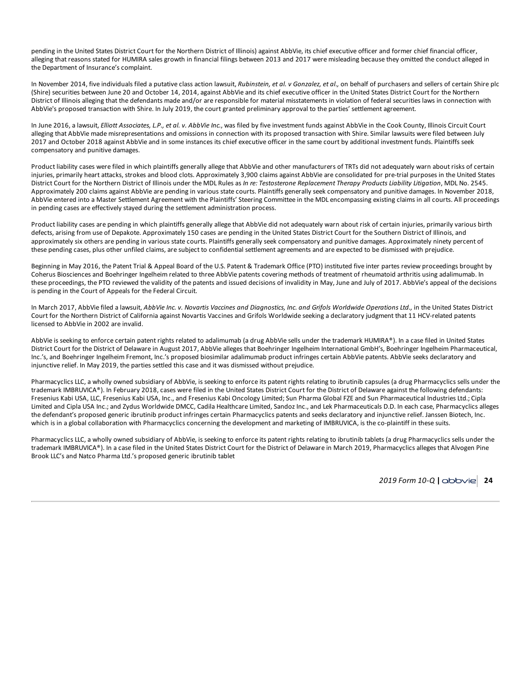pending in the United States District Court for the Northern District of Illinois) against AbbVie, its chief executive officer and former chief financial officer, alleging that reasons stated for HUMIRA sales growth in financial filings between 2013 and 2017 were misleading because they omitted the conduct alleged in the Department of Insurance's complaint.

In November 2014, five individuals filed a putative class action lawsuit, *Rubinstein, et al. v Gonzalez, et al.,* on behalf of purchasers and sellers of certain Shire plc (Shire) securities between June 20 and October 14, 2014, against AbbVie and its chief executive officer in the United States District Court for the Northern District of Illinois alleging that the defendants made and/or are responsible for material misstatements in violation of federal securities laws in connection with AbbVie's proposed transaction with Shire. In July 2019, the court granted preliminary approval to the parties' settlement agreement.

In June 2016, a lawsuit, *Elliott Associates, L.P., et al. v. AbbVie Inc.*, was filed by five investment funds against AbbVie in the Cook County, Illinois Circuit Court alleging that AbbVie made misrepresentations and omissions in connection with its proposed transaction with Shire. Similar lawsuits were filed between July 2017 and October 2018 against AbbVie and in some instances its chief executive officer in the same court by additional investment funds. Plaintiffs seek compensatory and punitive damages.

Product liability cases were filed in which plaintiffs generally allege that AbbVie and other manufacturers of TRTs did not adequately warn about risks of certain injuries, primarily heart attacks, strokes and blood clots. Approximately 3,900 claims against AbbVie are consolidated for pre-trial purposes in the United States District Court for the Northern District of Illinois under the MDL Rules as *In re: Testosterone Replacement Therapy Products Liability Litigation*, MDL No. 2545. Approximately 200 claims against AbbVie are pending in various state courts. Plaintiffs generally seek compensatory and punitive damages. In November 2018, AbbVie entered into a Master Settlement Agreement with the Plaintiffs' Steering Committee in the MDL encompassing existing claims in all courts. All proceedings in pending cases are effectively stayed during the settlement administration process.

Product liability cases are pending in which plaintiffs generally allege that AbbVie did not adequately warn about risk of certain injuries, primarily various birth defects, arising from use of Depakote. Approximately 150 cases are pending in the United States District Court for the Southern District of Illinois, and approximately six others are pending in various state courts. Plaintiffs generally seek compensatory and punitive damages. Approximately ninety percent of these pending cases, plus other unfiled claims, are subject to confidential settlement agreements and are expected to be dismissed with prejudice.

Beginning in May 2016, the Patent Trial & Appeal Board of the U.S. Patent & Trademark Office (PTO) instituted five inter partes review proceedings brought by Coherus Biosciences and Boehringer Ingelheim related to three AbbVie patents covering methods of treatment of rheumatoid arthritis using adalimumab. In these proceedings, the PTO reviewed the validity of the patents and issued decisions of invalidity in May, June and July of 2017. AbbVie's appeal of the decisions is pending in the Court of Appeals for the Federal Circuit.

In March 2017, AbbVie filed a lawsuit, AbbVie Inc. v. Novartis Vaccines and Diagnostics, Inc. and Grifols Worldwide Operations Ltd., in the United States District Court for the Northern District of California against Novartis Vaccines and Grifols Worldwide seeking a declaratory judgment that 11 HCV-related patents licensed to AbbVie in 2002 are invalid.

AbbVie is seeking to enforce certain patent rights related to adalimumab (a drug AbbVie sells under the trademark HUMIRA®). In a case filed in United States District Court for the District of Delaware in August 2017, AbbVie alleges that Boehringer Ingelheim International GmbH's, Boehringer Ingelheim Pharmaceutical, Inc.'s, and Boehringer Ingelheim Fremont, Inc.'s proposed biosimilar adalimumab product infringes certain AbbVie patents. AbbVie seeks declaratory and injunctive relief. In May 2019, the parties settled this case and it was dismissed without prejudice.

Pharmacyclics LLC, a wholly owned subsidiary of AbbVie, is seeking to enforce its patent rights relating to ibrutinib capsules (a drug Pharmacyclics sells under the trademark IMBRUVICA®). In February 2018, cases were filed in the United States District Court for the District of Delaware against the following defendants: Fresenius Kabi USA, LLC, Fresenius Kabi USA, Inc., and Fresenius Kabi Oncology Limited; Sun Pharma Global FZE and Sun Pharmaceutical Industries Ltd.; Cipla Limited and Cipla USA Inc.; and Zydus Worldwide DMCC, Cadila Healthcare Limited, Sandoz Inc., and Lek Pharmaceuticals D.D. In each case, Pharmacyclics alleges the defendant's proposed generic ibrutinib product infringes certain Pharmacyclics patents and seeks declaratory and injunctive relief. Janssen Biotech, Inc. which is in a global collaboration with Pharmacyclics concerning the development and marketing of IMBRUVICA, is the co-plaintiff in these suits.

Pharmacyclics LLC, a wholly owned subsidiary of AbbVie, is seeking to enforce its patent rights relating to ibrutinib tablets (a drug Pharmacyclics sells under the trademark IMBRUVICA®). In a case filed in the United States District Court for the District of Delaware in March 2019, Pharmacyclics alleges that Alvogen Pine Brook LLC's and Natco Pharma Ltd.'s proposed generic ibrutinib tablet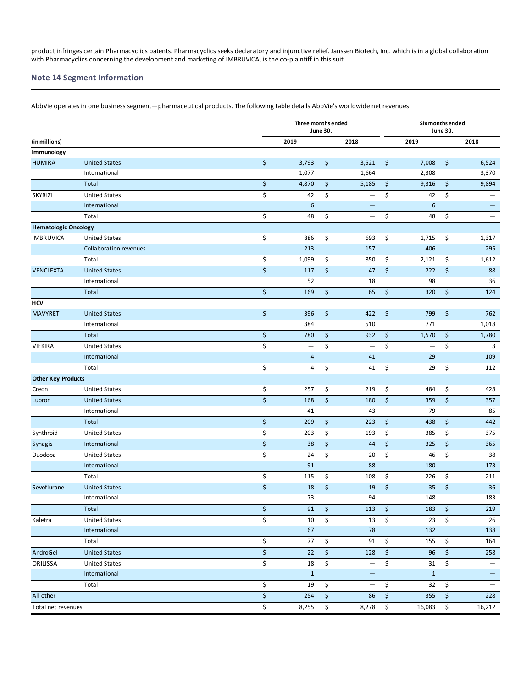product infringes certain Pharmacyclics patents. Pharmacyclics seeks declaratory and injunctive relief. Janssen Biotech, Inc. which is in a global collaboration with Pharmacyclics concerning the development and marketing of IMBRUVICA, is the co-plaintiff in this suit.

## **Note 14 Segment Information**

AbbVie operates in one business segment—pharmaceutical products. The following table details AbbVie's worldwide net revenues:

|                             |                               |                  | Three months ended | <b>June 30,</b>      |                          | Six months ended<br><b>June 30,</b> |                          |                                |                   |  |
|-----------------------------|-------------------------------|------------------|--------------------|----------------------|--------------------------|-------------------------------------|--------------------------|--------------------------------|-------------------|--|
| (in millions)               |                               |                  | 2019               |                      | 2018                     |                                     | 2019                     |                                | 2018              |  |
| Immunology                  |                               |                  |                    |                      |                          |                                     |                          |                                |                   |  |
| <b>HUMIRA</b>               | <b>United States</b>          | \$               | 3,793              | \$                   | 3,521                    | \$                                  | 7,008                    | \$                             | 6,524             |  |
|                             | International                 |                  | 1,077              |                      | 1,664                    |                                     | 2,308                    |                                | 3,370             |  |
|                             | Total                         | \$               | 4,870              | \$                   | 5,185                    | \$                                  | 9,316                    | \$                             | 9,894             |  |
| <b>SKYRIZI</b>              | <b>United States</b>          | \$               | 42                 | \$                   | $\qquad \qquad -$        | \$                                  | 42                       | \$                             | $\qquad \qquad -$ |  |
|                             | International                 |                  | 6                  |                      | $\qquad \qquad -$        |                                     | 6                        |                                |                   |  |
|                             | Total                         | \$               | 48                 | \$                   | $\overline{\phantom{0}}$ | \$                                  | 48                       | \$                             |                   |  |
| <b>Hematologic Oncology</b> |                               |                  |                    |                      |                          |                                     |                          |                                |                   |  |
| <b>IMBRUVICA</b>            | <b>United States</b>          | \$               | 886                | \$                   | 693                      | \$                                  | 1,715                    | \$                             | 1,317             |  |
|                             | <b>Collaboration revenues</b> |                  | 213                |                      | 157                      |                                     | 406                      |                                | 295               |  |
|                             | Total                         | \$               | 1,099              | \$                   | 850                      | \$                                  | 2,121                    | \$                             | 1,612             |  |
| <b>VENCLEXTA</b>            | <b>United States</b>          | \$               | 117                | \$                   | 47                       | $\zeta$                             | 222                      | \$                             | 88                |  |
|                             | International                 |                  | 52                 |                      | 18                       |                                     | 98                       |                                | 36                |  |
|                             | Total                         | \$               | 169                | \$                   | 65                       | \$                                  | 320                      | \$                             | 124               |  |
| <b>HCV</b>                  |                               |                  |                    |                      |                          |                                     |                          |                                |                   |  |
| <b>MAVYRET</b>              | <b>United States</b>          | \$               | 396                | \$                   | 422                      | \$                                  | 799                      | \$                             | 762               |  |
|                             | International                 |                  | 384                |                      | 510                      |                                     | 771                      |                                | 1,018             |  |
|                             | Total                         | \$               | 780                | \$                   | 932                      | $\zeta$                             | 1,570                    | \$                             | 1,780             |  |
| VIEKIRA                     | <b>United States</b>          | \$               | $\qquad \qquad -$  | \$                   | $\qquad \qquad -$        | \$                                  | $\overline{\phantom{m}}$ | \$                             | 3                 |  |
|                             | International                 |                  | 4                  |                      | 41                       |                                     | 29                       |                                | 109               |  |
|                             | Total                         | \$               | 4                  | \$                   | 41                       | \$                                  | 29                       | \$                             | 112               |  |
| <b>Other Key Products</b>   |                               |                  |                    |                      |                          |                                     |                          |                                |                   |  |
| Creon                       | <b>United States</b>          | \$               | 257                | \$                   | 219                      | \$                                  | 484                      | \$                             | 428               |  |
| Lupron                      | <b>United States</b>          | $\overline{\xi}$ | 168                | \$                   | 180                      | $\zeta$                             | 359                      | \$                             | 357               |  |
|                             | International                 |                  | 41                 |                      | 43                       |                                     | 79                       |                                | 85                |  |
|                             | Total                         | \$               | 209                | \$                   | 223                      | \$                                  | 438                      | \$                             | 442               |  |
| Synthroid                   | <b>United States</b>          | \$               | 203                | \$                   | 193                      | \$                                  | 385                      | \$                             | 375               |  |
| Synagis                     | International                 | \$               | 38                 | \$                   | 44                       | \$                                  | 325                      | \$                             | 365               |  |
| Duodopa                     | <b>United States</b>          | \$               | 24                 | \$                   | 20                       | \$                                  | 46                       | \$                             | 38                |  |
|                             | International                 |                  | 91                 |                      | 88                       |                                     | 180                      |                                | 173               |  |
|                             | Total                         | \$               | 115                | \$                   | 108                      | \$                                  | 226                      | \$                             | 211               |  |
| Sevoflurane                 | <b>United States</b>          | \$               | 18                 | \$                   | 19                       | $\mathsf{S}$                        | 35                       | $\zeta$                        | 36                |  |
|                             | International                 |                  | 73                 |                      | 94                       |                                     | 148                      |                                | 183               |  |
|                             | Total                         | \$               | 91                 | $\boldsymbol{\zeta}$ | 113 $\frac{1}{5}$        |                                     | 183                      | $\ddot{\varsigma}$             | 219               |  |
| Kaletra                     | <b>United States</b>          | \$               | 10                 | \$                   | 13                       | \$                                  | 23                       | \$                             | 26                |  |
|                             | International                 |                  | 67                 |                      | 78                       |                                     | 132                      |                                | 138               |  |
|                             | Total                         | \$               | 77                 | \$                   | 91                       | \$                                  | 155                      | \$                             | 164               |  |
| AndroGel                    | <b>United States</b>          | \$               | 22                 | \$                   | 128                      | $\frac{1}{2}$                       | 96                       | $\boldsymbol{\dot{\varsigma}}$ | 258               |  |
| ORILISSA                    | <b>United States</b>          | \$               | 18                 | \$                   | $\qquad \qquad -$        | \$                                  | 31                       | \$                             | $\qquad \qquad -$ |  |
|                             | International                 |                  | $\mathbf{1}$       |                      | $\qquad \qquad -$        |                                     | $\mathbf{1}$             |                                | -                 |  |
|                             | Total                         | \$               | 19                 | \$                   | $\overline{\phantom{0}}$ | \$                                  | 32                       | \$                             | $\qquad \qquad -$ |  |
| All other                   |                               | \$               | 254                | \$                   | 86 \$                    |                                     | 355                      | $\frac{1}{2}$                  | 228               |  |
| Total net revenues          |                               | \$               | 8,255              | \$                   | 8,278 \$                 |                                     | 16,083                   | $\ddot{\mathsf{s}}$            | 16,212            |  |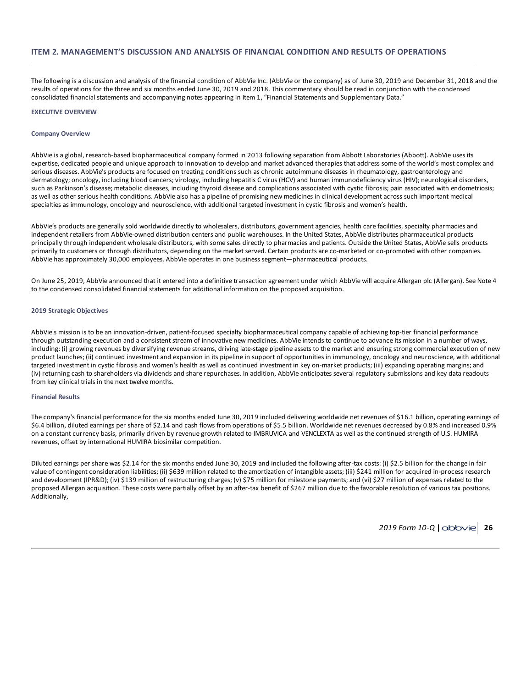The following is a discussion and analysis of the financial condition of AbbVie Inc. (AbbVie or the company) as of June 30, 2019 and December 31, 2018 and the results of operations for the three and six months ended June 30, 2019 and 2018. This commentary should be read in conjunction with the condensed consolidated financial statements and accompanying notes appearing in Item 1, "Financial Statements and Supplementary Data."

### **EXECUTIVE OVERVIEW**

#### **Company Overview**

AbbVie is a global, research-based biopharmaceutical company formed in 2013 following separation from Abbott Laboratories (Abbott). AbbVie uses its expertise, dedicated people and unique approach to innovation to develop and market advanced therapies that address some of the world's most complex and serious diseases. AbbVie's products are focused on treating conditions such as chronic autoimmune diseases in rheumatology, gastroenterology and dermatology; oncology, including blood cancers; virology, including hepatitis C virus (HCV) and human immunodeficiency virus (HIV); neurological disorders, such as Parkinson's disease; metabolic diseases, including thyroid disease and complications associated with cystic fibrosis; pain associated with endometriosis; as well as other serious health conditions. AbbVie also has a pipeline of promising new medicines in clinical development across such important medical specialties as immunology, oncology and neuroscience, with additional targeted investment in cystic fibrosis and women's health.

AbbVie's products are generally sold worldwide directly to wholesalers, distributors, government agencies, health care facilities, specialty pharmacies and independent retailers from AbbVie-owned distribution centers and public warehouses. In the United States, AbbVie distributes pharmaceutical products principally through independent wholesale distributors, with some sales directly to pharmacies and patients. Outside the United States, AbbVie sells products primarily to customers or through distributors, depending on the market served. Certain products are co-marketed or co-promoted with other companies. AbbVie has approximately 30,000 employees. AbbVie operates in one business segment—pharmaceutical products.

On June 25, 2019, AbbVie announced that it entered into a definitive transaction agreement under which AbbVie will acquire Allergan plc (Allergan). See Note 4 to the condensed consolidated financial statements for additional information on the proposed acquisition.

## **2019 Strategic Objectives**

AbbVie's mission is to be an innovation-driven, patient-focused specialty biopharmaceutical company capable of achieving top-tier financial performance through outstanding execution and a consistent stream of innovative new medicines. AbbVie intends to continue to advance its mission in a number of ways, including: (i) growing revenues by diversifying revenue streams, driving late-stage pipeline assets to the market and ensuring strong commercial execution of new product launches; (ii) continued investment and expansion in its pipeline in support of opportunities in immunology, oncology and neuroscience, with additional targeted investment in cystic fibrosis and women's health as well as continued investment in key on-market products; (iii) expanding operating margins; and (iv) returning cash to shareholders via dividends and share repurchases. In addition, AbbVie anticipates several regulatory submissions and key data readouts from key clinical trials in the next twelve months.

### **Financial Results**

The company's financial performance for the six months ended June 30, 2019 included delivering worldwide net revenues of \$16.1 billion, operating earnings of \$6.4 billion, diluted earnings per share of \$2.14 and cash flows from operations of \$5.5 billion. Worldwide net revenues decreased by 0.8% and increased 0.9% on a constant currency basis, primarily driven by revenue growth related to IMBRUVICA and VENCLEXTA as well as the continued strength of U.S. HUMIRA revenues, offset by international HUMIRA biosimilar competition.

Diluted earnings per share was \$2.14 for the six months ended June 30, 2019 and included the following after-tax costs: (i) \$2.5 billion for the change in fair value of contingent consideration liabilities; (ii) \$639 million related to the amortization of intangible assets; (iii) \$241 million for acquired in-process research and development (IPR&D); (iv) \$139 million of restructuring charges; (v) \$75 million for milestone payments; and (vi) \$27 million of expenses related to the proposed Allergan acquisition. These costs were partially offset by an after-tax benefit of \$267 million due to the favorable resolution of various tax positions. Additionally,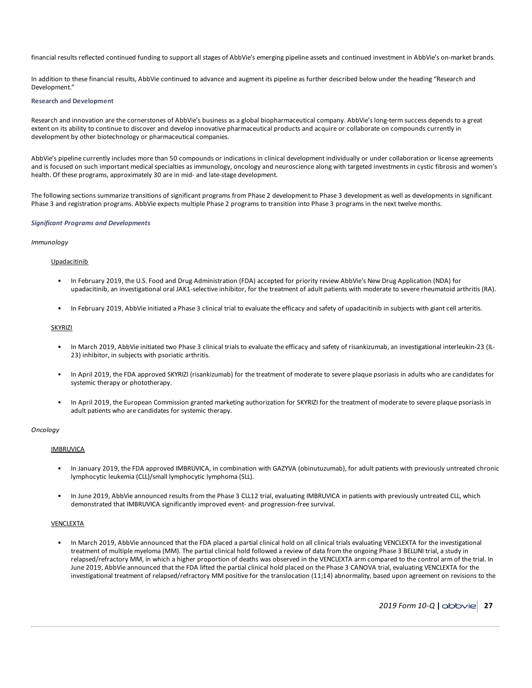financial results reflected continued funding to support all stages of AbbVie's emerging pipeline assets and continued investment in AbbVie's on-market brands.

In addition to these financial results, AbbVie continued to advance and augment its pipeline as further described below under the heading "Research and Development."

## **Research and Development**

Research and innovation are the cornerstones of AbbVie's business as a global biopharmaceutical company. AbbVie's long-term success depends to a great extent on its ability to continue to discover and develop innovative pharmaceutical products and acquire or collaborate on compounds currently in development by other biotechnology or pharmaceutical companies.

AbbVie's pipeline currently includes more than 50 compounds or indications in clinical development individually or under collaboration or license agreements and is focused on such important medical specialties as immunology, oncology and neuroscience along with targeted investments in cystic fibrosis and women's health. Of these programs, approximately 30 are in mid- and late-stage development.

The following sections summarize transitions of significant programs from Phase 2 development to Phase 3 development as well as developments in significant Phase 3 and registration programs. AbbVie expects multiple Phase 2 programs to transition into Phase 3 programs in the next twelve months.

### *Significant Programs and Developments*

## *Immunology*

## Upadacitinib

- In February 2019, the U.S. Food and Drug Administration (FDA) accepted for priority review AbbVie's New Drug Application (NDA) for upadacitinib, an investigational oral JAK1-selective inhibitor, for the treatment of adult patients with moderate to severe rheumatoid arthritis (RA).
- In February 2019, AbbVie initiated a Phase 3 clinical trial to evaluate the efficacy and safety of upadacitinib in subjects with giant cell arteritis.

## **SKYRIZI**

- In March 2019, AbbVie initiated two Phase 3 clinical trials to evaluate the efficacy and safety of risankizumab, an investigational interleukin-23 (IL-23) inhibitor, in subjects with psoriatic arthritis.
- In April 2019, the FDA approved SKYRIZI (risankizumab) for the treatment of moderate to severe plaque psoriasis in adults who are candidates for systemic therapy or phototherapy.
- In April 2019, the European Commission granted marketing authorization for SKYRIZI for the treatment of moderate to severe plaque psoriasis in adult patients who are candidates for systemic therapy.

### *Oncology*

## **IMBRUVICA**

- In January 2019, the FDA approved IMBRUVICA, in combination with GAZYVA (obinutuzumab), for adult patients with previously untreated chronic lymphocytic leukemia (CLL)/small lymphocytic lymphoma (SLL).
- In June 2019, AbbVie announced results from the Phase 3 CLL12 trial, evaluating IMBRUVICA in patients with previously untreated CLL, which demonstrated that IMBRUVICA significantly improved event- and progression-free survival.

## VENCLEXTA

• In March 2019, AbbVie announced that the FDA placed a partial clinical hold on all clinical trials evaluating VENCLEXTA for the investigational treatment of multiple myeloma (MM). The partial clinical hold followed a review of data from the ongoing Phase 3 BELLINI trial, a study in relapsed/refractory MM, in which a higher proportion of deaths was observed in the VENCLEXTA arm compared to the control arm of the trial. In June 2019, AbbVie announced that the FDA lifted the partial clinical hold placed on the Phase 3 CANOVA trial, evaluating VENCLEXTA for the investigational treatment of relapsed/refractory MM positive for the translocation (11;14) abnormality, based upon agreement on revisions to the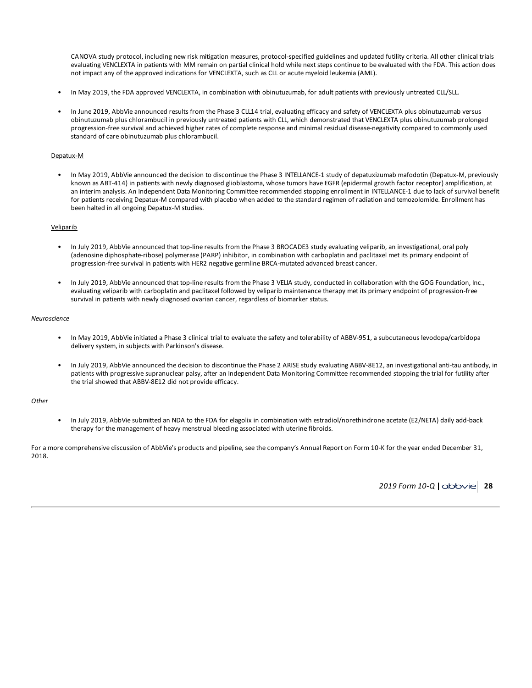CANOVA study protocol, including new risk mitigation measures, protocol-specified guidelines and updated futility criteria. All other clinical trials evaluating VENCLEXTA in patients with MM remain on partial clinical hold while next steps continue to be evaluated with the FDA. This action does not impact any of the approved indications for VENCLEXTA, such as CLL or acute myeloid leukemia (AML).

- In May 2019, the FDA approved VENCLEXTA, in combination with obinutuzumab, for adult patients with previously untreated CLL/SLL.
- In June 2019, AbbVie announced results from the Phase 3 CLL14 trial, evaluating efficacy and safety of VENCLEXTA plus obinutuzumab versus obinutuzumab plus chlorambucil in previously untreated patients with CLL, which demonstrated that VENCLEXTA plus obinutuzumab prolonged progression-free survival and achieved higher rates of complete response and minimal residual disease-negativity compared to commonly used standard of care obinutuzumab plus chlorambucil.

## Depatux-M

• In May 2019, AbbVie announced the decision to discontinue the Phase 3 INTELLANCE-1 study of depatuxizumab mafodotin (Depatux-M, previously known as ABT-414) in patients with newly diagnosed glioblastoma, whose tumors have EGFR (epidermal growth factor receptor) amplification, at an interim analysis. An Independent Data Monitoring Committee recommended stopping enrollment in INTELLANCE-1 due to lack of survival benefit for patients receiving Depatux-M compared with placebo when added to the standard regimen of radiation and temozolomide. Enrollment has been halted in all ongoing Depatux-M studies.

#### Veliparib

- In July 2019, AbbVie announced that top-line results from the Phase 3 BROCADE3 study evaluating veliparib, an investigational, oral poly (adenosine diphosphate-ribose) polymerase (PARP) inhibitor, in combination with carboplatin and paclitaxel met its primary endpoint of progression-free survival in patients with HER2 negative germline BRCA-mutated advanced breast cancer.
- In July 2019, AbbVie announced that top-line results from the Phase 3 VELIA study, conducted in collaboration with the GOG Foundation, Inc., evaluating veliparib with carboplatin and paclitaxel followed by veliparib maintenance therapy met its primary endpoint of progression-free survival in patients with newly diagnosed ovarian cancer, regardless of biomarker status.

#### *Neuroscience*

- In May 2019, AbbVie initiated a Phase 3 clinical trial to evaluate the safety and tolerability of ABBV-951, a subcutaneous levodopa/carbidopa delivery system, in subjects with Parkinson's disease.
- In July 2019, AbbVie announced the decision to discontinue the Phase 2 ARISE study evaluating ABBV-8E12, an investigational anti-tau antibody, in patients with progressive supranuclear palsy, after an Independent Data Monitoring Committee recommended stopping the trial for futility after the trial showed that ABBV-8E12 did not provide efficacy.

#### *Other*

• In July 2019, AbbVie submitted an NDA to the FDA for elagolix in combination with estradiol/norethindrone acetate (E2/NETA) daily add-back therapy for the management of heavy menstrual bleeding associated with uterine fibroids.

For a more comprehensive discussion of AbbVie's products and pipeline, see the company's Annual Report on Form 10-K for the year ended December 31, 2018.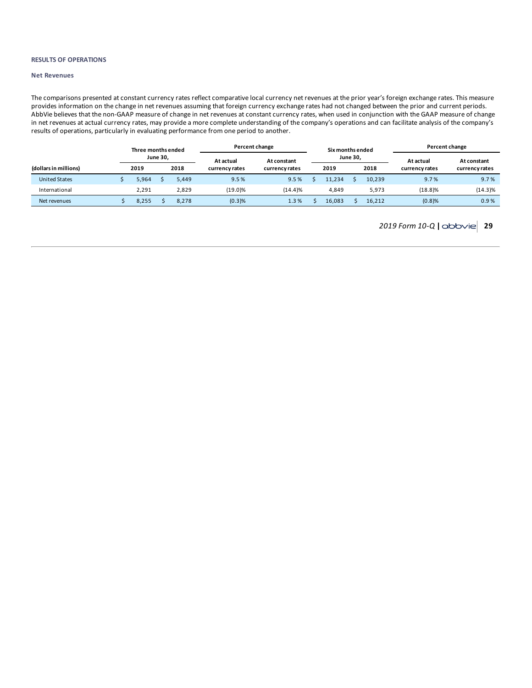### **RESULTS OF OPERATIONS**

## **Net Revenues**

The comparisons presented at constant currency rates reflect comparative local currency net revenues at the prior year's foreign exchange rates. This measure provides information on the change in net revenues assuming that foreign currency exchange rates had not changed between the prior and current periods. AbbVie believes that the non-GAAP measure of change in net revenues at constant currency rates, when used in conjunction with the GAAP measure of change in net revenues at actual currency rates, may provide a more complete understanding of the company's operations and can facilitate analysis of the company's results of operations, particularly in evaluating performance from one period to another.

|                       | Three months ended |                 |       |                | Percent change |  |                 |  | Six months ended |                | Percent change |  |  |  |
|-----------------------|--------------------|-----------------|-------|----------------|----------------|--|-----------------|--|------------------|----------------|----------------|--|--|--|
|                       |                    | <b>June 30,</b> |       | At actual      |                |  | <b>June 30,</b> |  | At actual        | At constant    |                |  |  |  |
| (dollars in millions) | 2019               |                 | 2018  | currency rates | currency rates |  | 2019            |  | 2018             | currency rates | currency rates |  |  |  |
| <b>United States</b>  | 5.964              |                 | 5.449 | 9.5%           | 9.5%           |  | 11.234          |  | 10.239           | 9.7%           | 9.7%           |  |  |  |
| International         | 2.291              |                 | 2.829 | $(19.0)\%$     | (14.4)%        |  | 4.849           |  | 5.973            | (18.8)%        | $(14.3)\%$     |  |  |  |
| Net revenues          | 8,255              |                 | 8.278 | (0.3)%         | 1.3%           |  | 16.083          |  | 16.212           | (0.8)%         | 0.9%           |  |  |  |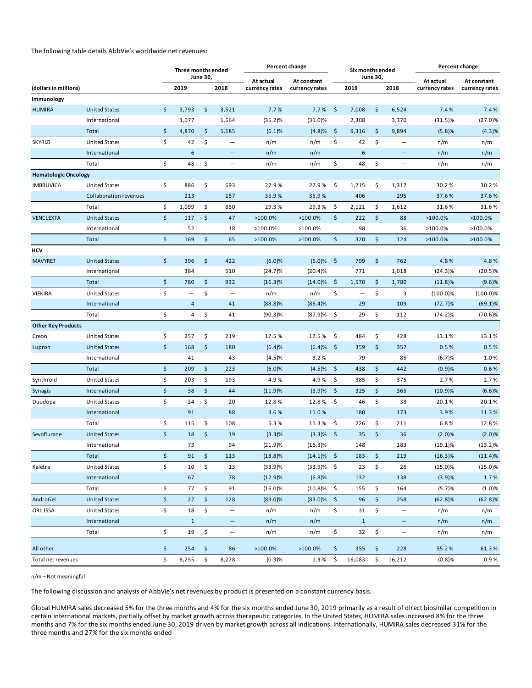The following table details AbbVie's worldwide net revenues:

| <b>June 30,</b><br><b>June 30,</b><br>At actual<br>At actual<br>At constant<br>At constant<br>2019<br>2018<br>(dollars in millions)<br>2018<br>2019<br>currency rates<br>currency rates<br>currency rates<br>currency rates<br>Immunology<br><b>HUMIRA</b><br>\$<br>\$<br>\$<br>\$<br><b>United States</b><br>3,793<br>3,521<br>7.7%<br>7.7%<br>7,008<br>6,524<br>7.4%<br>7.4%<br>International<br>1,077<br>1,664<br>(35.2)%<br>(31.0)%<br>2,308<br>3,370<br>$(31.5)\%$<br>(27.0)%<br>\$<br>\$<br>\$<br>\$<br>Total<br>4,870<br>5,185<br>9,316<br>(4.3)%<br>(6.1)%<br>(4.8)%<br>9,894<br>(5.8)%<br>\$<br>\$<br>\$<br>\$<br>42<br>42<br><b>SKYRIZI</b><br><b>United States</b><br>n/m<br>n/m<br>n/m<br>n/m<br>$\overline{\phantom{0}}$<br>$\overline{\phantom{m}}$<br>International<br>6<br>n/m<br>n/m<br>6<br>n/m<br>n/m<br>-<br>-<br>\$<br>\$<br>\$<br>\$<br>48<br>48<br>Total<br>n/m<br>n/m<br>n/m<br>n/m<br>$\qquad \qquad -$<br>$\qquad \qquad -$<br><b>Hematologic Oncology</b><br><b>IMBRUVICA</b><br><b>United States</b><br>\$<br>886<br>\$<br>\$<br>\$<br>30.2%<br>693<br>27.9%<br>27.9%<br>1,715<br>1,317<br>30.2%<br>406<br>Collaboration revenues<br>213<br>157<br>35.9%<br>35.9%<br>295<br>37.6%<br>37.6%<br>\$<br>\$<br>\$<br>\$<br>1,099<br>29.3%<br>Total<br>850<br>29.3%<br>2,121<br>1,612<br>31.6%<br>31.6%<br>\$<br>\$<br>\$<br>117<br>\$<br>222<br><b>VENCLEXTA</b><br><b>United States</b><br>47<br>>100.0%<br>>100.0%<br>88<br>>100.0%<br>>100.0%<br>98<br>52<br>18<br>>100.0%<br>>100.0%<br>36<br>>100.0%<br>>100.0%<br>International<br>\$<br>\$<br>\$<br>\$<br>Total<br>169<br>65<br>320<br>124<br>$>100.0\%$<br>$>100.0\%$<br>$>100.0\%$<br>$>100.0\%$<br>HCV<br>\$<br>396<br>\$<br>\$<br><b>MAVYRET</b><br><b>United States</b><br>422<br>(6.0)%<br>(6.0)%<br>- \$<br>799<br>762<br>4.8%<br>4.8%<br>384<br>International<br>510<br>$(24.7)\%$<br>(20.4)%<br>771<br>1,018<br>$(24.3)\%$<br>$(20.5)\%$<br>\$<br>\$<br>\$<br>$(14.0) \%$ \$<br>780<br>932<br>1,570<br>(9.6)%<br>Total<br>(16.3)%<br>1,780<br>$(11.8)\%$<br>\$<br>\$<br>\$<br>\$<br>n/m<br>3<br><b>VIEKIRA</b><br><b>United States</b><br>n/m<br>$(100.0)\%$<br>$(100.0)\%$<br>—<br>$\overline{\phantom{0}}$<br>—<br>International<br>$\overline{a}$<br>41<br>(88.8)%<br>(86.4)%<br>29<br>109<br>$(72.7)\%$<br>$(69.1)\%$<br>\$<br>\$<br>\$<br>\$<br>Total<br>4<br>41<br>(87.9)%<br>29<br>112<br>$(70.6)\%$<br>(90.3)%<br>$(74.2)\%$<br><b>Other Key Products</b><br>\$<br>\$<br>\$<br>257<br>\$<br>484<br><b>United States</b><br>219<br>17.5%<br>17.5%<br>428<br>13.1%<br>13.1%<br>Creon<br>$\zeta$<br>\$<br>\$<br>168<br><b>United States</b><br>180<br>(6.4)%<br>\$<br>359<br>357<br>0.5%<br>0.5%<br>Lupron<br>(6.4)%<br>79<br>1.0%<br>International<br>41<br>43<br>85<br>(6.7)%<br>(4.5)%<br>3.2%<br>\$<br>\$<br>\$<br>209<br>\$<br>Total<br>223<br>(6.0)%<br>(4.5)%<br>438<br>442<br>(0.9)%<br>0.6%<br>\$<br>\$<br>\$<br>\$<br>375<br>Synthroid<br><b>United States</b><br>203<br>193<br>4.9%<br>4.9%<br>385<br>2.7%<br>2.7%<br>\$<br>\$<br>\$<br>$\ddot{\varsigma}$<br>International<br>38<br>44<br>(11.9)%<br>(3.9)%<br>325<br>365<br>(10.9)%<br>(6.6)%<br>Synagis<br>\$<br>\$<br>\$<br>24<br>\$<br>38<br>Duodopa<br><b>United States</b><br>20<br>12.8%<br>12.8%<br>46<br>20.1%<br>20.1%<br>91<br>88<br>3.6%<br>11.0%<br>180<br>173<br>3.9%<br>International<br>11.3%<br>\$<br>\$<br>\$<br>\$<br>Total<br>115<br>108<br>5.3%<br>11.3%<br>226<br>211<br>6.8%<br>12.8%<br>\$<br>\$<br>\$<br>18<br>\$<br>Sevoflurane<br><b>United States</b><br>19<br>(3.3)%<br>35<br>36<br>(2.0)%<br>(2.0)%<br>(3.3)%<br>73<br>94<br>183<br>$(13.2)\%$<br>International<br>(21.9)%<br>$(16.3)\%$<br>148<br>$(19.1)\%$<br>\$<br>\$<br>\$<br>$(14.1)\%$ \$<br>Total<br>91<br>113<br>$(18.8)\%$<br>183<br>219<br>$(16.3)\%$<br>(11.4)%<br>\$<br>\$<br>10<br>$(33.9)%$ \$<br>23<br>\$<br>(15.0)%<br><b>United States</b><br>13<br>(33.9)%<br>26<br>$(15.0)\%$<br>Kaletra<br>67<br>78<br>(3.9)%<br>International<br>(12.9)%<br>(6.8)%<br>132<br>138<br>1.7%<br>\$<br>\$<br>\$<br>77<br>91<br>\$<br>Total<br>$(16.0)\%$<br>$(10.8)\%$<br>155<br>164<br>(5.7)%<br>(1.0)%<br>\$<br>\$<br>\$<br>AndroGel<br>22<br>128<br>$\ddot{\varsigma}$<br>96<br>258<br><b>United States</b><br>$(83.0)\%$<br>$(83.0)\%$<br>$(62.8)\%$<br>(62.8)%<br>\$<br>\$<br>\$<br>18<br>\$<br>31<br>ORILISSA<br><b>United States</b><br>n/m<br>n/m<br>n/m<br>n/m<br>$\qquad \qquad -$<br>$\overline{\phantom{m}}$<br>$\mathbf{1}$<br>International<br>$\mathbf{1}$<br>n/m<br>n/m<br>n/m<br>n/m<br>$\qquad \qquad -$<br>—<br>\$<br>\$<br>\$<br>\$<br>19<br>32<br>n/m<br>Total<br>n/m<br>n/m<br>n/m<br>$\overline{\phantom{0}}$<br>$\overline{\phantom{0}}$<br>\$<br>All other<br>254<br>\$<br>86<br>>100.0%<br>>100.0%<br>\$<br>355<br>\$<br>228<br>55.2%<br>61.3%<br>\$<br>\$<br>\$<br>8,255<br>8,278<br>16,083<br>\$<br>16,212<br>0.9%<br>(0.3)%<br>1.3%<br>(0.8)%<br>Total net revenues |  | Three months ended |  | Percent change | Six months ended |  | Percent change |
|-----------------------------------------------------------------------------------------------------------------------------------------------------------------------------------------------------------------------------------------------------------------------------------------------------------------------------------------------------------------------------------------------------------------------------------------------------------------------------------------------------------------------------------------------------------------------------------------------------------------------------------------------------------------------------------------------------------------------------------------------------------------------------------------------------------------------------------------------------------------------------------------------------------------------------------------------------------------------------------------------------------------------------------------------------------------------------------------------------------------------------------------------------------------------------------------------------------------------------------------------------------------------------------------------------------------------------------------------------------------------------------------------------------------------------------------------------------------------------------------------------------------------------------------------------------------------------------------------------------------------------------------------------------------------------------------------------------------------------------------------------------------------------------------------------------------------------------------------------------------------------------------------------------------------------------------------------------------------------------------------------------------------------------------------------------------------------------------------------------------------------------------------------------------------------------------------------------------------------------------------------------------------------------------------------------------------------------------------------------------------------------------------------------------------------------------------------------------------------------------------------------------------------------------------------------------------------------------------------------------------------------------------------------------------------------------------------------------------------------------------------------------------------------------------------------------------------------------------------------------------------------------------------------------------------------------------------------------------------------------------------------------------------------------------------------------------------------------------------------------------------------------------------------------------------------------------------------------------------------------------------------------------------------------------------------------------------------------------------------------------------------------------------------------------------------------------------------------------------------------------------------------------------------------------------------------------------------------------------------------------------------------------------------------------------------------------------------------------------------------------------------------------------------------------------------------------------------------------------------------------------------------------------------------------------------------------------------------------------------------------------------------------------------------------------------------------------------------------------------------------------------------------------------------------------------------------------------------------------------------------------------------------------------------------------------------------------------------------------------------------------------------------------------------------------------------------------------------------------------------------------------------------------------------------------------------------------------------------------------------------------------------------------------------------------------------------------------------------------------------------------------------------------------------------------------------------------------------------------------------------------------------------------------------------------------------|--|--------------------|--|----------------|------------------|--|----------------|
|                                                                                                                                                                                                                                                                                                                                                                                                                                                                                                                                                                                                                                                                                                                                                                                                                                                                                                                                                                                                                                                                                                                                                                                                                                                                                                                                                                                                                                                                                                                                                                                                                                                                                                                                                                                                                                                                                                                                                                                                                                                                                                                                                                                                                                                                                                                                                                                                                                                                                                                                                                                                                                                                                                                                                                                                                                                                                                                                                                                                                                                                                                                                                                                                                                                                                                                                                                                                                                                                                                                                                                                                                                                                                                                                                                                                                                                                                                                                                                                                                                                                                                                                                                                                                                                                                                                                                                                                                                                                                                                                                                                                                                                                                                                                                                                                                                                                                                                                         |  |                    |  |                |                  |  |                |
|                                                                                                                                                                                                                                                                                                                                                                                                                                                                                                                                                                                                                                                                                                                                                                                                                                                                                                                                                                                                                                                                                                                                                                                                                                                                                                                                                                                                                                                                                                                                                                                                                                                                                                                                                                                                                                                                                                                                                                                                                                                                                                                                                                                                                                                                                                                                                                                                                                                                                                                                                                                                                                                                                                                                                                                                                                                                                                                                                                                                                                                                                                                                                                                                                                                                                                                                                                                                                                                                                                                                                                                                                                                                                                                                                                                                                                                                                                                                                                                                                                                                                                                                                                                                                                                                                                                                                                                                                                                                                                                                                                                                                                                                                                                                                                                                                                                                                                                                         |  |                    |  |                |                  |  |                |
|                                                                                                                                                                                                                                                                                                                                                                                                                                                                                                                                                                                                                                                                                                                                                                                                                                                                                                                                                                                                                                                                                                                                                                                                                                                                                                                                                                                                                                                                                                                                                                                                                                                                                                                                                                                                                                                                                                                                                                                                                                                                                                                                                                                                                                                                                                                                                                                                                                                                                                                                                                                                                                                                                                                                                                                                                                                                                                                                                                                                                                                                                                                                                                                                                                                                                                                                                                                                                                                                                                                                                                                                                                                                                                                                                                                                                                                                                                                                                                                                                                                                                                                                                                                                                                                                                                                                                                                                                                                                                                                                                                                                                                                                                                                                                                                                                                                                                                                                         |  |                    |  |                |                  |  |                |
|                                                                                                                                                                                                                                                                                                                                                                                                                                                                                                                                                                                                                                                                                                                                                                                                                                                                                                                                                                                                                                                                                                                                                                                                                                                                                                                                                                                                                                                                                                                                                                                                                                                                                                                                                                                                                                                                                                                                                                                                                                                                                                                                                                                                                                                                                                                                                                                                                                                                                                                                                                                                                                                                                                                                                                                                                                                                                                                                                                                                                                                                                                                                                                                                                                                                                                                                                                                                                                                                                                                                                                                                                                                                                                                                                                                                                                                                                                                                                                                                                                                                                                                                                                                                                                                                                                                                                                                                                                                                                                                                                                                                                                                                                                                                                                                                                                                                                                                                         |  |                    |  |                |                  |  |                |
|                                                                                                                                                                                                                                                                                                                                                                                                                                                                                                                                                                                                                                                                                                                                                                                                                                                                                                                                                                                                                                                                                                                                                                                                                                                                                                                                                                                                                                                                                                                                                                                                                                                                                                                                                                                                                                                                                                                                                                                                                                                                                                                                                                                                                                                                                                                                                                                                                                                                                                                                                                                                                                                                                                                                                                                                                                                                                                                                                                                                                                                                                                                                                                                                                                                                                                                                                                                                                                                                                                                                                                                                                                                                                                                                                                                                                                                                                                                                                                                                                                                                                                                                                                                                                                                                                                                                                                                                                                                                                                                                                                                                                                                                                                                                                                                                                                                                                                                                         |  |                    |  |                |                  |  |                |
|                                                                                                                                                                                                                                                                                                                                                                                                                                                                                                                                                                                                                                                                                                                                                                                                                                                                                                                                                                                                                                                                                                                                                                                                                                                                                                                                                                                                                                                                                                                                                                                                                                                                                                                                                                                                                                                                                                                                                                                                                                                                                                                                                                                                                                                                                                                                                                                                                                                                                                                                                                                                                                                                                                                                                                                                                                                                                                                                                                                                                                                                                                                                                                                                                                                                                                                                                                                                                                                                                                                                                                                                                                                                                                                                                                                                                                                                                                                                                                                                                                                                                                                                                                                                                                                                                                                                                                                                                                                                                                                                                                                                                                                                                                                                                                                                                                                                                                                                         |  |                    |  |                |                  |  |                |
|                                                                                                                                                                                                                                                                                                                                                                                                                                                                                                                                                                                                                                                                                                                                                                                                                                                                                                                                                                                                                                                                                                                                                                                                                                                                                                                                                                                                                                                                                                                                                                                                                                                                                                                                                                                                                                                                                                                                                                                                                                                                                                                                                                                                                                                                                                                                                                                                                                                                                                                                                                                                                                                                                                                                                                                                                                                                                                                                                                                                                                                                                                                                                                                                                                                                                                                                                                                                                                                                                                                                                                                                                                                                                                                                                                                                                                                                                                                                                                                                                                                                                                                                                                                                                                                                                                                                                                                                                                                                                                                                                                                                                                                                                                                                                                                                                                                                                                                                         |  |                    |  |                |                  |  |                |
|                                                                                                                                                                                                                                                                                                                                                                                                                                                                                                                                                                                                                                                                                                                                                                                                                                                                                                                                                                                                                                                                                                                                                                                                                                                                                                                                                                                                                                                                                                                                                                                                                                                                                                                                                                                                                                                                                                                                                                                                                                                                                                                                                                                                                                                                                                                                                                                                                                                                                                                                                                                                                                                                                                                                                                                                                                                                                                                                                                                                                                                                                                                                                                                                                                                                                                                                                                                                                                                                                                                                                                                                                                                                                                                                                                                                                                                                                                                                                                                                                                                                                                                                                                                                                                                                                                                                                                                                                                                                                                                                                                                                                                                                                                                                                                                                                                                                                                                                         |  |                    |  |                |                  |  |                |
|                                                                                                                                                                                                                                                                                                                                                                                                                                                                                                                                                                                                                                                                                                                                                                                                                                                                                                                                                                                                                                                                                                                                                                                                                                                                                                                                                                                                                                                                                                                                                                                                                                                                                                                                                                                                                                                                                                                                                                                                                                                                                                                                                                                                                                                                                                                                                                                                                                                                                                                                                                                                                                                                                                                                                                                                                                                                                                                                                                                                                                                                                                                                                                                                                                                                                                                                                                                                                                                                                                                                                                                                                                                                                                                                                                                                                                                                                                                                                                                                                                                                                                                                                                                                                                                                                                                                                                                                                                                                                                                                                                                                                                                                                                                                                                                                                                                                                                                                         |  |                    |  |                |                  |  |                |
|                                                                                                                                                                                                                                                                                                                                                                                                                                                                                                                                                                                                                                                                                                                                                                                                                                                                                                                                                                                                                                                                                                                                                                                                                                                                                                                                                                                                                                                                                                                                                                                                                                                                                                                                                                                                                                                                                                                                                                                                                                                                                                                                                                                                                                                                                                                                                                                                                                                                                                                                                                                                                                                                                                                                                                                                                                                                                                                                                                                                                                                                                                                                                                                                                                                                                                                                                                                                                                                                                                                                                                                                                                                                                                                                                                                                                                                                                                                                                                                                                                                                                                                                                                                                                                                                                                                                                                                                                                                                                                                                                                                                                                                                                                                                                                                                                                                                                                                                         |  |                    |  |                |                  |  |                |
|                                                                                                                                                                                                                                                                                                                                                                                                                                                                                                                                                                                                                                                                                                                                                                                                                                                                                                                                                                                                                                                                                                                                                                                                                                                                                                                                                                                                                                                                                                                                                                                                                                                                                                                                                                                                                                                                                                                                                                                                                                                                                                                                                                                                                                                                                                                                                                                                                                                                                                                                                                                                                                                                                                                                                                                                                                                                                                                                                                                                                                                                                                                                                                                                                                                                                                                                                                                                                                                                                                                                                                                                                                                                                                                                                                                                                                                                                                                                                                                                                                                                                                                                                                                                                                                                                                                                                                                                                                                                                                                                                                                                                                                                                                                                                                                                                                                                                                                                         |  |                    |  |                |                  |  |                |
|                                                                                                                                                                                                                                                                                                                                                                                                                                                                                                                                                                                                                                                                                                                                                                                                                                                                                                                                                                                                                                                                                                                                                                                                                                                                                                                                                                                                                                                                                                                                                                                                                                                                                                                                                                                                                                                                                                                                                                                                                                                                                                                                                                                                                                                                                                                                                                                                                                                                                                                                                                                                                                                                                                                                                                                                                                                                                                                                                                                                                                                                                                                                                                                                                                                                                                                                                                                                                                                                                                                                                                                                                                                                                                                                                                                                                                                                                                                                                                                                                                                                                                                                                                                                                                                                                                                                                                                                                                                                                                                                                                                                                                                                                                                                                                                                                                                                                                                                         |  |                    |  |                |                  |  |                |
|                                                                                                                                                                                                                                                                                                                                                                                                                                                                                                                                                                                                                                                                                                                                                                                                                                                                                                                                                                                                                                                                                                                                                                                                                                                                                                                                                                                                                                                                                                                                                                                                                                                                                                                                                                                                                                                                                                                                                                                                                                                                                                                                                                                                                                                                                                                                                                                                                                                                                                                                                                                                                                                                                                                                                                                                                                                                                                                                                                                                                                                                                                                                                                                                                                                                                                                                                                                                                                                                                                                                                                                                                                                                                                                                                                                                                                                                                                                                                                                                                                                                                                                                                                                                                                                                                                                                                                                                                                                                                                                                                                                                                                                                                                                                                                                                                                                                                                                                         |  |                    |  |                |                  |  |                |
|                                                                                                                                                                                                                                                                                                                                                                                                                                                                                                                                                                                                                                                                                                                                                                                                                                                                                                                                                                                                                                                                                                                                                                                                                                                                                                                                                                                                                                                                                                                                                                                                                                                                                                                                                                                                                                                                                                                                                                                                                                                                                                                                                                                                                                                                                                                                                                                                                                                                                                                                                                                                                                                                                                                                                                                                                                                                                                                                                                                                                                                                                                                                                                                                                                                                                                                                                                                                                                                                                                                                                                                                                                                                                                                                                                                                                                                                                                                                                                                                                                                                                                                                                                                                                                                                                                                                                                                                                                                                                                                                                                                                                                                                                                                                                                                                                                                                                                                                         |  |                    |  |                |                  |  |                |
|                                                                                                                                                                                                                                                                                                                                                                                                                                                                                                                                                                                                                                                                                                                                                                                                                                                                                                                                                                                                                                                                                                                                                                                                                                                                                                                                                                                                                                                                                                                                                                                                                                                                                                                                                                                                                                                                                                                                                                                                                                                                                                                                                                                                                                                                                                                                                                                                                                                                                                                                                                                                                                                                                                                                                                                                                                                                                                                                                                                                                                                                                                                                                                                                                                                                                                                                                                                                                                                                                                                                                                                                                                                                                                                                                                                                                                                                                                                                                                                                                                                                                                                                                                                                                                                                                                                                                                                                                                                                                                                                                                                                                                                                                                                                                                                                                                                                                                                                         |  |                    |  |                |                  |  |                |
|                                                                                                                                                                                                                                                                                                                                                                                                                                                                                                                                                                                                                                                                                                                                                                                                                                                                                                                                                                                                                                                                                                                                                                                                                                                                                                                                                                                                                                                                                                                                                                                                                                                                                                                                                                                                                                                                                                                                                                                                                                                                                                                                                                                                                                                                                                                                                                                                                                                                                                                                                                                                                                                                                                                                                                                                                                                                                                                                                                                                                                                                                                                                                                                                                                                                                                                                                                                                                                                                                                                                                                                                                                                                                                                                                                                                                                                                                                                                                                                                                                                                                                                                                                                                                                                                                                                                                                                                                                                                                                                                                                                                                                                                                                                                                                                                                                                                                                                                         |  |                    |  |                |                  |  |                |
|                                                                                                                                                                                                                                                                                                                                                                                                                                                                                                                                                                                                                                                                                                                                                                                                                                                                                                                                                                                                                                                                                                                                                                                                                                                                                                                                                                                                                                                                                                                                                                                                                                                                                                                                                                                                                                                                                                                                                                                                                                                                                                                                                                                                                                                                                                                                                                                                                                                                                                                                                                                                                                                                                                                                                                                                                                                                                                                                                                                                                                                                                                                                                                                                                                                                                                                                                                                                                                                                                                                                                                                                                                                                                                                                                                                                                                                                                                                                                                                                                                                                                                                                                                                                                                                                                                                                                                                                                                                                                                                                                                                                                                                                                                                                                                                                                                                                                                                                         |  |                    |  |                |                  |  |                |
|                                                                                                                                                                                                                                                                                                                                                                                                                                                                                                                                                                                                                                                                                                                                                                                                                                                                                                                                                                                                                                                                                                                                                                                                                                                                                                                                                                                                                                                                                                                                                                                                                                                                                                                                                                                                                                                                                                                                                                                                                                                                                                                                                                                                                                                                                                                                                                                                                                                                                                                                                                                                                                                                                                                                                                                                                                                                                                                                                                                                                                                                                                                                                                                                                                                                                                                                                                                                                                                                                                                                                                                                                                                                                                                                                                                                                                                                                                                                                                                                                                                                                                                                                                                                                                                                                                                                                                                                                                                                                                                                                                                                                                                                                                                                                                                                                                                                                                                                         |  |                    |  |                |                  |  |                |
|                                                                                                                                                                                                                                                                                                                                                                                                                                                                                                                                                                                                                                                                                                                                                                                                                                                                                                                                                                                                                                                                                                                                                                                                                                                                                                                                                                                                                                                                                                                                                                                                                                                                                                                                                                                                                                                                                                                                                                                                                                                                                                                                                                                                                                                                                                                                                                                                                                                                                                                                                                                                                                                                                                                                                                                                                                                                                                                                                                                                                                                                                                                                                                                                                                                                                                                                                                                                                                                                                                                                                                                                                                                                                                                                                                                                                                                                                                                                                                                                                                                                                                                                                                                                                                                                                                                                                                                                                                                                                                                                                                                                                                                                                                                                                                                                                                                                                                                                         |  |                    |  |                |                  |  |                |
|                                                                                                                                                                                                                                                                                                                                                                                                                                                                                                                                                                                                                                                                                                                                                                                                                                                                                                                                                                                                                                                                                                                                                                                                                                                                                                                                                                                                                                                                                                                                                                                                                                                                                                                                                                                                                                                                                                                                                                                                                                                                                                                                                                                                                                                                                                                                                                                                                                                                                                                                                                                                                                                                                                                                                                                                                                                                                                                                                                                                                                                                                                                                                                                                                                                                                                                                                                                                                                                                                                                                                                                                                                                                                                                                                                                                                                                                                                                                                                                                                                                                                                                                                                                                                                                                                                                                                                                                                                                                                                                                                                                                                                                                                                                                                                                                                                                                                                                                         |  |                    |  |                |                  |  |                |
|                                                                                                                                                                                                                                                                                                                                                                                                                                                                                                                                                                                                                                                                                                                                                                                                                                                                                                                                                                                                                                                                                                                                                                                                                                                                                                                                                                                                                                                                                                                                                                                                                                                                                                                                                                                                                                                                                                                                                                                                                                                                                                                                                                                                                                                                                                                                                                                                                                                                                                                                                                                                                                                                                                                                                                                                                                                                                                                                                                                                                                                                                                                                                                                                                                                                                                                                                                                                                                                                                                                                                                                                                                                                                                                                                                                                                                                                                                                                                                                                                                                                                                                                                                                                                                                                                                                                                                                                                                                                                                                                                                                                                                                                                                                                                                                                                                                                                                                                         |  |                    |  |                |                  |  |                |
|                                                                                                                                                                                                                                                                                                                                                                                                                                                                                                                                                                                                                                                                                                                                                                                                                                                                                                                                                                                                                                                                                                                                                                                                                                                                                                                                                                                                                                                                                                                                                                                                                                                                                                                                                                                                                                                                                                                                                                                                                                                                                                                                                                                                                                                                                                                                                                                                                                                                                                                                                                                                                                                                                                                                                                                                                                                                                                                                                                                                                                                                                                                                                                                                                                                                                                                                                                                                                                                                                                                                                                                                                                                                                                                                                                                                                                                                                                                                                                                                                                                                                                                                                                                                                                                                                                                                                                                                                                                                                                                                                                                                                                                                                                                                                                                                                                                                                                                                         |  |                    |  |                |                  |  |                |
|                                                                                                                                                                                                                                                                                                                                                                                                                                                                                                                                                                                                                                                                                                                                                                                                                                                                                                                                                                                                                                                                                                                                                                                                                                                                                                                                                                                                                                                                                                                                                                                                                                                                                                                                                                                                                                                                                                                                                                                                                                                                                                                                                                                                                                                                                                                                                                                                                                                                                                                                                                                                                                                                                                                                                                                                                                                                                                                                                                                                                                                                                                                                                                                                                                                                                                                                                                                                                                                                                                                                                                                                                                                                                                                                                                                                                                                                                                                                                                                                                                                                                                                                                                                                                                                                                                                                                                                                                                                                                                                                                                                                                                                                                                                                                                                                                                                                                                                                         |  |                    |  |                |                  |  |                |
|                                                                                                                                                                                                                                                                                                                                                                                                                                                                                                                                                                                                                                                                                                                                                                                                                                                                                                                                                                                                                                                                                                                                                                                                                                                                                                                                                                                                                                                                                                                                                                                                                                                                                                                                                                                                                                                                                                                                                                                                                                                                                                                                                                                                                                                                                                                                                                                                                                                                                                                                                                                                                                                                                                                                                                                                                                                                                                                                                                                                                                                                                                                                                                                                                                                                                                                                                                                                                                                                                                                                                                                                                                                                                                                                                                                                                                                                                                                                                                                                                                                                                                                                                                                                                                                                                                                                                                                                                                                                                                                                                                                                                                                                                                                                                                                                                                                                                                                                         |  |                    |  |                |                  |  |                |
|                                                                                                                                                                                                                                                                                                                                                                                                                                                                                                                                                                                                                                                                                                                                                                                                                                                                                                                                                                                                                                                                                                                                                                                                                                                                                                                                                                                                                                                                                                                                                                                                                                                                                                                                                                                                                                                                                                                                                                                                                                                                                                                                                                                                                                                                                                                                                                                                                                                                                                                                                                                                                                                                                                                                                                                                                                                                                                                                                                                                                                                                                                                                                                                                                                                                                                                                                                                                                                                                                                                                                                                                                                                                                                                                                                                                                                                                                                                                                                                                                                                                                                                                                                                                                                                                                                                                                                                                                                                                                                                                                                                                                                                                                                                                                                                                                                                                                                                                         |  |                    |  |                |                  |  |                |
|                                                                                                                                                                                                                                                                                                                                                                                                                                                                                                                                                                                                                                                                                                                                                                                                                                                                                                                                                                                                                                                                                                                                                                                                                                                                                                                                                                                                                                                                                                                                                                                                                                                                                                                                                                                                                                                                                                                                                                                                                                                                                                                                                                                                                                                                                                                                                                                                                                                                                                                                                                                                                                                                                                                                                                                                                                                                                                                                                                                                                                                                                                                                                                                                                                                                                                                                                                                                                                                                                                                                                                                                                                                                                                                                                                                                                                                                                                                                                                                                                                                                                                                                                                                                                                                                                                                                                                                                                                                                                                                                                                                                                                                                                                                                                                                                                                                                                                                                         |  |                    |  |                |                  |  |                |
|                                                                                                                                                                                                                                                                                                                                                                                                                                                                                                                                                                                                                                                                                                                                                                                                                                                                                                                                                                                                                                                                                                                                                                                                                                                                                                                                                                                                                                                                                                                                                                                                                                                                                                                                                                                                                                                                                                                                                                                                                                                                                                                                                                                                                                                                                                                                                                                                                                                                                                                                                                                                                                                                                                                                                                                                                                                                                                                                                                                                                                                                                                                                                                                                                                                                                                                                                                                                                                                                                                                                                                                                                                                                                                                                                                                                                                                                                                                                                                                                                                                                                                                                                                                                                                                                                                                                                                                                                                                                                                                                                                                                                                                                                                                                                                                                                                                                                                                                         |  |                    |  |                |                  |  |                |
|                                                                                                                                                                                                                                                                                                                                                                                                                                                                                                                                                                                                                                                                                                                                                                                                                                                                                                                                                                                                                                                                                                                                                                                                                                                                                                                                                                                                                                                                                                                                                                                                                                                                                                                                                                                                                                                                                                                                                                                                                                                                                                                                                                                                                                                                                                                                                                                                                                                                                                                                                                                                                                                                                                                                                                                                                                                                                                                                                                                                                                                                                                                                                                                                                                                                                                                                                                                                                                                                                                                                                                                                                                                                                                                                                                                                                                                                                                                                                                                                                                                                                                                                                                                                                                                                                                                                                                                                                                                                                                                                                                                                                                                                                                                                                                                                                                                                                                                                         |  |                    |  |                |                  |  |                |
|                                                                                                                                                                                                                                                                                                                                                                                                                                                                                                                                                                                                                                                                                                                                                                                                                                                                                                                                                                                                                                                                                                                                                                                                                                                                                                                                                                                                                                                                                                                                                                                                                                                                                                                                                                                                                                                                                                                                                                                                                                                                                                                                                                                                                                                                                                                                                                                                                                                                                                                                                                                                                                                                                                                                                                                                                                                                                                                                                                                                                                                                                                                                                                                                                                                                                                                                                                                                                                                                                                                                                                                                                                                                                                                                                                                                                                                                                                                                                                                                                                                                                                                                                                                                                                                                                                                                                                                                                                                                                                                                                                                                                                                                                                                                                                                                                                                                                                                                         |  |                    |  |                |                  |  |                |
|                                                                                                                                                                                                                                                                                                                                                                                                                                                                                                                                                                                                                                                                                                                                                                                                                                                                                                                                                                                                                                                                                                                                                                                                                                                                                                                                                                                                                                                                                                                                                                                                                                                                                                                                                                                                                                                                                                                                                                                                                                                                                                                                                                                                                                                                                                                                                                                                                                                                                                                                                                                                                                                                                                                                                                                                                                                                                                                                                                                                                                                                                                                                                                                                                                                                                                                                                                                                                                                                                                                                                                                                                                                                                                                                                                                                                                                                                                                                                                                                                                                                                                                                                                                                                                                                                                                                                                                                                                                                                                                                                                                                                                                                                                                                                                                                                                                                                                                                         |  |                    |  |                |                  |  |                |
|                                                                                                                                                                                                                                                                                                                                                                                                                                                                                                                                                                                                                                                                                                                                                                                                                                                                                                                                                                                                                                                                                                                                                                                                                                                                                                                                                                                                                                                                                                                                                                                                                                                                                                                                                                                                                                                                                                                                                                                                                                                                                                                                                                                                                                                                                                                                                                                                                                                                                                                                                                                                                                                                                                                                                                                                                                                                                                                                                                                                                                                                                                                                                                                                                                                                                                                                                                                                                                                                                                                                                                                                                                                                                                                                                                                                                                                                                                                                                                                                                                                                                                                                                                                                                                                                                                                                                                                                                                                                                                                                                                                                                                                                                                                                                                                                                                                                                                                                         |  |                    |  |                |                  |  |                |
|                                                                                                                                                                                                                                                                                                                                                                                                                                                                                                                                                                                                                                                                                                                                                                                                                                                                                                                                                                                                                                                                                                                                                                                                                                                                                                                                                                                                                                                                                                                                                                                                                                                                                                                                                                                                                                                                                                                                                                                                                                                                                                                                                                                                                                                                                                                                                                                                                                                                                                                                                                                                                                                                                                                                                                                                                                                                                                                                                                                                                                                                                                                                                                                                                                                                                                                                                                                                                                                                                                                                                                                                                                                                                                                                                                                                                                                                                                                                                                                                                                                                                                                                                                                                                                                                                                                                                                                                                                                                                                                                                                                                                                                                                                                                                                                                                                                                                                                                         |  |                    |  |                |                  |  |                |
|                                                                                                                                                                                                                                                                                                                                                                                                                                                                                                                                                                                                                                                                                                                                                                                                                                                                                                                                                                                                                                                                                                                                                                                                                                                                                                                                                                                                                                                                                                                                                                                                                                                                                                                                                                                                                                                                                                                                                                                                                                                                                                                                                                                                                                                                                                                                                                                                                                                                                                                                                                                                                                                                                                                                                                                                                                                                                                                                                                                                                                                                                                                                                                                                                                                                                                                                                                                                                                                                                                                                                                                                                                                                                                                                                                                                                                                                                                                                                                                                                                                                                                                                                                                                                                                                                                                                                                                                                                                                                                                                                                                                                                                                                                                                                                                                                                                                                                                                         |  |                    |  |                |                  |  |                |
|                                                                                                                                                                                                                                                                                                                                                                                                                                                                                                                                                                                                                                                                                                                                                                                                                                                                                                                                                                                                                                                                                                                                                                                                                                                                                                                                                                                                                                                                                                                                                                                                                                                                                                                                                                                                                                                                                                                                                                                                                                                                                                                                                                                                                                                                                                                                                                                                                                                                                                                                                                                                                                                                                                                                                                                                                                                                                                                                                                                                                                                                                                                                                                                                                                                                                                                                                                                                                                                                                                                                                                                                                                                                                                                                                                                                                                                                                                                                                                                                                                                                                                                                                                                                                                                                                                                                                                                                                                                                                                                                                                                                                                                                                                                                                                                                                                                                                                                                         |  |                    |  |                |                  |  |                |
|                                                                                                                                                                                                                                                                                                                                                                                                                                                                                                                                                                                                                                                                                                                                                                                                                                                                                                                                                                                                                                                                                                                                                                                                                                                                                                                                                                                                                                                                                                                                                                                                                                                                                                                                                                                                                                                                                                                                                                                                                                                                                                                                                                                                                                                                                                                                                                                                                                                                                                                                                                                                                                                                                                                                                                                                                                                                                                                                                                                                                                                                                                                                                                                                                                                                                                                                                                                                                                                                                                                                                                                                                                                                                                                                                                                                                                                                                                                                                                                                                                                                                                                                                                                                                                                                                                                                                                                                                                                                                                                                                                                                                                                                                                                                                                                                                                                                                                                                         |  |                    |  |                |                  |  |                |
|                                                                                                                                                                                                                                                                                                                                                                                                                                                                                                                                                                                                                                                                                                                                                                                                                                                                                                                                                                                                                                                                                                                                                                                                                                                                                                                                                                                                                                                                                                                                                                                                                                                                                                                                                                                                                                                                                                                                                                                                                                                                                                                                                                                                                                                                                                                                                                                                                                                                                                                                                                                                                                                                                                                                                                                                                                                                                                                                                                                                                                                                                                                                                                                                                                                                                                                                                                                                                                                                                                                                                                                                                                                                                                                                                                                                                                                                                                                                                                                                                                                                                                                                                                                                                                                                                                                                                                                                                                                                                                                                                                                                                                                                                                                                                                                                                                                                                                                                         |  |                    |  |                |                  |  |                |
|                                                                                                                                                                                                                                                                                                                                                                                                                                                                                                                                                                                                                                                                                                                                                                                                                                                                                                                                                                                                                                                                                                                                                                                                                                                                                                                                                                                                                                                                                                                                                                                                                                                                                                                                                                                                                                                                                                                                                                                                                                                                                                                                                                                                                                                                                                                                                                                                                                                                                                                                                                                                                                                                                                                                                                                                                                                                                                                                                                                                                                                                                                                                                                                                                                                                                                                                                                                                                                                                                                                                                                                                                                                                                                                                                                                                                                                                                                                                                                                                                                                                                                                                                                                                                                                                                                                                                                                                                                                                                                                                                                                                                                                                                                                                                                                                                                                                                                                                         |  |                    |  |                |                  |  |                |
|                                                                                                                                                                                                                                                                                                                                                                                                                                                                                                                                                                                                                                                                                                                                                                                                                                                                                                                                                                                                                                                                                                                                                                                                                                                                                                                                                                                                                                                                                                                                                                                                                                                                                                                                                                                                                                                                                                                                                                                                                                                                                                                                                                                                                                                                                                                                                                                                                                                                                                                                                                                                                                                                                                                                                                                                                                                                                                                                                                                                                                                                                                                                                                                                                                                                                                                                                                                                                                                                                                                                                                                                                                                                                                                                                                                                                                                                                                                                                                                                                                                                                                                                                                                                                                                                                                                                                                                                                                                                                                                                                                                                                                                                                                                                                                                                                                                                                                                                         |  |                    |  |                |                  |  |                |
|                                                                                                                                                                                                                                                                                                                                                                                                                                                                                                                                                                                                                                                                                                                                                                                                                                                                                                                                                                                                                                                                                                                                                                                                                                                                                                                                                                                                                                                                                                                                                                                                                                                                                                                                                                                                                                                                                                                                                                                                                                                                                                                                                                                                                                                                                                                                                                                                                                                                                                                                                                                                                                                                                                                                                                                                                                                                                                                                                                                                                                                                                                                                                                                                                                                                                                                                                                                                                                                                                                                                                                                                                                                                                                                                                                                                                                                                                                                                                                                                                                                                                                                                                                                                                                                                                                                                                                                                                                                                                                                                                                                                                                                                                                                                                                                                                                                                                                                                         |  |                    |  |                |                  |  |                |
|                                                                                                                                                                                                                                                                                                                                                                                                                                                                                                                                                                                                                                                                                                                                                                                                                                                                                                                                                                                                                                                                                                                                                                                                                                                                                                                                                                                                                                                                                                                                                                                                                                                                                                                                                                                                                                                                                                                                                                                                                                                                                                                                                                                                                                                                                                                                                                                                                                                                                                                                                                                                                                                                                                                                                                                                                                                                                                                                                                                                                                                                                                                                                                                                                                                                                                                                                                                                                                                                                                                                                                                                                                                                                                                                                                                                                                                                                                                                                                                                                                                                                                                                                                                                                                                                                                                                                                                                                                                                                                                                                                                                                                                                                                                                                                                                                                                                                                                                         |  |                    |  |                |                  |  |                |
|                                                                                                                                                                                                                                                                                                                                                                                                                                                                                                                                                                                                                                                                                                                                                                                                                                                                                                                                                                                                                                                                                                                                                                                                                                                                                                                                                                                                                                                                                                                                                                                                                                                                                                                                                                                                                                                                                                                                                                                                                                                                                                                                                                                                                                                                                                                                                                                                                                                                                                                                                                                                                                                                                                                                                                                                                                                                                                                                                                                                                                                                                                                                                                                                                                                                                                                                                                                                                                                                                                                                                                                                                                                                                                                                                                                                                                                                                                                                                                                                                                                                                                                                                                                                                                                                                                                                                                                                                                                                                                                                                                                                                                                                                                                                                                                                                                                                                                                                         |  |                    |  |                |                  |  |                |
|                                                                                                                                                                                                                                                                                                                                                                                                                                                                                                                                                                                                                                                                                                                                                                                                                                                                                                                                                                                                                                                                                                                                                                                                                                                                                                                                                                                                                                                                                                                                                                                                                                                                                                                                                                                                                                                                                                                                                                                                                                                                                                                                                                                                                                                                                                                                                                                                                                                                                                                                                                                                                                                                                                                                                                                                                                                                                                                                                                                                                                                                                                                                                                                                                                                                                                                                                                                                                                                                                                                                                                                                                                                                                                                                                                                                                                                                                                                                                                                                                                                                                                                                                                                                                                                                                                                                                                                                                                                                                                                                                                                                                                                                                                                                                                                                                                                                                                                                         |  |                    |  |                |                  |  |                |
|                                                                                                                                                                                                                                                                                                                                                                                                                                                                                                                                                                                                                                                                                                                                                                                                                                                                                                                                                                                                                                                                                                                                                                                                                                                                                                                                                                                                                                                                                                                                                                                                                                                                                                                                                                                                                                                                                                                                                                                                                                                                                                                                                                                                                                                                                                                                                                                                                                                                                                                                                                                                                                                                                                                                                                                                                                                                                                                                                                                                                                                                                                                                                                                                                                                                                                                                                                                                                                                                                                                                                                                                                                                                                                                                                                                                                                                                                                                                                                                                                                                                                                                                                                                                                                                                                                                                                                                                                                                                                                                                                                                                                                                                                                                                                                                                                                                                                                                                         |  |                    |  |                |                  |  |                |
|                                                                                                                                                                                                                                                                                                                                                                                                                                                                                                                                                                                                                                                                                                                                                                                                                                                                                                                                                                                                                                                                                                                                                                                                                                                                                                                                                                                                                                                                                                                                                                                                                                                                                                                                                                                                                                                                                                                                                                                                                                                                                                                                                                                                                                                                                                                                                                                                                                                                                                                                                                                                                                                                                                                                                                                                                                                                                                                                                                                                                                                                                                                                                                                                                                                                                                                                                                                                                                                                                                                                                                                                                                                                                                                                                                                                                                                                                                                                                                                                                                                                                                                                                                                                                                                                                                                                                                                                                                                                                                                                                                                                                                                                                                                                                                                                                                                                                                                                         |  |                    |  |                |                  |  |                |
|                                                                                                                                                                                                                                                                                                                                                                                                                                                                                                                                                                                                                                                                                                                                                                                                                                                                                                                                                                                                                                                                                                                                                                                                                                                                                                                                                                                                                                                                                                                                                                                                                                                                                                                                                                                                                                                                                                                                                                                                                                                                                                                                                                                                                                                                                                                                                                                                                                                                                                                                                                                                                                                                                                                                                                                                                                                                                                                                                                                                                                                                                                                                                                                                                                                                                                                                                                                                                                                                                                                                                                                                                                                                                                                                                                                                                                                                                                                                                                                                                                                                                                                                                                                                                                                                                                                                                                                                                                                                                                                                                                                                                                                                                                                                                                                                                                                                                                                                         |  |                    |  |                |                  |  |                |

n/m –Not meaningful

The following discussion and analysis of AbbVie's net revenues by product is presented on a constant currency basis.

Global HUMIRA sales decreased 5% for the three months and 4% for the six months ended June 30, 2019 primarily as a result of direct biosimilar competition in certain international markets, partially offset by market growth across therapeutic categories. In the United States, HUMIRA sales increased 8% for the three months and 7% for the six months ended June 30, 2019 driven by market growth across all indications. Internationally, HUMIRA sales decreased 31% for the three months and 27% for the six months ended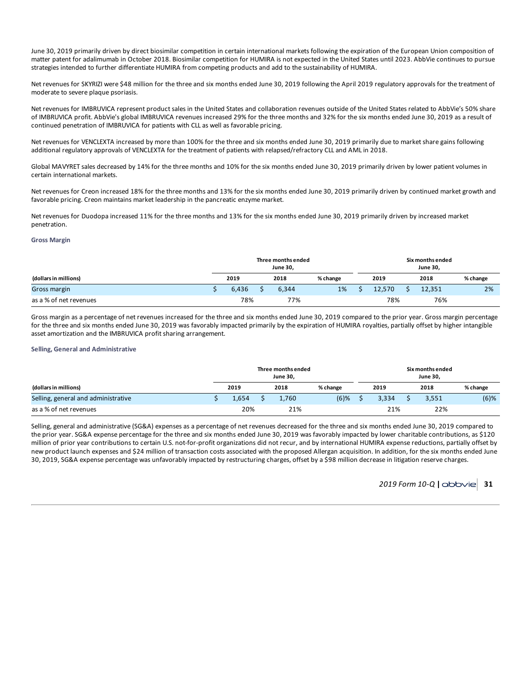June 30, 2019 primarily driven by direct biosimilar competition in certain international markets following the expiration of the European Union composition of matter patent for adalimumab in October 2018. Biosimilar competition for HUMIRA is not expected in the United States until 2023. AbbVie continues to pursue strategies intended to further differentiate HUMIRA from competing products and add to the sustainability of HUMIRA.

Net revenues for SKYRIZI were \$48 million for the three and six months ended June 30, 2019 following the April 2019 regulatory approvals for the treatment of moderate to severe plaque psoriasis.

Net revenues for IMBRUVICA represent product sales in the United States and collaboration revenues outside of the United States related to AbbVie's 50% share of IMBRUVICA profit. AbbVie's global IMBRUVICA revenues increased 29% for the three months and 32% for the six months ended June 30, 2019 as a result of continued penetration of IMBRUVICA for patients with CLL as well as favorable pricing.

Net revenues for VENCLEXTA increased by more than 100% for the three and six months ended June 30, 2019 primarily due to market share gains following additional regulatory approvals of VENCLEXTA for the treatment of patients with relapsed/refractory CLL and AML in 2018.

Global MAVYRET sales decreased by 14% for the three months and 10% for the six months ended June 30, 2019 primarily driven by lower patient volumes in certain international markets.

Net revenues for Creon increased 18% for the three months and 13% for the six months ended June 30, 2019 primarily driven by continued market growth and favorable pricing. Creon maintains market leadership in the pancreatic enzyme market.

Net revenues for Duodopa increased 11% for the three months and 13% for the six months ended June 30, 2019 primarily driven by increased market penetration.

#### **Gross Margin**

|                        |       |  | Three months ended<br>June 30, |          | Six months ended<br><b>June 30,</b> |        |  |        |          |  |  |  |
|------------------------|-------|--|--------------------------------|----------|-------------------------------------|--------|--|--------|----------|--|--|--|
| (dollars in millions)  | 2019  |  | 2018                           | % change |                                     | 2019   |  | 2018   | % change |  |  |  |
| Gross margin           | 6,436 |  | 6,344                          | 1%       |                                     | 12.570 |  | 12,351 | 2%       |  |  |  |
| as a % of net revenues | 78%   |  | 77%                            |          |                                     | 78%    |  | 76%    |          |  |  |  |

Gross margin as a percentage of net revenues increased for the three and six months ended June 30, 2019 compared to the prior year. Gross margin percentage for the three and six months ended June 30, 2019 was favorably impacted primarily by the expiration of HUMIRA royalties, partially offset by higher intangible asset amortization and the IMBRUVICA profit sharing arrangement.

## **Selling, General and Administrative**

|                                     |      |       | Three months ended<br><b>June 30.</b> |          | Six months ended<br><b>June 30.</b> |  |       |          |  |  |  |  |
|-------------------------------------|------|-------|---------------------------------------|----------|-------------------------------------|--|-------|----------|--|--|--|--|
| (dollars in millions)               | 2019 |       | 2018                                  | % change | 2019                                |  | 2018  | % change |  |  |  |  |
| Selling, general and administrative |      | 1.654 | 1.760                                 | $(6)$ %  | 3.334                               |  | 3.551 | $(6)$ %  |  |  |  |  |
| as a % of net revenues              |      | 20%   | 21%                                   |          | 21%                                 |  | 22%   |          |  |  |  |  |

Selling, general and administrative (SG&A) expenses as a percentage of net revenues decreased for the three and six months ended June 30, 2019 compared to the prior year. SG&A expense percentage for the three and six months ended June 30, 2019 was favorably impacted by lower charitable contributions, as \$120 million of prior year contributions to certain U.S. not-for-profit organizations did not recur, and by international HUMIRA expense reductions, partially offset by new product launch expenses and \$24 million of transaction costs associated with the proposed Allergan acquisition. In addition, for the six months ended June 30, 2019, SG&A expense percentage was unfavorably impacted by restructuring charges, offset by a \$98 million decrease in litigation reserve charges.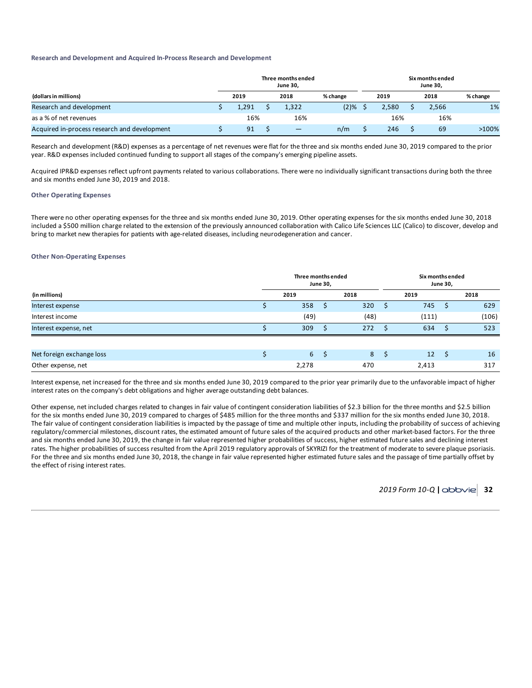#### **Research and Development and Acquired In-Process Research and Development**

|                                              |       | Three months ended<br>June 30, |          | Six months ended<br>June 30, |       |      |       |          |  |  |
|----------------------------------------------|-------|--------------------------------|----------|------------------------------|-------|------|-------|----------|--|--|
| (dollars in millions)                        | 2019  | 2018                           | % change | 2019                         |       | 2018 |       | % change |  |  |
| Research and development                     | 1,291 | 1,322                          | (2)%     |                              | 2,580 |      | 2,566 | 1%       |  |  |
| as a % of net revenues                       | 16%   | 16%                            |          |                              | 16%   |      | 16%   |          |  |  |
| Acquired in-process research and development | 91    | —                              | n/m      |                              | 246   |      | 69    | $>100\%$ |  |  |

Research and development (R&D) expenses as a percentage of net revenues were flat for the three and six months ended June 30, 2019 compared to the prior year. R&D expenses included continued funding to support all stages of the company's emerging pipeline assets.

Acquired IPR&D expenses reflect upfront payments related to various collaborations. There were no individually significant transactions during both the three and six months ended June 30, 2019 and 2018.

### **Other Operating Expenses**

There were no other operating expenses for the three and six months ended June 30, 2019. Other operating expenses for the six months ended June 30, 2018 included a \$500 million charge related to the extension of the previously announced collaboration with Calico Life Sciences LLC (Calico) to discover, develop and bring to market new therapies for patients with age-related diseases, including neurodegeneration and cancer.

## **Other Non-Operating Expenses**

|                           | Three months ended | <b>June 30,</b> |      |   | Six months ended<br><b>June 30,</b> |      |       |  |  |  |
|---------------------------|--------------------|-----------------|------|---|-------------------------------------|------|-------|--|--|--|
| (in millions)             | 2019               |                 | 2018 |   | 2019                                |      | 2018  |  |  |  |
| Interest expense          | 358                |                 | 320  |   | 745                                 |      | 629   |  |  |  |
| Interest income           | (49)               |                 | (48) |   | (111)                               |      | (106) |  |  |  |
| Interest expense, net     | 309                |                 | 272  |   | 634                                 |      | 523   |  |  |  |
|                           |                    |                 |      |   |                                     |      |       |  |  |  |
| Net foreign exchange loss | 6 <sup>1</sup>     | - S             | 8    | S | 12                                  | - \$ | 16    |  |  |  |
| Other expense, net        | 2,278              |                 | 470  |   | 2,413                               |      | 317   |  |  |  |

Interest expense, net increased for the three and six months ended June 30, 2019 compared to the prior year primarily due to the unfavorable impact of higher interest rates on the company's debt obligations and higher average outstanding debt balances.

Other expense, net included charges related to changes in fair value of contingent consideration liabilities of \$2.3 billion for the three months and \$2.5 billion for the six months ended June 30, 2019 compared to charges of \$485 million for the three months and \$337 million for the six months ended June 30, 2018. The fair value of contingent consideration liabilities is impacted by the passage of time and multiple other inputs, including the probability of success of achieving regulatory/commercial milestones, discount rates, the estimated amount of future sales of the acquired products and other market-based factors. For the three and six months ended June 30, 2019, the change in fair value represented higher probabilities of success, higher estimated future sales and declining interest rates. The higher probabilities of success resulted from the April 2019 regulatory approvals of SKYRIZI for the treatment of moderate to severe plaque psoriasis. For the three and six months ended June 30, 2018, the change in fair value represented higher estimated future sales and the passage of time partially offset by the effect of rising interest rates.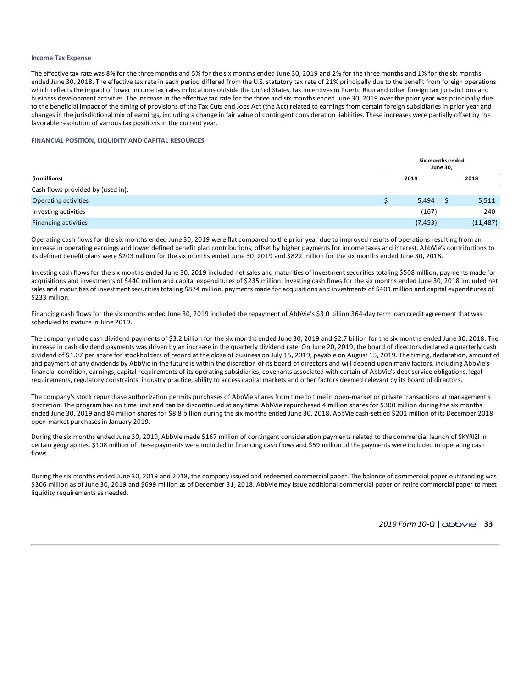#### **Income Tax Expense**

The effective tax rate was 8% for the three months and 5% for the six months ended June 30, 2019 and 2% for the three months and 1% for the six months ended June 30, 2018. The effective tax rate in each period differed from the U.S. statutory tax rate of 21% principally due to the benefit from foreign operations which reflects the impact of lower income tax rates in locations outside the United States, tax incentives in Puerto Rico and other foreign tax jurisdictions and business development activities. The increase in the effective tax rate for the three and six months ended June 30, 2019 over the prior year was principally due to the beneficial impact of the timing of provisions of the Tax Cuts and Jobs Act (the Act) related to earnings from certain foreign subsidiaries in prior year and changes in the jurisdictional mix of earnings, including a change in fair value of contingent consideration liabilities. These increases were partially offset by the favorable resolution of various tax positions in the current year.

#### **FINANCIAL POSITION, LIQUIDITY AND CAPITAL RESOURCES**

|                                   | Six months ended<br><b>June 30,</b> |          |  |           |  |  |  |  |  |
|-----------------------------------|-------------------------------------|----------|--|-----------|--|--|--|--|--|
| (in millions)                     |                                     | 2019     |  | 2018      |  |  |  |  |  |
| Cash flows provided by (used in): |                                     |          |  |           |  |  |  |  |  |
| <b>Operating activities</b>       |                                     | 5,494    |  | 5,511     |  |  |  |  |  |
| Investing activities              |                                     | (167)    |  | 240       |  |  |  |  |  |
| <b>Financing activities</b>       |                                     | (7, 453) |  | (11, 487) |  |  |  |  |  |

Operating cash flows for the six months ended June 30, 2019 were flat compared to the prior year due to improved results of operations resulting from an increase in operating earnings and lower defined benefit plan contributions, offset by higher payments for income taxes and interest. AbbVie's contributions to its defined benefit plans were \$203 million for the six months ended June 30, 2019 and \$822 million for the six months ended June 30, 2018.

Investing cash flows for the six months ended June 30, 2019 included net sales and maturities of investment securities totaling \$508 million, payments made for acquisitions and investments of \$440 million and capital expenditures of \$235 million. Investing cash flows for the six months ended June 30, 2018 included net sales and maturities of investment securities totaling \$874 million, payments made for acquisitions and investments of \$401 million and capital expenditures of \$233 million.

Financing cash flows for the six months ended June 30, 2019 included the repayment of AbbVie's \$3.0 billion 364-day term loan credit agreement that was scheduled to mature in June 2019.

The company made cash dividend payments of \$3.2 billion for the six months ended June 30, 2019 and \$2.7 billion for the six months ended June 30, 2018. The increase in cash dividend payments was driven by an increase in the quarterly dividend rate. On June 20, 2019, the board of directors declared a quarterly cash dividend of \$1.07 per share for stockholders of record at the close of business on July 15, 2019, payable on August 15, 2019. The timing, declaration, amount of and payment of any dividends by AbbVie in the future is within the discretion of its board of directors and will depend upon many factors, including AbbVie's financial condition, earnings, capital requirements of its operating subsidiaries, covenants associated with certain of AbbVie's debt service obligations, legal requirements, regulatory constraints, industry practice, ability to access capital markets and other factors deemed relevant by its board of directors.

The company's stock repurchase authorization permits purchases of AbbVie shares from time to time in open-market or private transactions at management's discretion. The program has no time limit and can be discontinued at any time. AbbVie repurchased 4 million shares for \$300 million during the six months ended June 30, 2019 and 84 million shares for \$8.8 billion during the six months ended June 30, 2018. AbbVie cash-settled \$201 million of its December 2018 open-market purchases in January 2019.

During the six months ended June 30, 2019, AbbVie made \$167 million of contingent consideration payments related to the commercial launch of SKYRIZI in certain geographies. \$108 million of these payments were included in financing cash flows and \$59 million of the payments were included in operating cash flows.

During the six months ended June 30, 2019 and 2018, the company issued and redeemed commercial paper. The balance of commercial paper outstanding was \$306 million as of June 30, 2019 and \$699 million as of December 31, 2018. AbbVie may issue additional commercial paper or retire commercial paper to meet liquidity requirements as needed.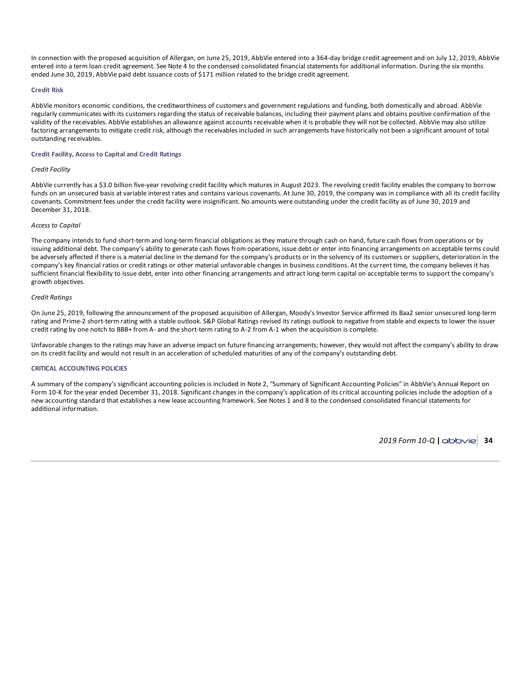In connection with the proposed acquisition of Allergan, on June 25, 2019, AbbVie entered into a 364-day bridge credit agreement and on July 12, 2019, AbbVie entered into a term loan credit agreement. See Note 4 to the condensed consolidated financial statements for additional information. During the six months ended June 30, 2019, AbbVie paid debt issuance costs of \$171 million related to the bridge credit agreement.

#### **Credit Risk**

AbbVie monitors economic conditions, the creditworthiness of customers and government regulations and funding, both domestically and abroad. AbbVie regularly communicates with its customers regarding the status of receivable balances, including their payment plans and obtains positive confirmation of the validity of the receivables. AbbVie establishes an allowance against accounts receivable when it is probable they will not be collected. AbbVie may also utilize factoring arrangements to mitigate credit risk, although the receivables included in such arrangements have historically not been a significant amount of total outstanding receivables.

#### **Credit Facility, Access to Capital and Credit Ratings**

#### *Credit Facility*

AbbVie currently has a \$3.0 billion five-year revolving credit facility which matures in August 2023. The revolving credit facility enables the company to borrow funds on an unsecured basis at variable interest rates and contains various covenants. At June 30, 2019, the company was in compliance with all its credit facility covenants. Commitment fees under the credit facility were insignificant. No amounts were outstanding under the credit facility as of June 30, 2019 and December 31, 2018.

#### *Access to Capital*

The company intends to fund short-term and long-term financial obligations as they mature through cash on hand, future cash flows from operations or by issuing additional debt. The company's ability to generate cash flows from operations, issue debt or enter into financing arrangements on acceptable terms could be adversely affected if there is a material decline in the demand for the company's products or in the solvency of its customers or suppliers, deterioration in the company's key financial ratios or credit ratings or other material unfavorable changes in business conditions. At the current time, the company believes it has sufficient financial flexibility to issue debt, enter into other financing arrangements and attract long-term capital on acceptable terms to support the company's growth objectives.

#### *Credit Ratings*

On June 25, 2019, following the announcement of the proposed acquisition of Allergan, Moody's Investor Service affirmed its Baa2 senior unsecured long-term rating and Prime-2 short-term rating with a stable outlook. S&P Global Ratings revised its ratings outlook to negative from stable and expects to lower the issuer credit rating by one notch to BBB+ from A- and the short-term rating to A-2 from A-1 when the acquisition is complete.

Unfavorable changes to the ratings may have an adverse impact on future financing arrangements; however, they would not affect the company's ability to draw on its credit facility and would not result in an acceleration of scheduled maturities of any of the company's outstanding debt.

#### **CRITICAL ACCOUNTING POLICIES**

A summary of the company's significant accounting policies is included in Note 2, "Summary of Significant Accounting Policies" in AbbVie's Annual Report on Form 10-K for the year ended December 31, 2018. Significant changes in the company's application of its critical accounting policies include the adoption of a new accounting standard that establishes a new lease accounting framework. See Notes 1 and 8 to the condensed consolidated financial statements for additional information.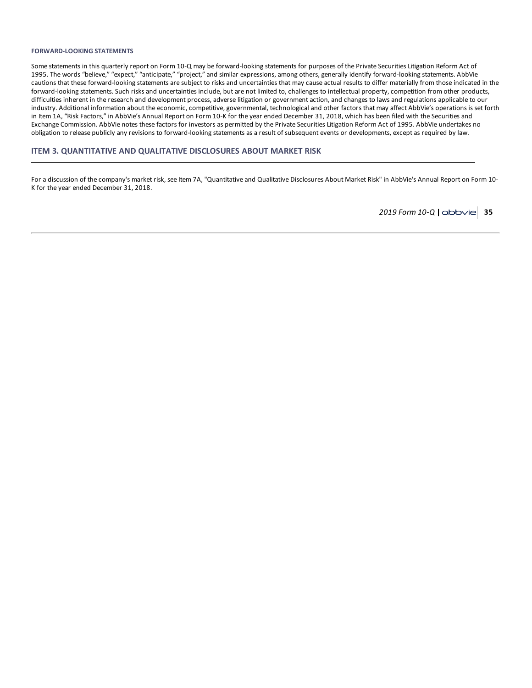#### <span id="page-37-0"></span>**FORWARD-LOOKING STATEMENTS**

Some statements in this quarterly report on Form 10-Q may be forward-looking statements for purposes of the Private Securities Litigation Reform Act of 1995. The words "believe," "expect," "anticipate," "project," and similar expressions, among others, generally identify forward-looking statements. AbbVie cautions that these forward-looking statements are subject to risks and uncertainties that may cause actual results to differ materially from those indicated in the forward-looking statements. Such risks and uncertainties include, but are not limited to, challenges to intellectual property, competition from other products, difficulties inherent in the research and development process, adverse litigation or government action, and changes to laws and regulations applicable to our industry. Additional information about the economic, competitive, governmental, technological and other factors that may affect AbbVie's operations is set forth in Item 1A, "Risk Factors," in AbbVie's Annual Report on Form 10-K for the year ended December 31, 2018, which has been filed with the Securities and Exchange Commission. AbbVie notes these factors for investors as permitted by the Private Securities Litigation Reform Act of 1995. AbbVie undertakes no obligation to release publicly any revisions to forward-looking statements as a result of subsequent events or developments, except as required by law.

### **ITEM 3. QUANTITATIVE AND QUALITATIVE DISCLOSURES ABOUT MARKET RISK**

For a discussion of the company's market risk, see Item 7A, "Quantitative and Qualitative Disclosures About Market Risk" in AbbVie's Annual Report on Form 10-K for the year ended December 31, 2018.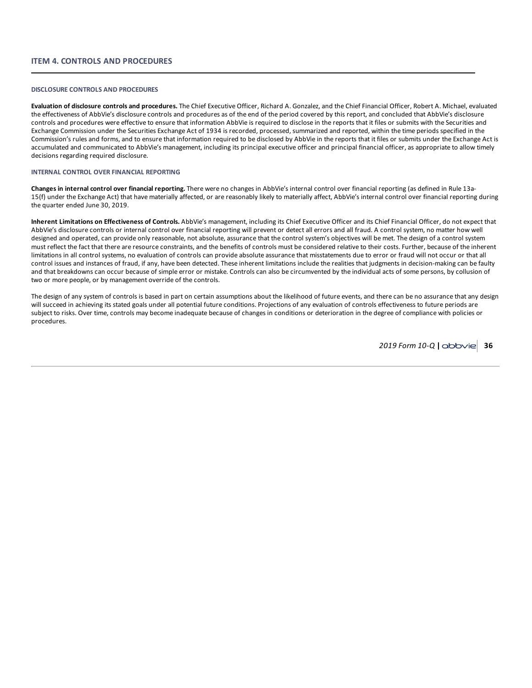### <span id="page-38-0"></span>**DISCLOSURE CONTROLS AND PROCEDURES**

**Evaluation of disclosure controls and procedures.** The Chief Executive Officer, Richard A. Gonzalez, and the Chief Financial Officer, Robert A. Michael, evaluated the effectiveness of AbbVie's disclosure controls and procedures as of the end of the period covered by this report, and concluded that AbbVie's disclosure controls and procedures were effective to ensure that information AbbVie is required to disclose in the reports that it files or submits with the Securities and Exchange Commission under the Securities Exchange Act of 1934 is recorded, processed, summarized and reported, within the time periods specified in the Commission's rules and forms, and to ensure that information required to be disclosed by AbbVie in the reports that it files or submits under the Exchange Act is accumulated and communicated to AbbVie's management, including its principal executive officer and principal financial officer, as appropriate to allow timely decisions regarding required disclosure.

#### **INTERNAL CONTROL OVER FINANCIAL REPORTING**

**Changes in internal control over financial reporting.** There were no changes in AbbVie's internal control over financial reporting (as defined in Rule 13a-15(f) under the Exchange Act) that have materially affected, or are reasonably likely to materially affect, AbbVie's internal control over financial reporting during the quarter ended June 30, 2019.

**Inherent Limitations on Effectiveness of Controls.** AbbVie's management, including its Chief Executive Officer and its Chief Financial Officer, do not expect that AbbVie's disclosure controls or internal control over financial reporting will prevent or detect all errors and all fraud. A control system, no matter how well designed and operated, can provide only reasonable, not absolute, assurance that the control system's objectives will be met. The design of a control system must reflect the fact that there are resource constraints, and the benefits of controls must be considered relative to their costs. Further, because of the inherent limitations in all control systems, no evaluation of controls can provide absolute assurance that misstatements due to error or fraud will not occur or that all control issues and instances of fraud, if any, have been detected. These inherent limitations include the realities that judgments in decision-making can be faulty and that breakdowns can occur because of simple error or mistake. Controls can also be circumvented by the individual acts of some persons, by collusion of two or more people, or by management override of the controls.

The design of any system of controls is based in part on certain assumptions about the likelihood of future events, and there can be no assurance that any design will succeed in achieving its stated goals under all potential future conditions. Projections of any evaluation of controls effectiveness to future periods are subject to risks. Over time, controls may become inadequate because of changes in conditions or deterioration in the degree of compliance with policies or procedures.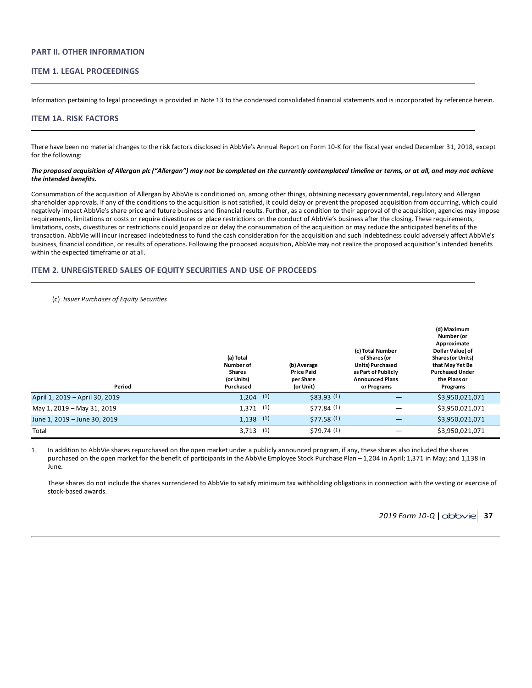### <span id="page-39-0"></span>**PART II. OTHER INFORMATION**

## **ITEM 1. LEGAL PROCEEDINGS**

Information pertaining to legal proceedings is provided in Note 13 to the condensed consolidated financial statements and is incorporated by reference herein.

#### **ITEM 1A. RISK FACTORS**

There have been no material changes to the risk factors disclosed in AbbVie's Annual Report on Form 10-K for the fiscal year ended December 31, 2018, except for the following:

#### The proposed acquisition of Allergan plc ("Allergan") may not be completed on the currently contemplated timeline or terms, or at all, and may not achieve *the intended benefits.*

Consummation of the acquisition of Allergan by AbbVie is conditioned on, among other things, obtaining necessary governmental, regulatory and Allergan shareholder approvals. If any of the conditions to the acquisition is not satisfied, it could delay or prevent the proposed acquisition from occurring, which could negatively impact AbbVie's share price and future business and financial results. Further, as a condition to their approval of the acquisition, agencies may impose requirements, limitations or costs or require divestitures or place restrictions on the conduct of AbbVie's business after the closing. These requirements, limitations, costs, divestitures or restrictions could jeopardize or delay the consummation of the acquisition or may reduce the anticipated benefits of the transaction. AbbVie will incur increased indebtedness to fund the cash consideration for the acquisition and such indebtedness could adversely affect AbbVie's business, financial condition, or results of operations. Following the proposed acquisition, AbbVie may not realize the proposed acquisition's intended benefits within the expected timeframe or at all.

### **ITEM 2. UNREGISTERED SALES OF EQUITY SECURITIES AND USE OF PROCEEDS**

#### (c) *Issuer Purchases of Equity Securities*

| Period                         | (a) Total<br>Number of<br><b>Shares</b><br>(or Units)<br>Purchased | (b) Average<br><b>Price Paid</b><br>per Share<br>(or Unit) | (c) Total Number<br>of Shares (or<br>Units) Purchased<br>as Part of Publicly<br><b>Announced Plans</b><br>or Programs | (d) Maximum<br>Number (or<br>Approximate<br>Dollar Value) of<br><b>Shares (or Units)</b><br>that May Yet Be<br><b>Purchased Under</b><br>the Plans or<br>Programs |
|--------------------------------|--------------------------------------------------------------------|------------------------------------------------------------|-----------------------------------------------------------------------------------------------------------------------|-------------------------------------------------------------------------------------------------------------------------------------------------------------------|
| April 1, 2019 - April 30, 2019 | (1)<br>1,204                                                       | \$83.93(1)                                                 |                                                                                                                       | \$3,950,021,071                                                                                                                                                   |
| May 1, 2019 - May 31, 2019     | (1)<br>1,371                                                       | \$77.84 (1)                                                | -                                                                                                                     | \$3,950,021,071                                                                                                                                                   |
| June 1, 2019 - June 30, 2019   | (1)<br>1,138                                                       | \$77.58(1)                                                 |                                                                                                                       | \$3,950,021,071                                                                                                                                                   |
| Total                          | (1)<br>3,713                                                       | \$79.74(1)                                                 |                                                                                                                       | \$3,950,021,071                                                                                                                                                   |

1. In addition to AbbVie shares repurchased on the open market under a publicly announced program, if any, these shares also included the shares purchased on the open market for the benefit of participants in the AbbVie Employee Stock Purchase Plan – 1,204 in April; 1,371 in May; and 1,138 in June.

These shares do not include the shares surrendered to AbbVie to satisfy minimum tax withholding obligations in connection with the vesting or exercise of stock-based awards.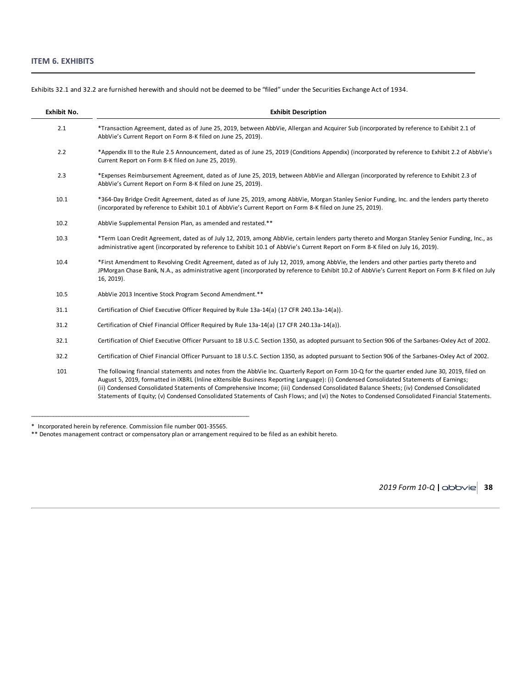| Exhibit No. | <b>Exhibit Description</b>                                                                                                                                                                                                                                                                                                                                                                                                                                                                                                                                                           |
|-------------|--------------------------------------------------------------------------------------------------------------------------------------------------------------------------------------------------------------------------------------------------------------------------------------------------------------------------------------------------------------------------------------------------------------------------------------------------------------------------------------------------------------------------------------------------------------------------------------|
| 2.1         | *Transaction Agreement, dated as of June 25, 2019, between AbbVie, Allergan and Acquirer Sub (incorporated by reference to Exhibit 2.1 of<br>AbbVie's Current Report on Form 8-K filed on June 25, 2019).                                                                                                                                                                                                                                                                                                                                                                            |
| 2.2         | *Appendix III to the Rule 2.5 Announcement, dated as of June 25, 2019 (Conditions Appendix) (incorporated by reference to Exhibit 2.2 of AbbVie's<br>Current Report on Form 8-K filed on June 25, 2019).                                                                                                                                                                                                                                                                                                                                                                             |
| 2.3         | *Expenses Reimbursement Agreement, dated as of June 25, 2019, between AbbVie and Allergan (incorporated by reference to Exhibit 2.3 of<br>AbbVie's Current Report on Form 8-K filed on June 25, 2019).                                                                                                                                                                                                                                                                                                                                                                               |
| 10.1        | *364-Day Bridge Credit Agreement, dated as of June 25, 2019, among AbbVie, Morgan Stanley Senior Funding, Inc. and the lenders party thereto<br>(incorporated by reference to Exhibit 10.1 of AbbVie's Current Report on Form 8-K filed on June 25, 2019).                                                                                                                                                                                                                                                                                                                           |
| 10.2        | AbbVie Supplemental Pension Plan, as amended and restated.**                                                                                                                                                                                                                                                                                                                                                                                                                                                                                                                         |
| 10.3        | *Term Loan Credit Agreement, dated as of July 12, 2019, among AbbVie, certain lenders party thereto and Morgan Stanley Senior Funding, Inc., as<br>administrative agent (incorporated by reference to Exhibit 10.1 of AbbVie's Current Report on Form 8-K filed on July 16, 2019).                                                                                                                                                                                                                                                                                                   |
| 10.4        | *First Amendment to Revolving Credit Agreement, dated as of July 12, 2019, among AbbVie, the lenders and other parties party thereto and<br>JPMorgan Chase Bank, N.A., as administrative agent (incorporated by reference to Exhibit 10.2 of AbbVie's Current Report on Form 8-K filed on July<br>16, 2019).                                                                                                                                                                                                                                                                         |
| 10.5        | AbbVie 2013 Incentive Stock Program Second Amendment.**                                                                                                                                                                                                                                                                                                                                                                                                                                                                                                                              |
| 31.1        | Certification of Chief Executive Officer Required by Rule 13a-14(a) (17 CFR 240.13a-14(a)).                                                                                                                                                                                                                                                                                                                                                                                                                                                                                          |
| 31.2        | Certification of Chief Financial Officer Required by Rule 13a-14(a) (17 CFR 240.13a-14(a)).                                                                                                                                                                                                                                                                                                                                                                                                                                                                                          |
| 32.1        | Certification of Chief Executive Officer Pursuant to 18 U.S.C. Section 1350, as adopted pursuant to Section 906 of the Sarbanes-Oxley Act of 2002.                                                                                                                                                                                                                                                                                                                                                                                                                                   |
| 32.2        | Certification of Chief Financial Officer Pursuant to 18 U.S.C. Section 1350, as adopted pursuant to Section 906 of the Sarbanes-Oxley Act of 2002.                                                                                                                                                                                                                                                                                                                                                                                                                                   |
| 101         | The following financial statements and notes from the AbbVie Inc. Quarterly Report on Form 10-Q for the quarter ended June 30, 2019, filed on<br>August 5, 2019, formatted in iXBRL (Inline eXtensible Business Reporting Language): (i) Condensed Consolidated Statements of Earnings;<br>(ii) Condensed Consolidated Statements of Comprehensive Income; (iii) Condensed Consolidated Balance Sheets; (iv) Condensed Consolidated<br>Statements of Equity; (v) Condensed Consolidated Statements of Cash Flows; and (vi) the Notes to Condensed Consolidated Financial Statements. |

<span id="page-40-0"></span>Exhibits 32.1 and 32.2 are furnished herewith and should not be deemed to be "filed" under the Securities Exchange Act of 1934.

<sup>\*</sup> Incorporated herein by reference. Commission file number 001-35565.

<sup>\*\*</sup> Denotes management contract or compensatory plan or arrangement required to be filed as an exhibit hereto.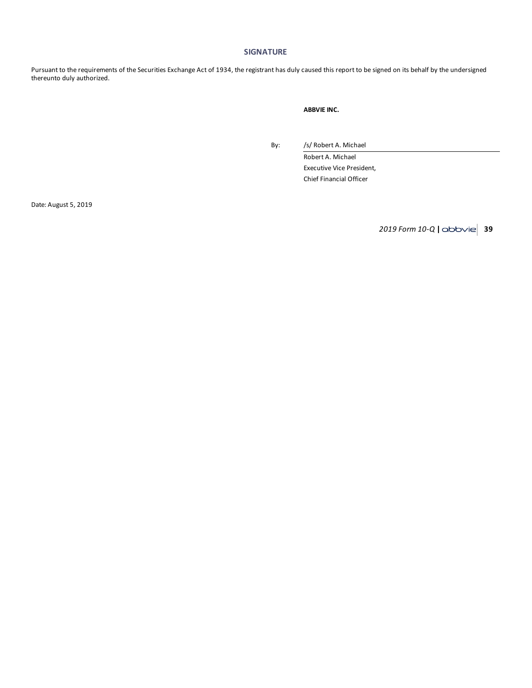### **SIGNATURE**

Pursuant to the requirements of the Securities Exchange Act of 1934, the registrant has duly caused this report to be signed on its behalf by the undersigned thereunto duly authorized.

### **ABBVIE INC.**

By: /s/ Robert A. Michael

Robert A. Michael Executive Vice President, Chief Financial Officer

Date: August 5, 2019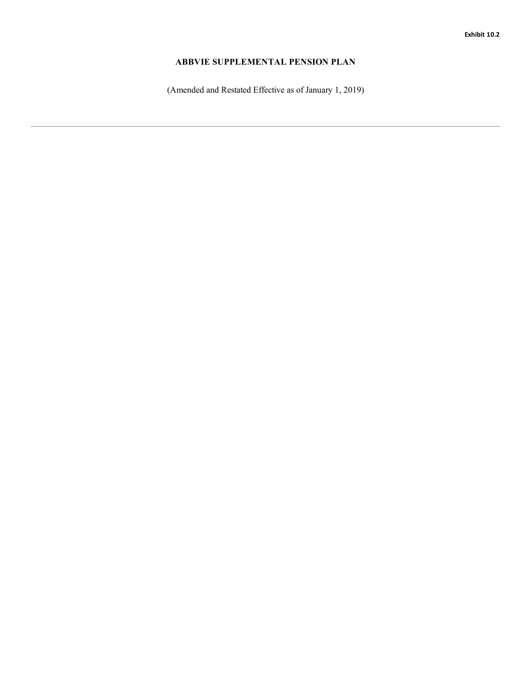## <span id="page-42-0"></span>**ABBVIE SUPPLEMENTAL PENSION PLAN**

(Amended and Restated Effective as of January 1, 2019)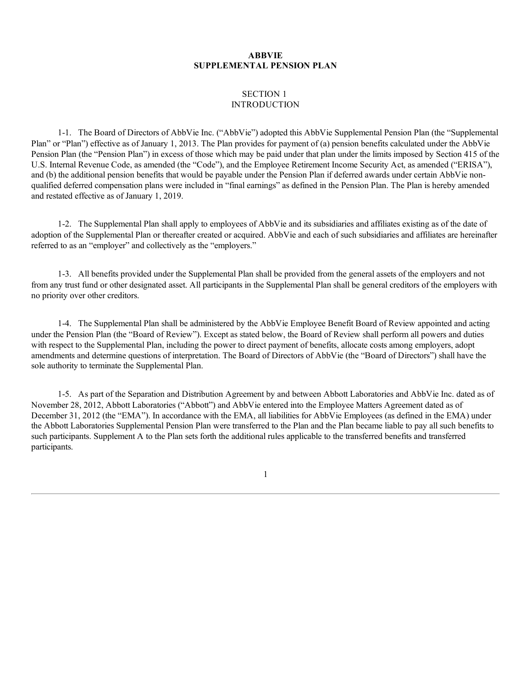## **ABBVIE SUPPLEMENTAL PENSION PLAN**

## SECTION 1 **INTRODUCTION**

1-1. The Board of Directors of AbbVie Inc. [\("AbbVie"\)](#page-26-0) adopted this AbbVie Supplemental Pension Plan (the "Supplemen[tal](#page-26-0) Plan" or "Plan") effective as of January 1, 2013. The Plan [provides](#page-37-0) for payment of (a) pension benefits calculated under the AbbVie Pension Plan (the ["Pension](#page-37-0) Plan") in excess of those which may be paid under that plan under the limits imposed by Section 415 of [the](#page-37-0) U.S. Internal Revenue Code, as amended (the "Code"), and the Employee Retirement Income Security Act, as amended ("ERISA"), and (b) the additional pension benefits that would be payable under the Pension Plan if deferred awards under certain AbbVie non[qualifie](#page-38-0)d deferred [compensatio](#page-38-0)n plans were included in "final earnings" as defined in the Pension Plan. The Plan is hereby amended and restated effective as of January 1, 2019.

1-2. The [Supplemental](#page-39-0) Plan shall apply to employees of AbbVie and its subsidiaries and affiliates existing as of the date of adoption of [the](#page-40-0) Supplemental Plan or thereafter created or acquired. AbbVie and each of such subsidiaries and affiliates are hereinaft[er](#page-40-0) referred to as an "employer" and collectively as the "employers."

1-3. All benefits provided under the Supplemental Plan shall be provided from the general assets of the employers and not from any trust fund or other designated asset. All participants in the Supplemental Plan shall be general creditors of the employers with no priority over other creditors.

1-4. The Supplemental Plan shall be administered by the AbbVie Employee Benefit Board of Review appointed and acting under the Pension Plan (the "Board of Review"). Except as stated below, the Board of Review shall perform all powers and duties with respect to the Supplemental Plan, including the power to direct payment of benefits, allocate costs among employers, adopt amendments and determine questions of interpretation. The Board of Directors of AbbVie (the "Board of Directors") shall have the sole authority to terminate the Supplemental Plan.

1-5. As part of the Separation and Distribution Agreement by and between Abbott Laboratories and AbbVie Inc. dated as of November 28, 2012, Abbott Laboratories ("Abbott") and AbbVie entered into the Employee Matters Agreement dated as of December 31, 2012 (the "EMA"). In accordance with the EMA, all liabilities for AbbVie Employees (as defined in the EMA) under the Abbott Laboratories Supplemental Pension Plan were transferred to the Plan and the Plan became liable to pay all such benefits to such participants. Supplement A to the Plan sets forth the additional rules applicable to the transferred benefits and transferred participants.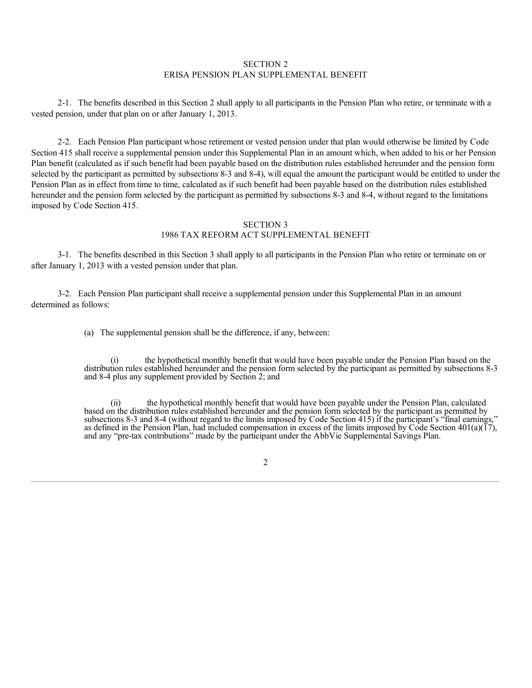## SECTION 2 ERISA PENSION PLAN SUPPLEMENTAL BENEFIT

2-1. The benefits described in this Section 2 shall apply to all participants in the Pension Plan who retire, or terminate with a vested pension, under that plan on or after January 1, 2013.

2-2. Each Pension Plan participant whose retirement or vested pension under that plan would otherwise be limited by Code Section 415 shall receive a supplemental pension under this Supplemental Plan in an amount which, when added to his or her Pension Plan benefit (calculated as if such benefit had been payable based on the distribution rules established hereunder and the pension form selected by the participant as permitted by subsections 8-3 and 8-4), will equal the amount the participant would be entitled to under the Pension Plan as in effect from time to time, calculated as if such benefit had been payable based on the distribution rules established hereunder and the pension form selected by the participant as permitted by subsections 8-3 and 8-4, without regard to the limitations imposed by Code Section 415.

## SECTION 3 1986 TAX REFORM ACT SUPPLEMENTAL BENEFIT

3-1. The benefits described in this Section 3 shall apply to all participants in the Pension Plan who retire or terminate on or after January 1, 2013 with a vested pension under that plan.

3-2. Each Pension Plan participant shall receive a supplemental pension under this Supplemental Plan in an amount determined as follows:

(a) The supplemental pension shall be the difference, if any, between:

(i) the hypothetical monthly benefit that would have been payable under the Pension Plan based on the distribution rules established hereunder and the pension form selected by the participant as permitted by subsections 8-3 and 8-4 plus any supplement provided by Section 2; and

the hypothetical monthly benefit that would have been payable under the Pension Plan, calculated based on the distribution rules established hereunder and the pension form selected by the participant as permitted by subsections 8-3 and 8-4 (without regard to the limits imposed by Code Section 415) if the participant's "final earnings," as defined in the Pension Plan, had included compensation in excess of the limits imposed by Code Section  $401(a)(17)$ , and any "pre-tax contributions" made by the participant under the AbbVie Supplemental Savings Plan.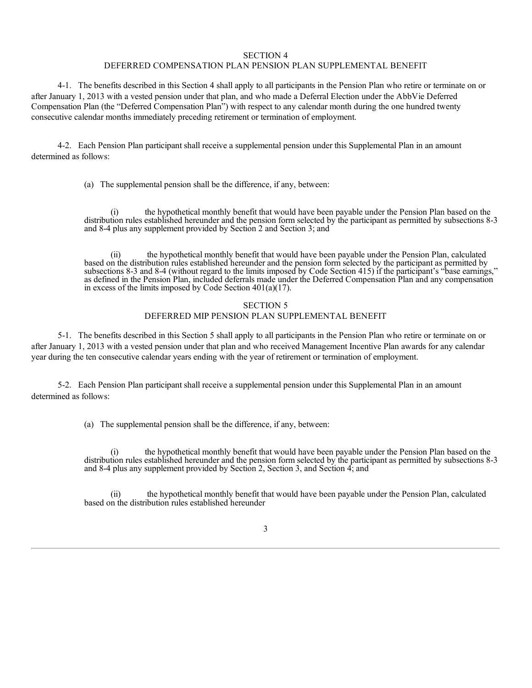#### SECTION 4

#### DEFERRED COMPENSATION PLAN PENSION PLAN SUPPLEMENTAL BENEFIT

4-1. The benefits described in this Section 4 shall apply to all participants in the Pension Plan who retire or terminate on or after January 1, 2013 with a vested pension under that plan, and who made a Deferral Election under the AbbVie Deferred Compensation Plan (the "Deferred Compensation Plan") with respect to any calendar month during the one hundred twenty consecutive calendar months immediately preceding retirement or termination of employment.

4-2. Each Pension Plan participant shall receive a supplemental pension under this Supplemental Plan in an amount determined as follows:

(a) The supplemental pension shall be the difference, if any, between:

(i) the hypothetical monthly benefit that would have been payable under the Pension Plan based on the distribution rules established hereunder and the pension form selected by the participant as permitted by subsections 8-3 and 8-4 plus any supplement provided by Section 2 and Section 3; and

the hypothetical monthly benefit that would have been payable under the Pension Plan, calculated based on the distribution rules established hereunder and the pension form selected by the participant as permitted by subsections 8-3 and 8-4 (without regard to the limits imposed by Code Section 415) if the participant's "base earnings," as defined in the Pension Plan, included deferrals made under the Deferred Compensation Plan and any compensation in excess of the limits imposed by Code Section 401(a)(17).

## SECTION 5 DEFERRED MIP PENSION PLAN SUPPLEMENTAL BENEFIT

5-1. The benefits described in this Section 5 shall apply to all participants in the Pension Plan who retire or terminate on or after January 1, 2013 with a vested pension under that plan and who received Management Incentive Plan awards for any calendar year during the ten consecutive calendar years ending with the year of retirement or termination of employment.

5-2. Each Pension Plan participant shall receive a supplemental pension under this Supplemental Plan in an amount determined as follows:

(a) The supplemental pension shall be the difference, if any, between:

(i) the hypothetical monthly benefit that would have been payable under the Pension Plan based on the distribution rules established hereunder and the pension form selected by the participant as permitted by subsections 8-3 and 8-4 plus any supplement provided by Section 2, Section 3, and Section 4; and

(ii) the hypothetical monthly benefit that would have been payable under the Pension Plan, calculated based on the distribution rules established hereunder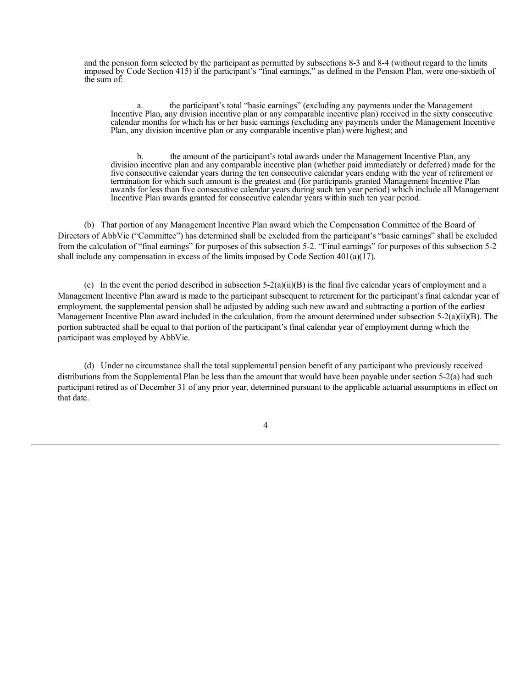and the pension form selected by the participant as permitted by subsections 8-3 and 8-4 (without regard to the limits imposed by Code Section 415) if the participant's "final earnings," as defined in the Pension Plan, were one-sixtieth of the sum of:

a. the participant's total "basic earnings" (excluding any payments under the Management Incentive Plan, any division incentive plan or any comparable incentive plan) received in the sixty consecutive calendar months for which his or her basic earnings (excluding any payments under the Management Incentive Plan, any division incentive plan or any comparable incentive plan) were highest; and

b. the amount of the participant's total awards under the Management Incentive Plan, any division incentive plan and any comparable incentive plan (whether paid immediately or deferred) made for the five consecutive calendar years during the ten consecutive calendar years ending with the year of retirement or termination for which such amount is the greatest and (for participants granted Management Incentive Plan awards for less than five consecutive calendar years during such ten year period) which include all Management Incentive Plan awards granted for consecutive calendar years within such ten year period.

(b) That portion of any Management Incentive Plan award which the Compensation Committee of the Board of Directors of AbbVie ("Committee") has determined shall be excluded from the participant's "basic earnings" shall be excluded from the calculation of "final earnings" for purposes of this subsection 5-2. "Final earnings" for purposes of this subsection 5-2 shall include any compensation in excess of the limits imposed by Code Section  $401(a)(17)$ .

(c) In the event the period described in subsection  $5-2(a)(ii)(B)$  is the final five calendar years of employment and a Management Incentive Plan award is made to the participant subsequent to retirement for the participant's final calendar year of employment, the supplemental pension shall be adjusted by adding such new award and subtracting a portion of the earliest Management Incentive Plan award included in the calculation, from the amount determined under subsection  $5-2(a)(ii)(B)$ . The portion subtracted shall be equal to that portion of the participant's final calendar year of employment during which the participant was employed by AbbVie.

(d) Under no circumstance shall the total supplemental pension benefit of any participant who previously received distributions from the Supplemental Plan be less than the amount that would have been payable under section 5-2(a) had such participant retired as of December 31 of any prior year, determined pursuant to the applicable actuarial assumptions in effect on that date.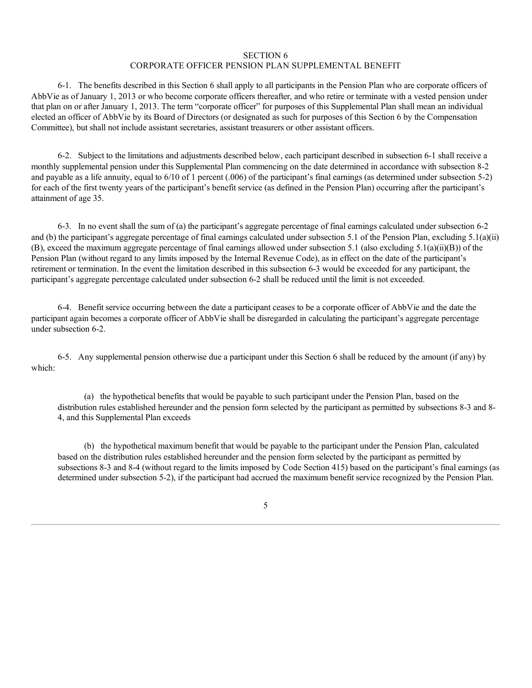### SECTION 6

### CORPORATE OFFICER PENSION PLAN SUPPLEMENTAL BENEFIT

6-1. The benefits described in this Section 6 shall apply to all participants in the Pension Plan who are corporate officers of AbbVie as of January 1, 2013 or who become corporate officers thereafter, and who retire or terminate with a vested pension under that plan on or after January 1, 2013. The term "corporate officer" for purposes of this Supplemental Plan shall mean an individual elected an officer of AbbVie by its Board of Directors (or designated as such for purposes of this Section 6 by the Compensation Committee), but shall not include assistant secretaries, assistant treasurers or other assistant officers.

6-2. Subject to the limitations and adjustments described below, each participant described in subsection 6-1 shall receive a monthly supplemental pension under this Supplemental Plan commencing on the date determined in accordance with subsection 8-2 and payable as a life annuity, equal to 6/10 of 1 percent (.006) of the participant's final earnings (as determined under subsection 5-2) for each of the first twenty years of the participant's benefit service (as defined in the Pension Plan) occurring after the participant's attainment of age 35.

6-3. In no event shall the sum of (a) the participant's aggregate percentage of final earnings calculated under subsection 6-2 and (b) the participant's aggregate percentage of final earnings calculated under subsection 5.1 of the Pension Plan, excluding 5.1(a)(ii) (B), exceed the maximum aggregate percentage of final earnings allowed under subsection 5.1 (also excluding 5.1(a)(ii)(B)) of the Pension Plan (without regard to any limits imposed by the Internal Revenue Code), as in effect on the date of the participant's retirement or termination. In the event the limitation described in this subsection 6-3 would be exceeded for any participant, the participant's aggregate percentage calculated under subsection 6-2 shall be reduced until the limit is not exceeded.

6-4. Benefit service occurring between the date a participant ceases to be a corporate officer of AbbVie and the date the participant again becomes a corporate officer of AbbVie shall be disregarded in calculating the participant's aggregate percentage under subsection 6-2.

6-5. Any supplemental pension otherwise due a participant under this Section 6 shall be reduced by the amount (if any) by which:

(a) the hypothetical benefits that would be payable to such participant under the Pension Plan, based on the distribution rules established hereunder and the pension form selected by the participant as permitted by subsections 8-3 and 8- 4, and this Supplemental Plan exceeds

(b) the hypothetical maximum benefit that would be payable to the participant under the Pension Plan, calculated based on the distribution rules established hereunder and the pension form selected by the participant as permitted by subsections 8-3 and 8-4 (without regard to the limits imposed by Code Section 415) based on the participant's final earnings (as determined under subsection 5-2), if the participant had accrued the maximum benefit service recognized by the Pension Plan.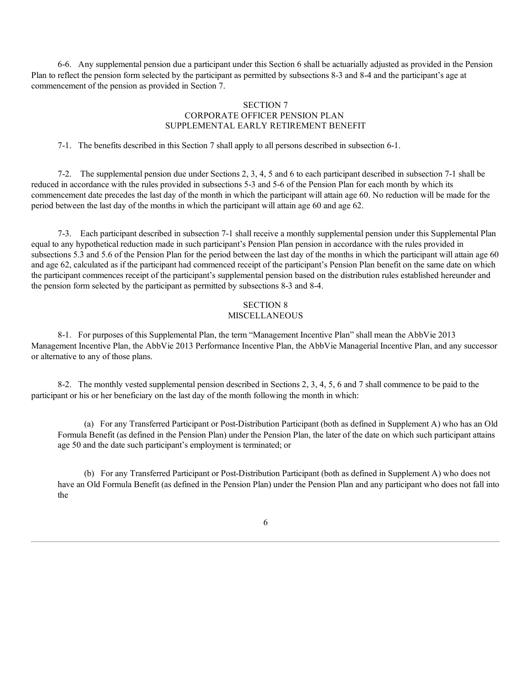6-6. Any supplemental pension due a participant under this Section 6 shall be actuarially adjusted as provided in the Pension Plan to reflect the pension form selected by the participant as permitted by subsections 8-3 and 8-4 and the participant's age at commencement of the pension as provided in Section 7.

## SECTION 7 CORPORATE OFFICER PENSION PLAN SUPPLEMENTAL EARLY RETIREMENT BENEFIT

7-1. The benefits described in this Section 7 shall apply to all persons described in subsection 6-1.

7-2. The supplemental pension due under Sections 2, 3, 4, 5 and 6 to each participant described in subsection 7-1 shall be reduced in accordance with the rules provided in subsections 5-3 and 5-6 of the Pension Plan for each month by which its commencement date precedes the last day of the month in which the participant will attain age 60. No reduction will be made for the period between the last day of the months in which the participant will attain age 60 and age 62.

7-3. Each participant described in subsection 7-1 shall receive a monthly supplemental pension under this Supplemental Plan equal to any hypothetical reduction made in such participant's Pension Plan pension in accordance with the rules provided in subsections 5.3 and 5.6 of the Pension Plan for the period between the last day of the months in which the participant will attain age 60 and age 62, calculated as if the participant had commenced receipt of the participant's Pension Plan benefit on the same date on which the participant commences receipt of the participant's supplemental pension based on the distribution rules established hereunder and the pension form selected by the participant as permitted by subsections 8-3 and 8-4.

# SECTION 8 MISCELLANEOUS

8-1. For purposes of this Supplemental Plan, the term "Management Incentive Plan" shall mean the AbbVie 2013 Management Incentive Plan, the AbbVie 2013 Performance Incentive Plan, the AbbVie Managerial Incentive Plan, and any successor or alternative to any of those plans.

8-2. The monthly vested supplemental pension described in Sections 2, 3, 4, 5, 6 and 7 shall commence to be paid to the participant or his or her beneficiary on the last day of the month following the month in which:

(a) For any Transferred Participant or Post-Distribution Participant (both as defined in Supplement A) who has an Old Formula Benefit (as defined in the Pension Plan) under the Pension Plan, the later of the date on which such participant attains age 50 and the date such participant's employment is terminated; or

(b) For any Transferred Participant or Post-Distribution Participant (both as defined in Supplement A) who does not have an Old Formula Benefit (as defined in the Pension Plan) under the Pension Plan and any participant who does not fall into the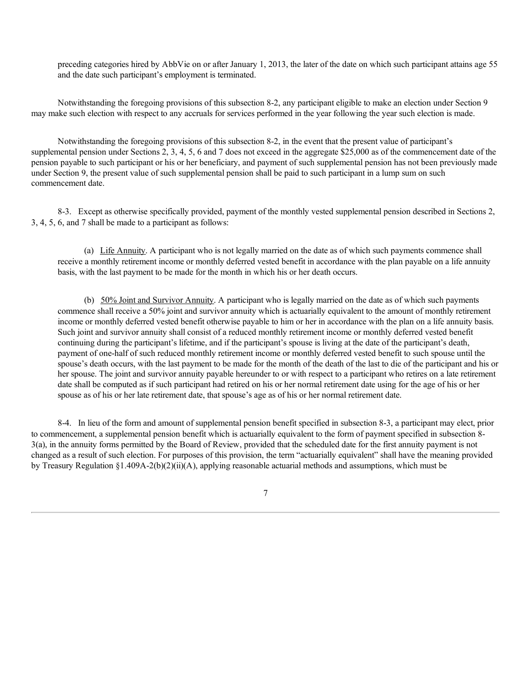preceding categories hired by AbbVie on or after January 1, 2013, the later of the date on which such participant attains age 55 and the date such participant's employment is terminated.

Notwithstanding the foregoing provisions of this subsection 8-2, any participant eligible to make an election under Section 9 may make such election with respect to any accruals for services performed in the year following the year such election is made.

Notwithstanding the foregoing provisions of this subsection 8-2, in the event that the present value of participant's supplemental pension under Sections 2, 3, 4, 5, 6 and 7 does not exceed in the aggregate \$25,000 as of the commencement date of the pension payable to such participant or his or her beneficiary, and payment of such supplemental pension has not been previously made under Section 9, the present value of such supplemental pension shall be paid to such participant in a lump sum on such commencement date.

8-3. Except as otherwise specifically provided, payment of the monthly vested supplemental pension described in Sections 2, 3, 4, 5, 6, and 7 shall be made to a participant as follows:

(a) Life Annuity. A participant who is not legally married on the date as of which such payments commence shall receive a monthly retirement income or monthly deferred vested benefit in accordance with the plan payable on a life annuity basis, with the last payment to be made for the month in which his or her death occurs.

(b) 50% Joint and Survivor Annuity. A participant who is legally married on the date as of which such payments commence shall receive a 50% joint and survivor annuity which is actuarially equivalent to the amount of monthly retirement income or monthly deferred vested benefit otherwise payable to him or her in accordance with the plan on a life annuity basis. Such joint and survivor annuity shall consist of a reduced monthly retirement income or monthly deferred vested benefit continuing during the participant's lifetime, and if the participant's spouse is living at the date of the participant's death, payment of one-half of such reduced monthly retirement income or monthly deferred vested benefit to such spouse until the spouse's death occurs, with the last payment to be made for the month of the death of the last to die of the participant and his or her spouse. The joint and survivor annuity payable hereunder to or with respect to a participant who retires on a late retirement date shall be computed as if such participant had retired on his or her normal retirement date using for the age of his or her spouse as of his or her late retirement date, that spouse's age as of his or her normal retirement date.

8-4. In lieu of the form and amount of supplemental pension benefit specified in subsection 8-3, a participant may elect, prior to commencement, a supplemental pension benefit which is actuarially equivalent to the form of payment specified in subsection 8- 3(a), in the annuity forms permitted by the Board of Review, provided that the scheduled date for the first annuity payment is not changed as a result of such election. For purposes of this provision, the term "actuarially equivalent" shall have the meaning provided by Treasury Regulation §1.409A-2(b)(2)(ii)(A), applying reasonable actuarial methods and assumptions, which must be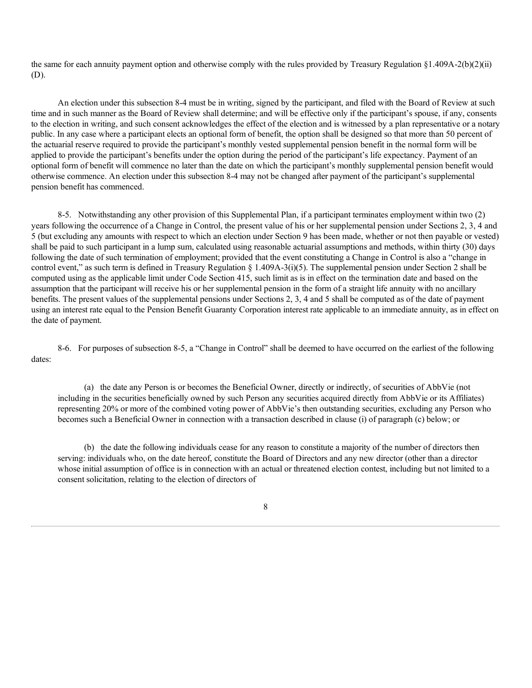the same for each annuity payment option and otherwise comply with the rules provided by Treasury Regulation  $\S1.409A-2(b)(2)(ii)$ (D).

An election under this subsection 8-4 must be in writing, signed by the participant, and filed with the Board of Review at such time and in such manner as the Board of Review shall determine; and will be effective only if the participant's spouse, if any, consents to the election in writing, and such consent acknowledges the effect of the election and is witnessed by a plan representative or a notary public. In any case where a participant elects an optional form of benefit, the option shall be designed so that more than 50 percent of the actuarial reserve required to provide the participant's monthly vested supplemental pension benefit in the normal form will be applied to provide the participant's benefits under the option during the period of the participant's life expectancy. Payment of an optional form of benefit will commence no later than the date on which the participant's monthly supplemental pension benefit would otherwise commence. An election under this subsection 8-4 may not be changed after payment of the participant's supplemental pension benefit has commenced.

8-5. Notwithstanding any other provision of this Supplemental Plan, if a participant terminates employment within two (2) years following the occurrence of a Change in Control, the present value of his or her supplemental pension under Sections 2, 3, 4 and 5 (but excluding any amounts with respect to which an election under Section 9 has been made, whether or not then payable or vested) shall be paid to such participant in a lump sum, calculated using reasonable actuarial assumptions and methods, within thirty (30) days following the date of such termination of employment; provided that the event constituting a Change in Control is also a "change in control event," as such term is defined in Treasury Regulation § 1.409A-3(i)(5). The supplemental pension under Section 2 shall be computed using as the applicable limit under Code Section 415, such limit as is in effect on the termination date and based on the assumption that the participant will receive his or her supplemental pension in the form of a straight life annuity with no ancillary benefits. The present values of the supplemental pensions under Sections 2, 3, 4 and 5 shall be computed as of the date of payment using an interest rate equal to the Pension Benefit Guaranty Corporation interest rate applicable to an immediate annuity, as in effect on the date of payment.

8-6. For purposes of subsection 8-5, a "Change in Control" shall be deemed to have occurred on the earliest of the following dates:

(a) the date any Person is or becomes the Beneficial Owner, directly or indirectly, of securities of AbbVie (not including in the securities beneficially owned by such Person any securities acquired directly from AbbVie or its Affiliates) representing 20% or more of the combined voting power of AbbVie's then outstanding securities, excluding any Person who becomes such a Beneficial Owner in connection with a transaction described in clause (i) of paragraph (c) below; or

(b) the date the following individuals cease for any reason to constitute a majority of the number of directors then serving: individuals who, on the date hereof, constitute the Board of Directors and any new director (other than a director whose initial assumption of office is in connection with an actual or threatened election contest, including but not limited to a consent solicitation, relating to the election of directors of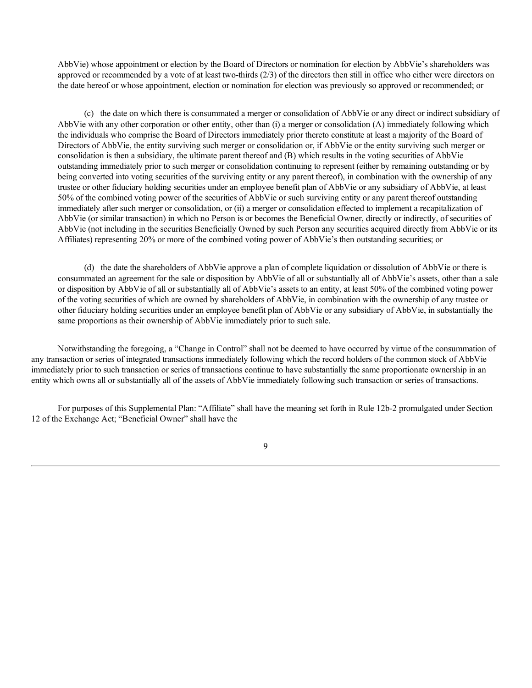AbbVie) whose appointment or election by the Board of Directors or nomination for election by AbbVie's shareholders was approved or recommended by a vote of at least two-thirds (2/3) of the directors then still in office who either were directors on the date hereof or whose appointment, election or nomination for election was previously so approved or recommended; or

(c) the date on which there is consummated a merger or consolidation of AbbVie or any direct or indirect subsidiary of AbbVie with any other corporation or other entity, other than (i) a merger or consolidation (A) immediately following which the individuals who comprise the Board of Directors immediately prior thereto constitute at least a majority of the Board of Directors of AbbVie, the entity surviving such merger or consolidation or, if AbbVie or the entity surviving such merger or consolidation is then a subsidiary, the ultimate parent thereof and (B) which results in the voting securities of AbbVie outstanding immediately prior to such merger or consolidation continuing to represent (either by remaining outstanding or by being converted into voting securities of the surviving entity or any parent thereof), in combination with the ownership of any trustee or other fiduciary holding securities under an employee benefit plan of AbbVie or any subsidiary of AbbVie, at least 50% of the combined voting power of the securities of AbbVie or such surviving entity or any parent thereof outstanding immediately after such merger or consolidation, or (ii) a merger or consolidation effected to implement a recapitalization of AbbVie (or similar transaction) in which no Person is or becomes the Beneficial Owner, directly or indirectly, of securities of AbbVie (not including in the securities Beneficially Owned by such Person any securities acquired directly from AbbVie or its Affiliates) representing 20% or more of the combined voting power of AbbVie's then outstanding securities; or

(d) the date the shareholders of AbbVie approve a plan of complete liquidation or dissolution of AbbVie or there is consummated an agreement for the sale or disposition by AbbVie of all or substantially all of AbbVie's assets, other than a sale or disposition by AbbVie of all or substantially all of AbbVie's assets to an entity, at least 50% of the combined voting power of the voting securities of which are owned by shareholders of AbbVie, in combination with the ownership of any trustee or other fiduciary holding securities under an employee benefit plan of AbbVie or any subsidiary of AbbVie, in substantially the same proportions as their ownership of AbbVie immediately prior to such sale.

Notwithstanding the foregoing, a "Change in Control" shall not be deemed to have occurred by virtue of the consummation of any transaction or series of integrated transactions immediately following which the record holders of the common stock of AbbVie immediately prior to such transaction or series of transactions continue to have substantially the same proportionate ownership in an entity which owns all or substantially all of the assets of AbbVie immediately following such transaction or series of transactions.

For purposes of this Supplemental Plan: "Affiliate" shall have the meaning set forth in Rule 12b-2 promulgated under Section 12 of the Exchange Act; "Beneficial Owner" shall have the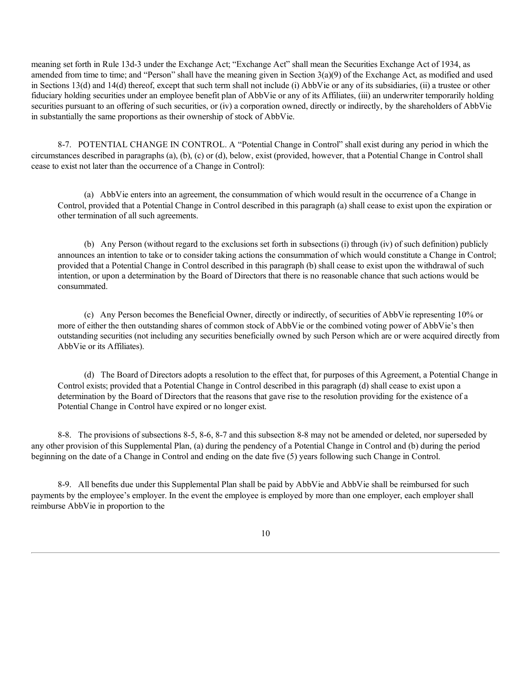meaning set forth in Rule 13d-3 under the Exchange Act; "Exchange Act" shall mean the Securities Exchange Act of 1934, as amended from time to time; and "Person" shall have the meaning given in Section 3(a)(9) of the Exchange Act, as modified and used in Sections 13(d) and 14(d) thereof, except that such term shall not include (i) AbbVie or any of its subsidiaries, (ii) a trustee or other fiduciary holding securities under an employee benefit plan of AbbVie or any of its Affiliates, (iii) an underwriter temporarily holding securities pursuant to an offering of such securities, or (iv) a corporation owned, directly or indirectly, by the shareholders of AbbVie in substantially the same proportions as their ownership of stock of AbbVie.

8-7. POTENTIAL CHANGE IN CONTROL. A "Potential Change in Control" shall exist during any period in which the circumstances described in paragraphs (a), (b), (c) or (d), below, exist (provided, however, that a Potential Change in Control shall cease to exist not later than the occurrence of a Change in Control):

(a) AbbVie enters into an agreement, the consummation of which would result in the occurrence of a Change in Control, provided that a Potential Change in Control described in this paragraph (a) shall cease to exist upon the expiration or other termination of all such agreements.

(b) Any Person (without regard to the exclusions set forth in subsections (i) through (iv) of such definition) publicly announces an intention to take or to consider taking actions the consummation of which would constitute a Change in Control; provided that a Potential Change in Control described in this paragraph (b) shall cease to exist upon the withdrawal of such intention, or upon a determination by the Board of Directors that there is no reasonable chance that such actions would be consummated.

(c) Any Person becomes the Beneficial Owner, directly or indirectly, of securities of AbbVie representing 10% or more of either the then outstanding shares of common stock of AbbVie or the combined voting power of AbbVie's then outstanding securities (not including any securities beneficially owned by such Person which are or were acquired directly from AbbVie or its Affiliates).

(d) The Board of Directors adopts a resolution to the effect that, for purposes of this Agreement, a Potential Change in Control exists; provided that a Potential Change in Control described in this paragraph (d) shall cease to exist upon a determination by the Board of Directors that the reasons that gave rise to the resolution providing for the existence of a Potential Change in Control have expired or no longer exist.

8-8. The provisions of subsections 8-5, 8-6, 8-7 and this subsection 8-8 may not be amended or deleted, nor superseded by any other provision of this Supplemental Plan, (a) during the pendency of a Potential Change in Control and (b) during the period beginning on the date of a Change in Control and ending on the date five (5) years following such Change in Control.

8-9. All benefits due under this Supplemental Plan shall be paid by AbbVie and AbbVie shall be reimbursed for such payments by the employee's employer. In the event the employee is employed by more than one employer, each employer shall reimburse AbbVie in proportion to the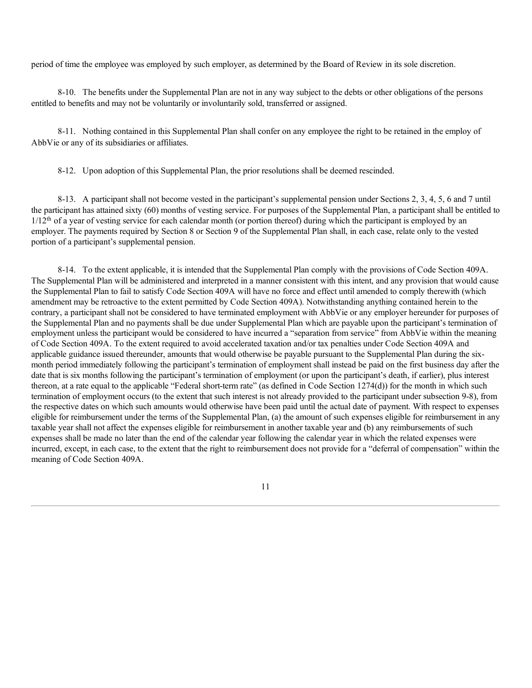period of time the employee was employed by such employer, as determined by the Board of Review in its sole discretion.

8-10. The benefits under the Supplemental Plan are not in any way subject to the debts or other obligations of the persons entitled to benefits and may not be voluntarily or involuntarily sold, transferred or assigned.

8-11. Nothing contained in this Supplemental Plan shall confer on any employee the right to be retained in the employ of AbbVie or any of its subsidiaries or affiliates.

8-12. Upon adoption of this Supplemental Plan, the prior resolutions shall be deemed rescinded.

8-13. A participant shall not become vested in the participant's supplemental pension under Sections 2, 3, 4, 5, 6 and 7 until the participant has attained sixty (60) months of vesting service. For purposes of the Supplemental Plan, a participant shall be entitled to 1/12<sup>th</sup> of a year of vesting service for each calendar month (or portion thereof) during which the participant is employed by an employer. The payments required by Section 8 or Section 9 of the Supplemental Plan shall, in each case, relate only to the vested portion of a participant's supplemental pension.

8-14. To the extent applicable, it is intended that the Supplemental Plan comply with the provisions of Code Section 409A. The Supplemental Plan will be administered and interpreted in a manner consistent with this intent, and any provision that would cause the Supplemental Plan to fail to satisfy Code Section 409A will have no force and effect until amended to comply therewith (which amendment may be retroactive to the extent permitted by Code Section 409A). Notwithstanding anything contained herein to the contrary, a participant shall not be considered to have terminated employment with AbbVie or any employer hereunder for purposes of the Supplemental Plan and no payments shall be due under Supplemental Plan which are payable upon the participant's termination of employment unless the participant would be considered to have incurred a "separation from service" from AbbVie within the meaning of Code Section 409A. To the extent required to avoid accelerated taxation and/or tax penalties under Code Section 409A and applicable guidance issued thereunder, amounts that would otherwise be payable pursuant to the Supplemental Plan during the sixmonth period immediately following the participant's termination of employment shall instead be paid on the first business day after the date that is six months following the participant's termination of employment (or upon the participant's death, if earlier), plus interest thereon, at a rate equal to the applicable "Federal short-term rate" (as defined in Code Section 1274(d)) for the month in which such termination of employment occurs (to the extent that such interest is not already provided to the participant under subsection 9-8), from the respective dates on which such amounts would otherwise have been paid until the actual date of payment. With respect to expenses eligible for reimbursement under the terms of the Supplemental Plan, (a) the amount of such expenses eligible for reimbursement in any taxable year shall not affect the expenses eligible for reimbursement in another taxable year and (b) any reimbursements of such expenses shall be made no later than the end of the calendar year following the calendar year in which the related expenses were incurred, except, in each case, to the extent that the right to reimbursement does not provide for a "deferral of compensation" within the meaning of Code Section 409A.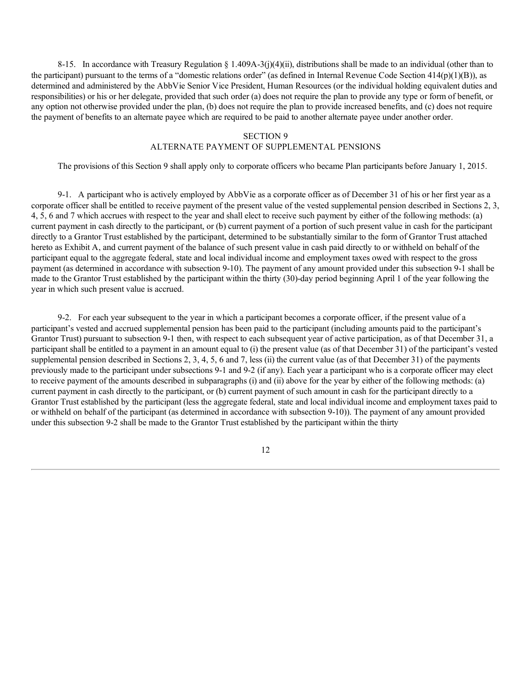8-15. In accordance with Treasury Regulation § 1.409A-3(j)(4)(ii), distributions shall be made to an individual (other than to the participant) pursuant to the terms of a "domestic relations order" (as defined in Internal Revenue Code Section 414(p)(1)(B)), as determined and administered by the AbbVie Senior Vice President, Human Resources (or the individual holding equivalent duties and responsibilities) or his or her delegate, provided that such order (a) does not require the plan to provide any type or form of benefit, or any option not otherwise provided under the plan, (b) does not require the plan to provide increased benefits, and (c) does not require the payment of benefits to an alternate payee which are required to be paid to another alternate payee under another order.

### SECTION 9

## ALTERNATE PAYMENT OF SUPPLEMENTAL PENSIONS

The provisions of this Section 9 shall apply only to corporate officers who became Plan participants before January 1, 2015.

9-1. A participant who is actively employed by AbbVie as a corporate officer as of December 31 of his or her first year as a corporate officer shall be entitled to receive payment of the present value of the vested supplemental pension described in Sections 2, 3, 4, 5, 6 and 7 which accrues with respect to the year and shall elect to receive such payment by either of the following methods: (a) current payment in cash directly to the participant, or (b) current payment of a portion of such present value in cash for the participant directly to a Grantor Trust established by the participant, determined to be substantially similar to the form of Grantor Trust attached hereto as Exhibit A, and current payment of the balance of such present value in cash paid directly to or withheld on behalf of the participant equal to the aggregate federal, state and local individual income and employment taxes owed with respect to the gross payment (as determined in accordance with subsection 9-10). The payment of any amount provided under this subsection 9-1 shall be made to the Grantor Trust established by the participant within the thirty (30)-day period beginning April 1 of the year following the year in which such present value is accrued.

9-2. For each year subsequent to the year in which a participant becomes a corporate officer, if the present value of a participant's vested and accrued supplemental pension has been paid to the participant (including amounts paid to the participant's Grantor Trust) pursuant to subsection 9-1 then, with respect to each subsequent year of active participation, as of that December 31, a participant shall be entitled to a payment in an amount equal to (i) the present value (as of that December 31) of the participant's vested supplemental pension described in Sections 2, 3, 4, 5, 6 and 7, less (ii) the current value (as of that December 31) of the payments previously made to the participant under subsections 9-1 and 9-2 (if any). Each year a participant who is a corporate officer may elect to receive payment of the amounts described in subparagraphs (i) and (ii) above for the year by either of the following methods: (a) current payment in cash directly to the participant, or (b) current payment of such amount in cash for the participant directly to a Grantor Trust established by the participant (less the aggregate federal, state and local individual income and employment taxes paid to or withheld on behalf of the participant (as determined in accordance with subsection 9-10)). The payment of any amount provided under this subsection 9-2 shall be made to the Grantor Trust established by the participant within the thirty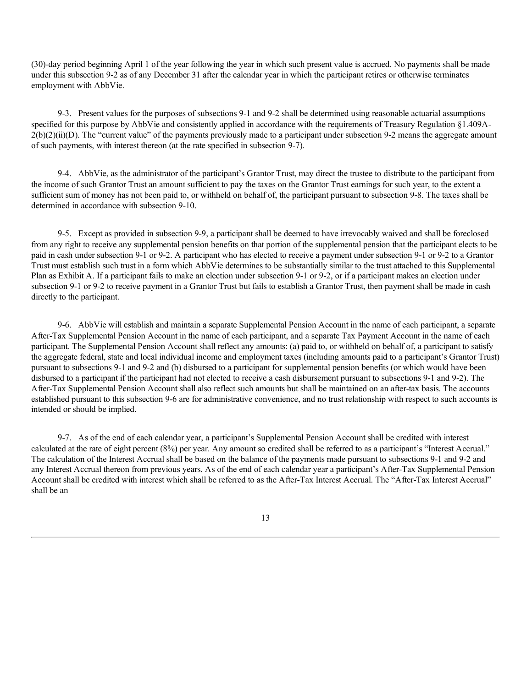(30)-day period beginning April 1 of the year following the year in which such present value is accrued. No payments shall be made under this subsection 9-2 as of any December 31 after the calendar year in which the participant retires or otherwise terminates employment with AbbVie.

9-3. Present values for the purposes of subsections 9-1 and 9-2 shall be determined using reasonable actuarial assumptions specified for this purpose by AbbVie and consistently applied in accordance with the requirements of Treasury Regulation §1.409A- $2(b)(2)(ii)(D)$ . The "current value" of the payments previously made to a participant under subsection 9-2 means the aggregate amount of such payments, with interest thereon (at the rate specified in subsection 9-7).

9-4. AbbVie, as the administrator of the participant's Grantor Trust, may direct the trustee to distribute to the participant from the income of such Grantor Trust an amount sufficient to pay the taxes on the Grantor Trust earnings for such year, to the extent a sufficient sum of money has not been paid to, or withheld on behalf of, the participant pursuant to subsection 9-8. The taxes shall be determined in accordance with subsection 9-10.

9-5. Except as provided in subsection 9-9, a participant shall be deemed to have irrevocably waived and shall be foreclosed from any right to receive any supplemental pension benefits on that portion of the supplemental pension that the participant elects to be paid in cash under subsection 9-1 or 9-2. A participant who has elected to receive a payment under subsection 9-1 or 9-2 to a Grantor Trust must establish such trust in a form which AbbVie determines to be substantially similar to the trust attached to this Supplemental Plan as Exhibit A. If a participant fails to make an election under subsection 9-1 or 9-2, or if a participant makes an election under subsection 9-1 or 9-2 to receive payment in a Grantor Trust but fails to establish a Grantor Trust, then payment shall be made in cash directly to the participant.

9-6. AbbVie will establish and maintain a separate Supplemental Pension Account in the name of each participant, a separate After-Tax Supplemental Pension Account in the name of each participant, and a separate Tax Payment Account in the name of each participant. The Supplemental Pension Account shall reflect any amounts: (a) paid to, or withheld on behalf of, a participant to satisfy the aggregate federal, state and local individual income and employment taxes (including amounts paid to a participant's Grantor Trust) pursuant to subsections 9-1 and 9-2 and (b) disbursed to a participant for supplemental pension benefits (or which would have been disbursed to a participant if the participant had not elected to receive a cash disbursement pursuant to subsections 9-1 and 9-2). The After-Tax Supplemental Pension Account shall also reflect such amounts but shall be maintained on an after-tax basis. The accounts established pursuant to this subsection 9-6 are for administrative convenience, and no trust relationship with respect to such accounts is intended or should be implied.

9-7. As of the end of each calendar year, a participant's Supplemental Pension Account shall be credited with interest calculated at the rate of eight percent (8%) per year. Any amount so credited shall be referred to as a participant's "Interest Accrual." The calculation of the Interest Accrual shall be based on the balance of the payments made pursuant to subsections 9-1 and 9-2 and any Interest Accrual thereon from previous years. As of the end of each calendar year a participant's After-Tax Supplemental Pension Account shall be credited with interest which shall be referred to as the After-Tax Interest Accrual. The "After-Tax Interest Accrual" shall be an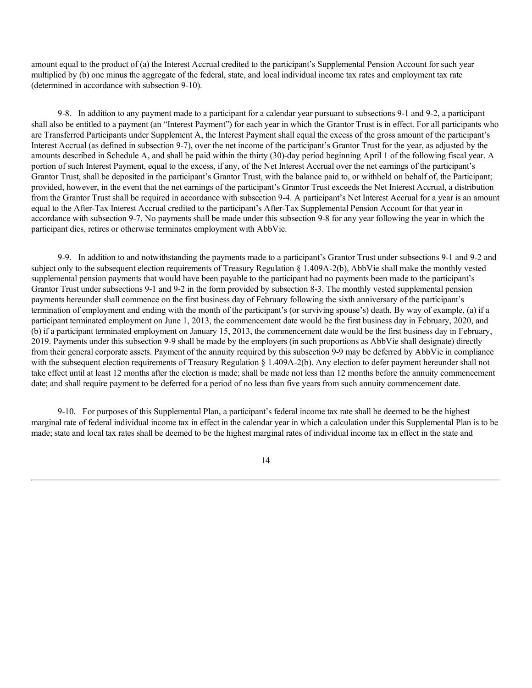amount equal to the product of (a) the Interest Accrual credited to the participant's Supplemental Pension Account for such year multiplied by (b) one minus the aggregate of the federal, state, and local individual income tax rates and employment tax rate (determined in accordance with subsection 9-10).

9-8. In addition to any payment made to a participant for a calendar year pursuant to subsections 9-1 and 9-2, a participant shall also be entitled to a payment (an "Interest Payment") for each year in which the Grantor Trust is in effect. For all participants who are Transferred Participants under Supplement A, the Interest Payment shall equal the excess of the gross amount of the participant's Interest Accrual (as defined in subsection 9-7), over the net income of the participant's Grantor Trust for the year, as adjusted by the amounts described in Schedule A, and shall be paid within the thirty (30)-day period beginning April 1 of the following fiscal year. A portion of such Interest Payment, equal to the excess, if any, of the Net Interest Accrual over the net earnings of the participant's Grantor Trust, shall be deposited in the participant's Grantor Trust, with the balance paid to, or withheld on behalf of, the Participant; provided, however, in the event that the net earnings of the participant's Grantor Trust exceeds the Net Interest Accrual, a distribution from the Grantor Trust shall be required in accordance with subsection 9-4. A participant's Net Interest Accrual for a year is an amount equal to the After-Tax Interest Accrual credited to the participant's After-Tax Supplemental Pension Account for that year in accordance with subsection 9-7. No payments shall be made under this subsection 9-8 for any year following the year in which the participant dies, retires or otherwise terminates employment with AbbVie.

9-9. In addition to and notwithstanding the payments made to a participant's Grantor Trust under subsections 9-1 and 9-2 and subject only to the subsequent election requirements of Treasury Regulation § 1.409A-2(b), AbbVie shall make the monthly vested supplemental pension payments that would have been payable to the participant had no payments been made to the participant's Grantor Trust under subsections 9-1 and 9-2 in the form provided by subsection 8-3. The monthly vested supplemental pension payments hereunder shall commence on the first business day of February following the sixth anniversary of the participant's termination of employment and ending with the month of the participant's (or surviving spouse's) death. By way of example, (a) if a participant terminated employment on June 1, 2013, the commencement date would be the first business day in February, 2020, and (b) if a participant terminated employment on January 15, 2013, the commencement date would be the first business day in February, 2019. Payments under this subsection 9-9 shall be made by the employers (in such proportions as AbbVie shall designate) directly from their general corporate assets. Payment of the annuity required by this subsection 9-9 may be deferred by AbbVie in compliance with the subsequent election requirements of Treasury Regulation § 1.409A-2(b). Any election to defer payment hereunder shall not take effect until at least 12 months after the election is made; shall be made not less than 12 months before the annuity commencement date; and shall require payment to be deferred for a period of no less than five years from such annuity commencement date.

9-10. For purposes of this Supplemental Plan, a participant's federal income tax rate shall be deemed to be the highest marginal rate of federal individual income tax in effect in the calendar year in which a calculation under this Supplemental Plan is to be made; state and local tax rates shall be deemed to be the highest marginal rates of individual income tax in effect in the state and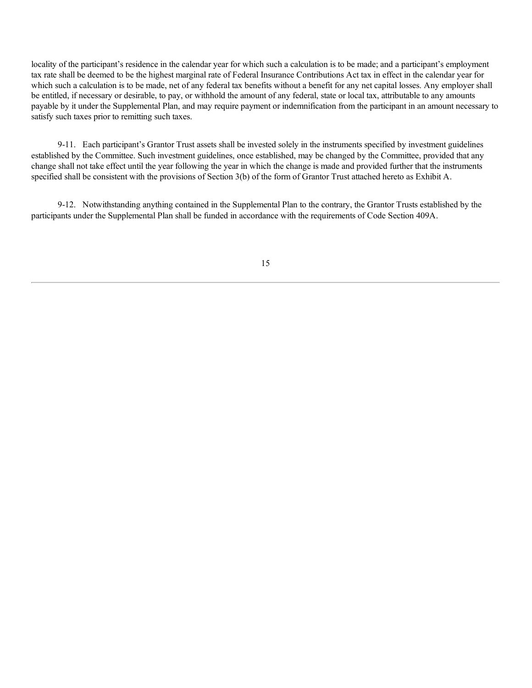locality of the participant's residence in the calendar year for which such a calculation is to be made; and a participant's employment tax rate shall be deemed to be the highest marginal rate of Federal Insurance Contributions Act tax in effect in the calendar year for which such a calculation is to be made, net of any federal tax benefits without a benefit for any net capital losses. Any employer shall be entitled, if necessary or desirable, to pay, or withhold the amount of any federal, state or local tax, attributable to any amounts payable by it under the Supplemental Plan, and may require payment or indemnification from the participant in an amount necessary to satisfy such taxes prior to remitting such taxes.

9-11. Each participant's Grantor Trust assets shall be invested solely in the instruments specified by investment guidelines established by the Committee. Such investment guidelines, once established, may be changed by the Committee, provided that any change shall not take effect until the year following the year in which the change is made and provided further that the instruments specified shall be consistent with the provisions of Section 3(b) of the form of Grantor Trust attached hereto as Exhibit A.

9-12. Notwithstanding anything contained in the Supplemental Plan to the contrary, the Grantor Trusts established by the participants under the Supplemental Plan shall be funded in accordance with the requirements of Code Section 409A.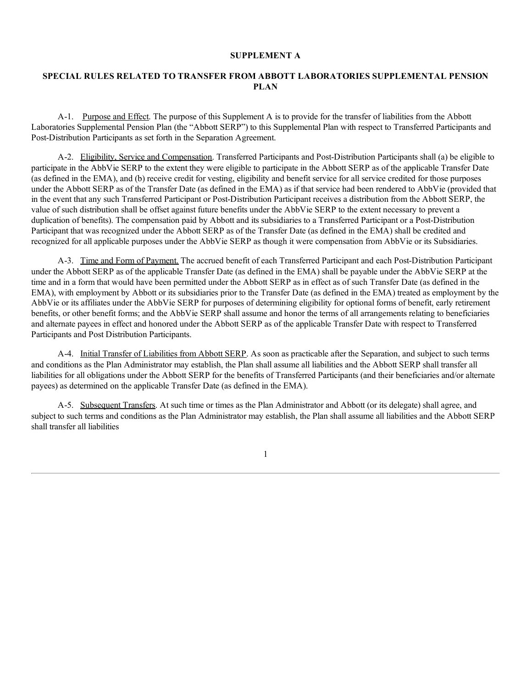### **SUPPLEMENT A**

# **SPECIAL RULES RELATED TO TRANSFER FROM ABBOTT LABORATORIES SUPPLEMENTAL PENSION PLAN**

A-1. Purpose and Effect. The purpose of this Supplement A is to provide for the transfer of liabilities from the Abbott Laboratories Supplemental Pension Plan (the "Abbott SERP") to this Supplemental Plan with respect to Transferred Participants and Post-Distribution Participants as set forth in the Separation Agreement.

A-2. Eligibility, Service and Compensation. Transferred Participants and Post-Distribution Participants shall (a) be eligible to participate in the AbbVie SERP to the extent they were eligible to participate in the Abbott SERP as of the applicable Transfer Date (as defined in the EMA), and (b) receive credit for vesting, eligibility and benefit service for all service credited for those purposes under the Abbott SERP as of the Transfer Date (as defined in the EMA) as if that service had been rendered to AbbVie (provided that in the event that any such Transferred Participant or Post-Distribution Participant receives a distribution from the Abbott SERP, the value of such distribution shall be offset against future benefits under the AbbVie SERP to the extent necessary to prevent a duplication of benefits). The compensation paid by Abbott and its subsidiaries to a Transferred Participant or a Post-Distribution Participant that was recognized under the Abbott SERP as of the Transfer Date (as defined in the EMA) shall be credited and recognized for all applicable purposes under the AbbVie SERP as though it were compensation from AbbVie or its Subsidiaries.

A-3. Time and Form of Payment. The accrued benefit of each Transferred Participant and each Post-Distribution Participant under the Abbott SERP as of the applicable Transfer Date (as defined in the EMA) shall be payable under the AbbVie SERP at the time and in a form that would have been permitted under the Abbott SERP as in effect as of such Transfer Date (as defined in the EMA), with employment by Abbott or its subsidiaries prior to the Transfer Date (as defined in the EMA) treated as employment by the AbbVie or its affiliates under the AbbVie SERP for purposes of determining eligibility for optional forms of benefit, early retirement benefits, or other benefit forms; and the AbbVie SERP shall assume and honor the terms of all arrangements relating to beneficiaries and alternate payees in effect and honored under the Abbott SERP as of the applicable Transfer Date with respect to Transferred Participants and Post Distribution Participants.

A-4. Initial Transfer of Liabilities from Abbott SERP. As soon as practicable after the Separation, and subject to such terms and conditions as the Plan Administrator may establish, the Plan shall assume all liabilities and the Abbott SERP shall transfer all liabilities for all obligations under the Abbott SERP for the benefits of Transferred Participants (and their beneficiaries and/or alternate payees) as determined on the applicable Transfer Date (as defined in the EMA).

A-5. Subsequent Transfers. At such time or times as the Plan Administrator and Abbott (or its delegate) shall agree, and subject to such terms and conditions as the Plan Administrator may establish, the Plan shall assume all liabilities and the Abbott SERP shall transfer all liabilities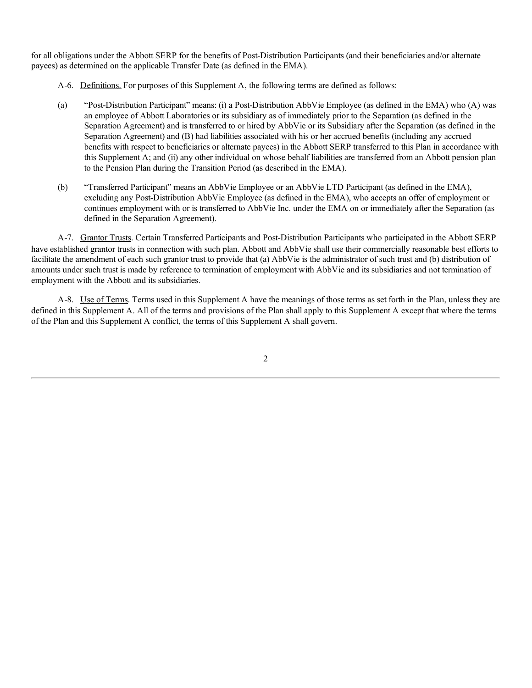for all obligations under the Abbott SERP for the benefits of Post-Distribution Participants (and their beneficiaries and/or alternate payees) as determined on the applicable Transfer Date (as defined in the EMA).

- A-6. Definitions. For purposes of this Supplement A, the following terms are defined as follows:
- (a) "Post-Distribution Participant" means: (i) a Post-Distribution AbbVie Employee (as defined in the EMA) who (A) was an employee of Abbott Laboratories or its subsidiary as of immediately prior to the Separation (as defined in the Separation Agreement) and is transferred to or hired by AbbVie or its Subsidiary after the Separation (as defined in the Separation Agreement) and (B) had liabilities associated with his or her accrued benefits (including any accrued benefits with respect to beneficiaries or alternate payees) in the Abbott SERP transferred to this Plan in accordance with this Supplement A; and (ii) any other individual on whose behalf liabilities are transferred from an Abbott pension plan to the Pension Plan during the Transition Period (as described in the EMA).
- (b) "Transferred Participant" means an AbbVie Employee or an AbbVie LTD Participant (as defined in the EMA), excluding any Post-Distribution AbbVie Employee (as defined in the EMA), who accepts an offer of employment or continues employment with or is transferred to AbbVie Inc. under the EMA on or immediately after the Separation (as defined in the Separation Agreement).

A-7. Grantor Trusts. Certain Transferred Participants and Post-Distribution Participants who participated in the Abbott SERP have established grantor trusts in connection with such plan. Abbott and AbbVie shall use their commercially reasonable best efforts to facilitate the amendment of each such grantor trust to provide that (a) AbbVie is the administrator of such trust and (b) distribution of amounts under such trust is made by reference to termination of employment with AbbVie and its subsidiaries and not termination of employment with the Abbott and its subsidiaries.

A-8. Use of Terms. Terms used in this Supplement A have the meanings of those terms as set forth in the Plan, unless they are defined in this Supplement A. All of the terms and provisions of the Plan shall apply to this Supplement A except that where the terms of the Plan and this Supplement A conflict, the terms of this Supplement A shall govern.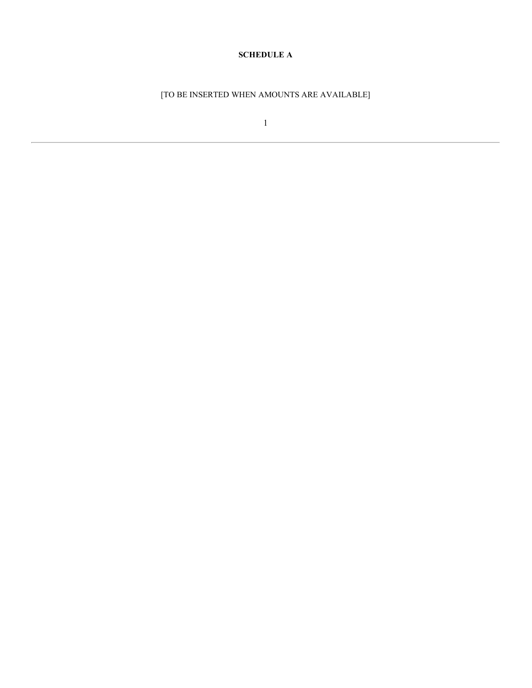# **SCHEDULE A**

[TO BE INSERTED WHEN AMOUNTS ARE AVAILABLE]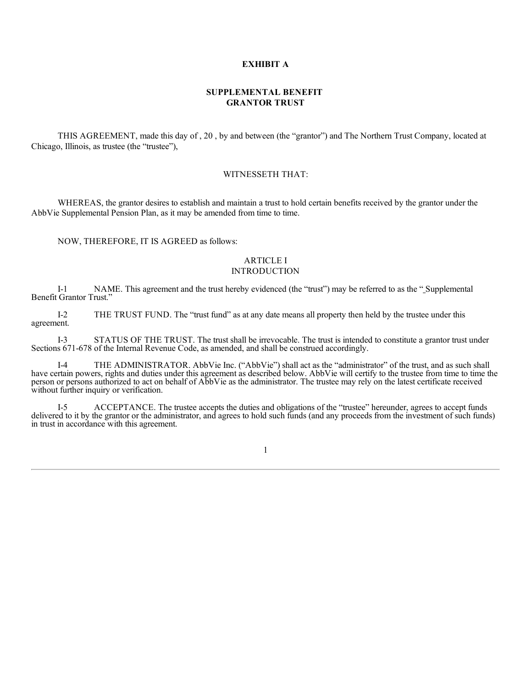### **EXHIBIT A**

## **SUPPLEMENTAL BENEFIT GRANTOR TRUST**

THIS AGREEMENT, made this day of , 20 , by and between (the "grantor") and The Northern Trust Company, located at Chicago, Illinois, as trustee (the "trustee"),

### WITNESSETH THAT:

WHEREAS, the grantor desires to establish and maintain a trust to hold certain benefits received by the grantor under the AbbVie Supplemental Pension Plan, as it may be amended from time to time.

NOW, THEREFORE, IT IS AGREED as follows:

#### ARTICLE I INTRODUCTION

I-1 NAME. This agreement and the trust hereby evidenced (the "trust") may be referred to as the " Supplemental Benefit Grantor Trust."

I-2 THE TRUST FUND. The "trust fund" as at any date means all property then held by the trustee under this agreement.

I-3 STATUS OF THE TRUST. The trust shall be irrevocable. The trust is intended to constitute a grantor trust under Sections 671-678 of the Internal Revenue Code, as amended, and shall be construed accordingly.

I-4 THE ADMINISTRATOR. AbbVie Inc. ("AbbVie") shall act as the "administrator" of the trust, and as such shall have certain powers, rights and duties under this agreement as described below. AbbVie will certify to the trustee from time to time the person or persons authorized to act on behalf of AbbVie as the administrator. The trustee may rely on the latest certificate received without further inquiry or verification.

I-5 ACCEPTANCE. The trustee accepts the duties and obligations of the "trustee" hereunder, agrees to accept funds delivered to it by the grantor or the administrator, and agrees to hold such funds (and any proceeds from the investment of such funds) in trust in accordance with this agreement.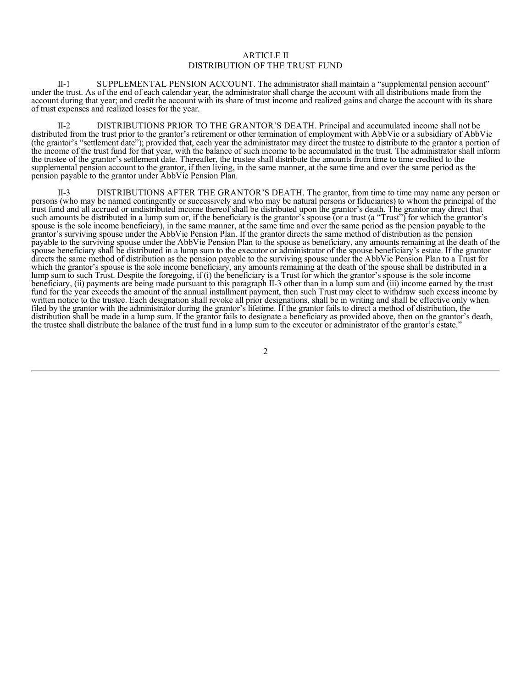## ARTICLE II DISTRIBUTION OF THE TRUST FUND

II-1 SUPPLEMENTAL PENSION ACCOUNT. The administrator shall maintain a "supplemental pension account" under the trust. As of the end of each calendar year, the administrator shall charge the account with all distributions made from the account during that year; and credit the account with its share of trust income and realized gains and charge the account with its share of trust expenses and realized losses for the year.

DISTRIBUTIONS PRIOR TO THE GRANTOR'S DEATH. Principal and accumulated income shall not be distributed from the trust prior to the grantor's retirement or other termination of employment with AbbVie or a subsidiary of AbbVie (the grantor's "settlement date"); provided that, each year the administrator may direct the trustee to distribute to the grantor a portion of the income of the trust fund for that year, with the balance of such income to be accumulated in the trust. The administrator shall inform the trustee of the grantor's settlement date. Thereafter, the trustee shall distribute the amounts from time to time credited to the supplemental pension account to the grantor, if then living, in the same manner, at the same time and over the same period as the pension payable to the grantor under AbbVie Pension Plan.

II-3 DISTRIBUTIONS AFTER THE GRANTOR'S DEATH. The grantor, from time to time may name any person or persons (who may be named contingently or successively and who may be natural persons or fiduciaries) to whom the principal of the trust fund and all accrued or undistributed income thereof shall be distributed upon the grantor's death. The grantor may direct that such amounts be distributed in a lump sum or, if the beneficiary is the grantor's spouse (or a trust (a "Trust") for which the grantor's spouse is the sole income beneficiary), in the same manner, at the same time and over the same period as the pension payable to the grantor's surviving spouse under the AbbVie Pension Plan. If the grantor directs the same method of distribution as the pension payable to the surviving spouse under the AbbVie Pension Plan to the spouse as beneficiary, any amounts remaining at the death of the spouse beneficiary shall be distributed in a lump sum to the executor or administrator of the spouse beneficiary's estate. If the grantor directs the same method of distribution as the pension payable to the surviving spouse under the AbbVie Pension Plan to a Trust for which the grantor's spouse is the sole income beneficiary, any amounts remaining at the death of the spouse shall be distributed in a lump sum to such Trust. Despite the foregoing, if (i) the beneficiary is a Trust for which the grantor's spouse is the sole income beneficiary, (ii) payments are being made pursuant to this paragraph II-3 other than in a lump sum and (iii) income earned by the trust fund for the year exceeds the amount of the annual installment payment, then such Trust may elect to withdraw such excess income by written notice to the trustee. Each designation shall revoke all prior designations, shall be in writing and shall be effective only when filed by the grantor with the administrator during the grantor's lifetime. If the grantor fails to direct a method of distribution, the distribution shall be made in a lump sum. If the grantor fails to designate a beneficiary as provided above, then on the grantor's death, the trustee shall distribute the balance of the trust fund in a lump sum to the executor or administrator of the grantor's estate."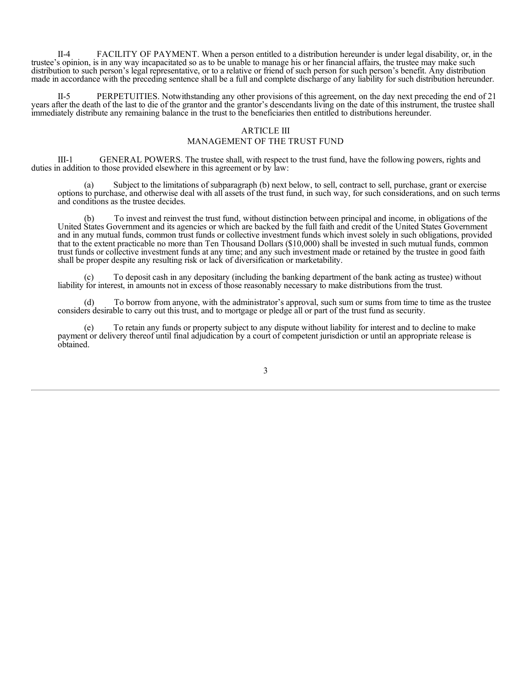II-4 FACILITY OF PAYMENT. When a person entitled to a distribution hereunder is under legal disability, or, in the trustee's opinion, is in any way incapacitated so as to be unable to manage his or her financial affairs, the trustee may make such distribution to such person's legal representative, or to a relative or friend of such person for such person's benefit. Any distribution made in accordance with the preceding sentence shall be a full and complete discharge of any liability for such distribution hereunder.

II-5 PERPETUITIES. Notwithstanding any other provisions of this agreement, on the day next preceding the end of 21 years after the death of the last to die of the grantor and the grantor's descendants living on the date of this instrument, the trustee shall immediately distribute any remaining balance in the trust to the beneficiaries then entitled to distributions hereunder.

### ARTICLE III

### MANAGEMENT OF THE TRUST FUND

III-1 GENERAL POWERS. The trustee shall, with respect to the trust fund, have the following powers, rights and duties in addition to those provided elsewhere in this agreement or by law:

(a) Subject to the limitations of subparagraph (b) next below, to sell, contract to sell, purchase, grant or exercise options to purchase, and otherwise deal with all assets of the trust fund, in such way, for such considerations, and on such terms and conditions as the trustee decides.

(b) To invest and reinvest the trust fund, without distinction between principal and income, in obligations of the United States Government and its agencies or which are backed by the full faith and credit of the United States Government and in any mutual funds, common trust funds or collective investment funds which invest solely in such obligations, provided that to the extent practicable no more than Ten Thousand Dollars (\$10,000) shall be invested in such mutual funds, common trust funds or collective investment funds at any time; and any such investment made or retained by the trustee in good faith shall be proper despite any resulting risk or lack of diversification or marketability.

To deposit cash in any depositary (including the banking department of the bank acting as trustee) without liability for interest, in amounts not in excess of those reasonably necessary to make distributions from the trust.

(d) To borrow from anyone, with the administrator's approval, such sum or sums from time to time as the trustee considers desirable to carry out this trust, and to mortgage or pledge all or part of the trust fund as security.

(e) To retain any funds or property subject to any dispute without liability for interest and to decline to make payment or delivery thereof until final adjudication by a court of competent jurisdiction or until an appropriate release is obtained.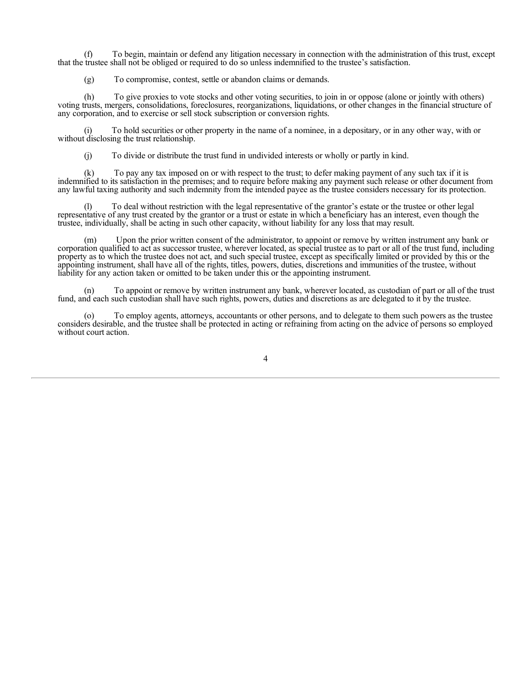(f) To begin, maintain or defend any litigation necessary in connection with the administration of this trust, except that the trustee shall not be obliged or required to do so unless indemnified to the trustee's satisfaction.

(g) To compromise, contest, settle or abandon claims or demands.

(h) To give proxies to vote stocks and other voting securities, to join in or oppose (alone or jointly with others) voting trusts, mergers, consolidations, foreclosures, reorganizations, liquidations, or other changes in the financial structure of any corporation, and to exercise or sell stock subscription or conversion rights.

(i) To hold securities or other property in the name of a nominee, in a depositary, or in any other way, with or without disclosing the trust relationship.

(j) To divide or distribute the trust fund in undivided interests or wholly or partly in kind.

(k) To pay any tax imposed on or with respect to the trust; to defer making payment of any such tax if it is indemnified to its satisfaction in the premises; and to require before making any payment such release or other document from any lawful taxing authority and such indemnity from the intended payee as the trustee considers necessary for its protection.

(l) To deal without restriction with the legal representative of the grantor's estate or the trustee or other legal representative of any trust created by the grantor or a trust or estate in which a beneficiary has an interest, even though the trustee, individually, shall be acting in such other capacity, without liability for any loss that may result.

(m) Upon the prior written consent of the administrator, to appoint or remove by written instrument any bank or corporation qualified to act as successor trustee, wherever located, as special trustee as to part or all of the trust fund, including property as to which the trustee does not act, and such special trustee, except as specifically limited or provided by this or the appointing instrument, shall have all of the rights, titles, powers, duties, discretions and immunities of the trustee, without liability for any action taken or omitted to be taken under this or the appointing instrument.

(n) To appoint or remove by written instrument any bank, wherever located, as custodian of part or all of the trust fund, and each such custodian shall have such rights, powers, duties and discretions as are delegated to it by the trustee.

(o) To employ agents, attorneys, accountants or other persons, and to delegate to them such powers as the trustee considers desirable, and the trustee shall be protected in acting or refraining from acting on the advice of persons so employed without court action.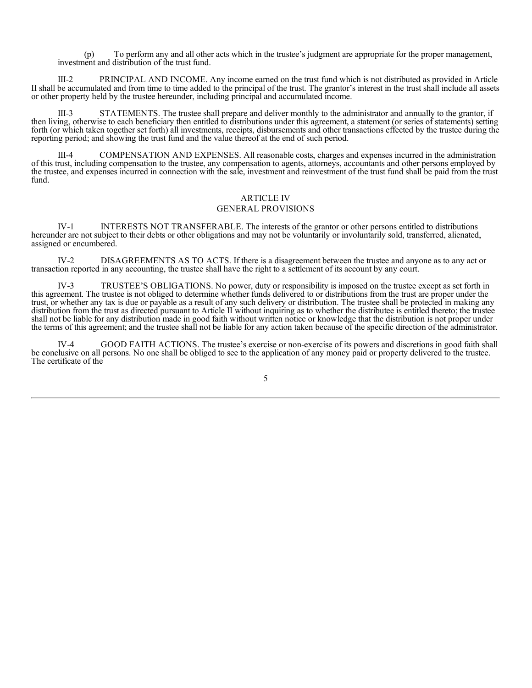(p) To perform any and all other acts which in the trustee's judgment are appropriate for the proper management, investment and distribution of the trust fund.

III-2 PRINCIPAL AND INCOME. Any income earned on the trust fund which is not distributed as provided in Article II shall be accumulated and from time to time added to the principal of the trust. The grantor's interest in the trust shall include all assets or other property held by the trustee hereunder, including principal and accumulated income.

III-3 STATEMENTS. The trustee shall prepare and deliver monthly to the administrator and annually to the grantor, if then living, otherwise to each beneficiary then entitled to distributions under this agreement, a statement (or series of statements) setting forth (or which taken together set forth) all investments, receipts, disbursements and other transactions effected by the trustee during the reporting period; and showing the trust fund and the value thereof at the end of such period.

III-4 COMPENSATION AND EXPENSES. All reasonable costs, charges and expenses incurred in the administration of this trust, including compensation to the trustee, any compensation to agents, attorneys, accountants and other persons employed by the trustee, and expenses incurred in connection with the sale, investment and reinvestment of the trust fund shall be paid from the trust fund.

## ARTICLE IV GENERAL PROVISIONS

IV-1 INTERESTS NOT TRANSFERABLE. The interests of the grantor or other persons entitled to distributions hereunder are not subject to their debts or other obligations and may not be voluntarily or involuntarily sold, transferred, alienated, assigned or encumbered.

IV-2 DISAGREEMENTS AS TO ACTS. If there is a disagreement between the trustee and anyone as to any act or transaction reported in any accounting, the trustee shall have the right to a settlement of its account by any court.

IV-3 TRUSTEE'S OBLIGATIONS. No power, duty or responsibility is imposed on the trustee except as set forth in this agreement. The trustee is not obliged to determine whether funds delivered to or distributions from the trust are proper under the trust, or whether any tax is due or payable as a result of any such delivery or distribution. The trustee shall be protected in making any distribution from the trust as directed pursuant to Article II without inquiring as to whether the distributee is entitled thereto; the trustee shall not be liable for any distribution made in good faith without written notice or knowledge that the distribution is not proper under the terms of this agreement; and the trustee shall not be liable for any action taken because of the specific direction of the administrator.

IV-4 GOOD FAITH ACTIONS. The trustee's exercise or non-exercise of its powers and discretions in good faith shall be conclusive on all persons. No one shall be obliged to see to the application of any money paid or property delivered to the trustee. The certificate of the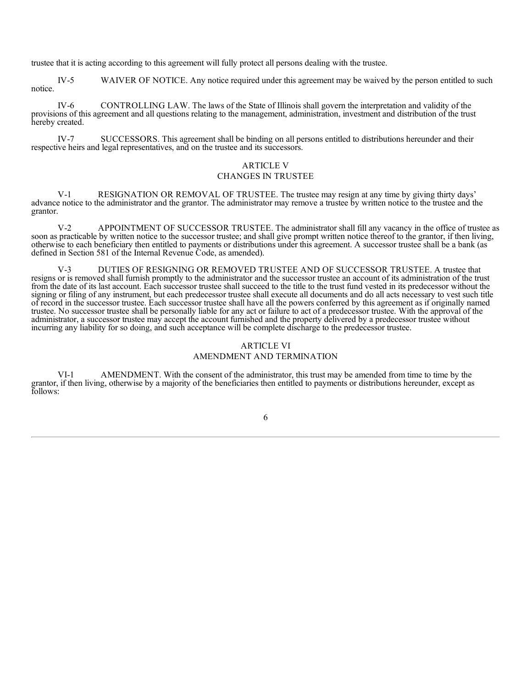trustee that it is acting according to this agreement will fully protect all persons dealing with the trustee.

IV-5 WAIVER OF NOTICE. Any notice required under this agreement may be waived by the person entitled to such notice.

IV-6 CONTROLLING LAW. The laws of the State of Illinois shall govern the interpretation and validity of the provisions of this agreement and all questions relating to the management, administration, investment and distribution of the trust hereby created.

IV-7 SUCCESSORS. This agreement shall be binding on all persons entitled to distributions hereunder and their respective heirs and legal representatives, and on the trustee and its successors.

## ARTICLE V

### CHANGES IN TRUSTEE

V-1 RESIGNATION OR REMOVAL OF TRUSTEE. The trustee may resign at any time by giving thirty days' advance notice to the administrator and the grantor. The administrator may remove a trustee by written notice to the trustee and the grantor.

V-2 APPOINTMENT OF SUCCESSOR TRUSTEE. The administrator shall fill any vacancy in the office of trustee as soon as practicable by written notice to the successor trustee; and shall give prompt written notice thereof to the grantor, if then living, otherwise to each beneficiary then entitled to payments or distributions under this agreement. A successor trustee shall be a bank (as defined in Section 581 of the Internal Revenue Code, as amended).

DUTIES OF RESIGNING OR REMOVED TRUSTEE AND OF SUCCESSOR TRUSTEE. A trustee that resigns or is removed shall furnish promptly to the administrator and the successor trustee an account of its administration of the trust from the date of its last account. Each successor trustee shall succeed to the title to the trust fund vested in its predecessor without the signing or filing of any instrument, but each predecessor trustee shall execute all documents and do all acts necessary to vest such title of record in the successor trustee. Each successor trustee shall have all the powers conferred by this agreement as if originally named trustee. No successor trustee shall be personally liable for any act or failure to act of a predecessor trustee. With the approval of the administrator, a successor trustee may accept the account furnished and the property delivered by a predecessor trustee without incurring any liability for so doing, and such acceptance will be complete discharge to the predecessor trustee.

### ARTICLE VI

### AMENDMENT AND TERMINATION

VI-1 AMENDMENT. With the consent of the administrator, this trust may be amended from time to time by the grantor, if then living, otherwise by a majority of the beneficiaries then entitled to payments or distributions hereunder, except as follows: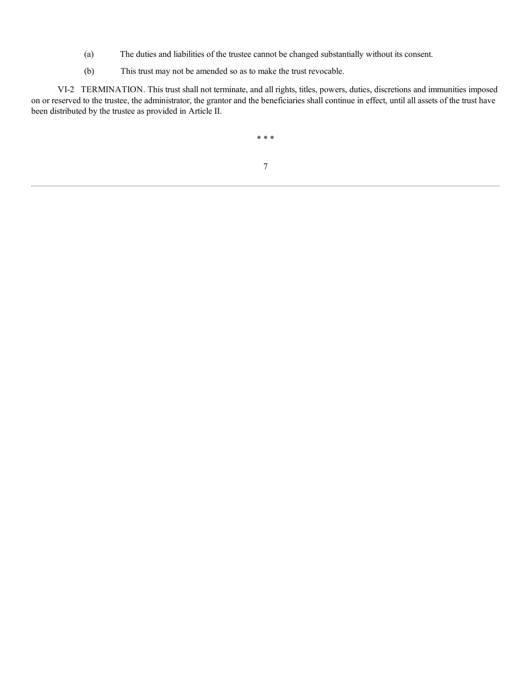- (a) The duties and liabilities of the trustee cannot be changed substantially without its consent.
- (b) This trust may not be amended so as to make the trust revocable.

VI-2 TERMINATION. This trust shall not terminate, and all rights, titles, powers, duties, discretions and immunities imposed on or reserved to the trustee, the administrator, the grantor and the beneficiaries shall continue in effect, until all assets of the trust have been distributed by the trustee as provided in Article II.

\* \* \*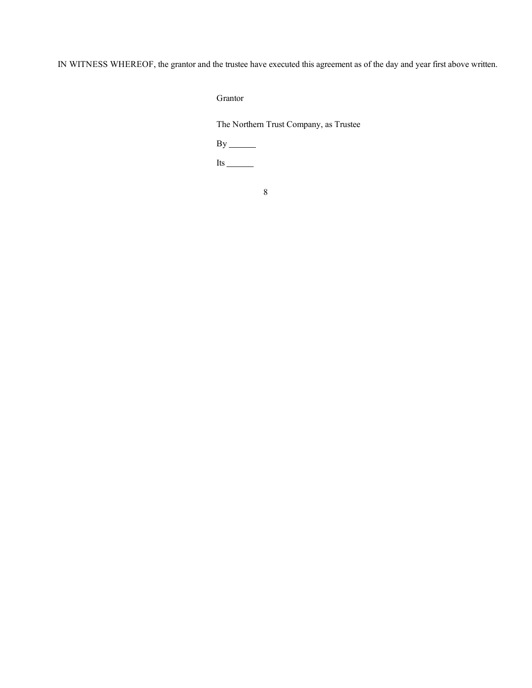IN WITNESS WHEREOF, the grantor and the trustee have executed this agreement as of the day and year first above written.

Grantor

The Northern Trust Company, as Trustee

 $By$ <sub>\_\_\_\_\_\_\_\_</sub>

Its  $\frac{1}{\sqrt{1-\frac{1}{2}}\sqrt{1-\frac{1}{2}}\left(\frac{1}{2}-\frac{1}{2}\right)}$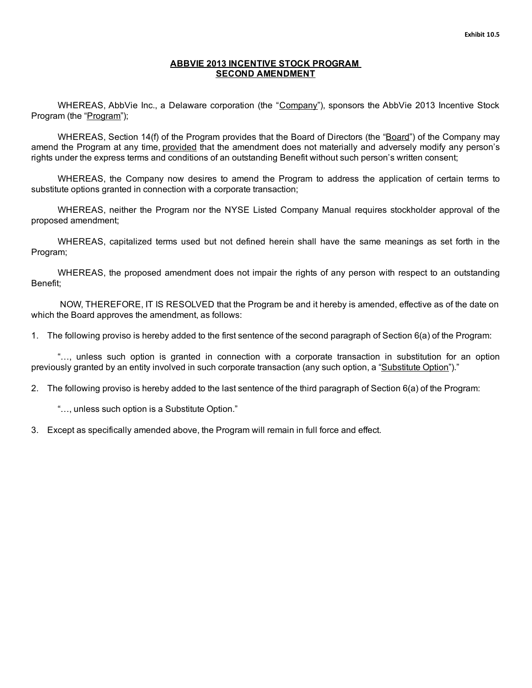# **ABBVIE 2013 INCENTIVE STOCK PROGRAM SECOND AMENDMENT**

<span id="page-69-0"></span>WHEREAS, AbbVie Inc., a Delaware corporation (the "Company"), sponsors the AbbVie 2013 Incentive Stock Program (the "Program");

WHEREAS, Section 14(f) of the Program provides that the Board of Directors (the "Board") of the Company may amend the Program at any time, provided that the amendment does not materially and adversely modify any person's rights under the express terms and conditions of an outstanding Benefit without such person's written consent;

WHEREAS, the Company now desires to amend the Program to address the application of certain terms to substitute options granted in connection with a corporate transaction;

WHEREAS, neither the Program nor the NYSE Listed Company Manual requires stockholder approval of the proposed amendment;

WHEREAS, capitalized terms used but not defined herein shall have the same meanings as set forth in the Program;

WHEREAS, the proposed amendment does not impair the rights of any person with respect to an outstanding Benefit;

NOW, THEREFORE, IT IS RESOLVED that the Program be and it hereby is amended, effective as of the date on which the Board approves the amendment, as follows:

1. The following proviso is hereby added to the first sentence of the second paragraph of Section 6(a) of the Program:

"…, unless such option is granted in connection with a corporate transaction in substitution for an option previously granted by an entity involved in such corporate transaction (any such option, a "Substitute Option")."

2. The following proviso is hereby added to the last sentence of the third paragraph of Section 6(a) of the Program:

"…, unless such option is a Substitute Option."

3. Except as specifically amended above, the Program will remain in full force and effect.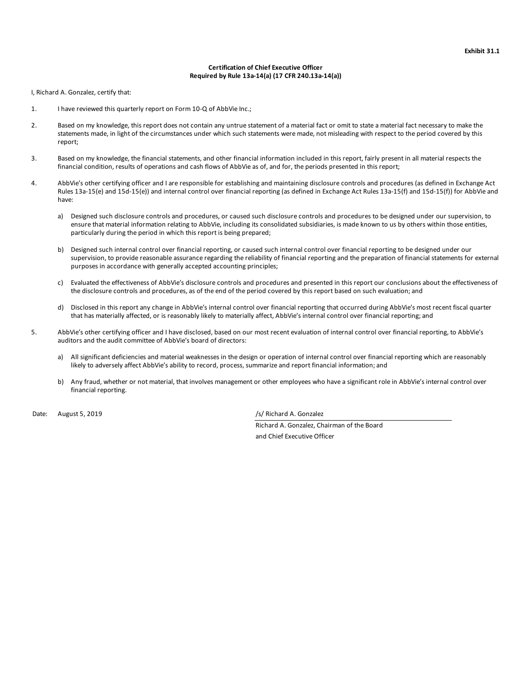#### **Certification of Chief Executive Officer Required by Rule 13a-14(a) (17 CFR 240.13a-14(a))**

<span id="page-70-0"></span>I, Richard A. Gonzalez, certify that:

- 1. I have reviewed this quarterly report on Form 10-Q of AbbVie Inc.;
- 2. Based on my knowledge, this report does not contain any untrue statement of a material fact or omit to state a material fact necessary to make the statements made, in light of the circumstances under which such statements were made, not misleading with respect to the period covered by this report;
- 3. Based on my knowledge, the financial statements, and other financial information included in this report, fairly present in all material respects the financial condition, results of operations and cash flows of AbbVie as of, and for, the periods presented in this report;
- 4. AbbVie's other certifying officer and I are responsible for establishing and maintaining disclosure controls and procedures (as defined in Exchange Act Rules 13a-15(e) and 15d-15(e)) and internal control over financial reporting (as defined in Exchange Act Rules 13a-15(f) and 15d-15(f)) for AbbVie and have:
	- a) Designed such disclosure controls and procedures, or caused such disclosure controls and procedures to be designed under our supervision, to ensure that material information relating to AbbVie, including its consolidated subsidiaries, is made known to us by others within those entities, particularly during the period in which this report is being prepared;
	- b) Designed such internal control over financial reporting, or caused such internal control over financial reporting to be designed under our supervision, to provide reasonable assurance regarding the reliability of financial reporting and the preparation of financial statements for external purposes in accordance with generally accepted accounting principles;
	- c) Evaluated the effectiveness of AbbVie's disclosure controls and procedures and presented in this report our conclusions about the effectiveness of the disclosure controls and procedures, as of the end of the period covered by this report based on such evaluation; and
	- d) Disclosed in this report any change in AbbVie's internal control over financial reporting that occurred during AbbVie's most recent fiscal quarter that has materially affected, or is reasonably likely to materially affect, AbbVie's internal control over financial reporting; and
- 5. AbbVie's other certifying officer and I have disclosed, based on our most recent evaluation of internal control over financial reporting, to AbbVie's auditors and the audit committee of AbbVie's board of directors:
	- a) All significant deficiencies and material weaknesses in the design or operation of internal control over financial reporting which are reasonably likely to adversely affect AbbVie's ability to record, process, summarize and report financial information; and
	- b) Any fraud, whether or not material, that involves management or other employees who have a significant role in AbbVie's internal control over financial reporting.

Date: August 5, 2019 /s/ Richard A. Gonzalez

Richard A. Gonzalez, Chairman of the Board

and Chief Executive Officer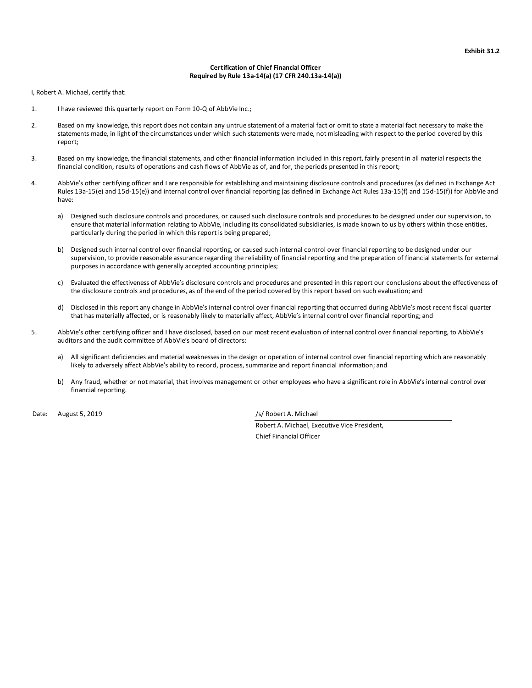#### **Certification of Chief Financial Officer Required by Rule 13a-14(a) (17 CFR 240.13a-14(a))**

<span id="page-71-0"></span>I, Robert A. Michael, certify that:

- 1. I have reviewed this quarterly report on Form 10-Q of AbbVie Inc.;
- 2. Based on my knowledge, this report does not contain any untrue statement of a material fact or omit to state a material fact necessary to make the statements made, in light of the circumstances under which such statements were made, not misleading with respect to the period covered by this report;
- 3. Based on my knowledge, the financial statements, and other financial information included in this report, fairly present in all material respects the financial condition, results of operations and cash flows of AbbVie as of, and for, the periods presented in this report;
- 4. AbbVie's other certifying officer and I are responsible for establishing and maintaining disclosure controls and procedures (as defined in Exchange Act Rules 13a-15(e) and 15d-15(e)) and internal control over financial reporting (as defined in Exchange Act Rules 13a-15(f) and 15d-15(f)) for AbbVie and have:
	- a) Designed such disclosure controls and procedures, or caused such disclosure controls and procedures to be designed under our supervision, to ensure that material information relating to AbbVie, including its consolidated subsidiaries, is made known to us by others within those entities, particularly during the period in which this report is being prepared;
	- b) Designed such internal control over financial reporting, or caused such internal control over financial reporting to be designed under our supervision, to provide reasonable assurance regarding the reliability of financial reporting and the preparation of financial statements for external purposes in accordance with generally accepted accounting principles;
	- c) Evaluated the effectiveness of AbbVie's disclosure controls and procedures and presented in this report our conclusions about the effectiveness of the disclosure controls and procedures, as of the end of the period covered by this report based on such evaluation; and
	- d) Disclosed in this report any change in AbbVie's internal control over financial reporting that occurred during AbbVie's most recent fiscal quarter that has materially affected, or is reasonably likely to materially affect, AbbVie's internal control over financial reporting; and
- 5. AbbVie's other certifying officer and I have disclosed, based on our most recent evaluation of internal control over financial reporting, to AbbVie's auditors and the audit committee of AbbVie's board of directors:
	- a) All significant deficiencies and material weaknesses in the design or operation of internal control over financial reporting which are reasonably likely to adversely affect AbbVie's ability to record, process, summarize and report financial information; and
	- b) Any fraud, whether or not material, that involves management or other employees who have a significant role in AbbVie's internal control over financial reporting.

Date: August 5, 2019 /s/ Robert A. Michael

Robert A. Michael, Executive Vice President,

Chief Financial Officer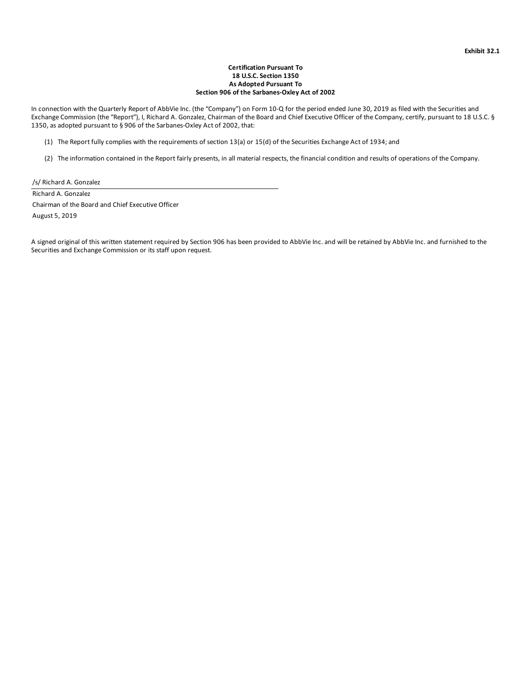## **Certification Pursuant To 18 U.S.C. Section 1350 As Adopted Pursuant To Section 906 of the Sarbanes-Oxley Act of 2002**

In connection with the Quarterly Report of AbbVie Inc. (the "Company") on Form 10-Q for the period ended June 30, 2019 as filed with the Securities and Exchange Commission (the "Report"), I, Richard A. Gonzalez, Chairman of the Board and Chief Executive Officer of the Company, certify, pursuant to 18 U.S.C. § 1350, as adopted pursuant to § 906 of the Sarbanes-Oxley Act of 2002, that:

(1) The Report fully complies with the requirements of section 13(a) or 15(d) of the Securities Exchange Act of 1934; and

(2) The information contained in the Report fairly presents, in all material respects, the financial condition and results of operations of the Company.

/s/ Richard A. Gonzalez

Richard A. Gonzalez

Chairman of the Board and Chief Executive Officer

August 5, 2019

A signed original of this written statement required by Section 906 has been provided to AbbVie Inc. and will be retained by AbbVie Inc. and furnished to the Securities and Exchange Commission or its staff upon request.